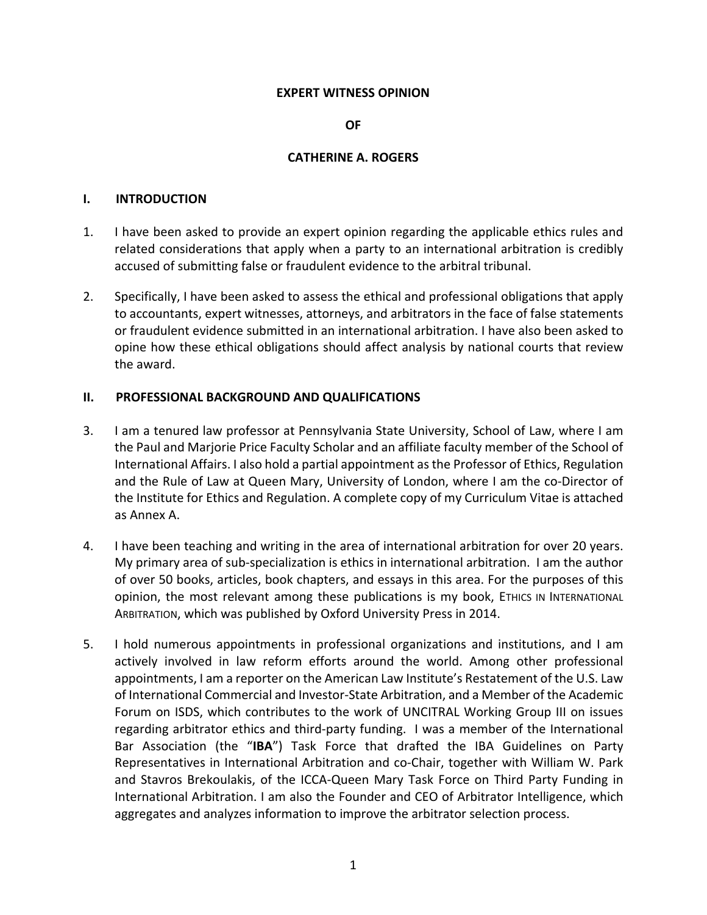#### **EXPERT WITNESS OPINION**

#### **OF**

#### **CATHERINE A. ROGERS**

#### **I. INTRODUCTION**

- 1. I have been asked to provide an expert opinion regarding the applicable ethics rules and related considerations that apply when a party to an international arbitration is credibly accused of submitting false or fraudulent evidence to the arbitral tribunal.
- 2. Specifically, I have been asked to assess the ethical and professional obligations that apply to accountants, expert witnesses, attorneys, and arbitrators in the face of false statements or fraudulent evidence submitted in an international arbitration. I have also been asked to opine how these ethical obligations should affect analysis by national courts that review the award.

### **II. PROFESSIONAL BACKGROUND AND QUALIFICATIONS**

- 3. I am a tenured law professor at Pennsylvania State University, School of Law, where I am the Paul and Marjorie Price Faculty Scholar and an affiliate faculty member of the School of International Affairs. I also hold a partial appointment asthe Professor of Ethics, Regulation and the Rule of Law at Queen Mary, University of London, where I am the co‐Director of the Institute for Ethics and Regulation. A complete copy of my Curriculum Vitae is attached as Annex A.
- 4. I have been teaching and writing in the area of international arbitration for over 20 years. My primary area of sub‐specialization is ethics in international arbitration. I am the author of over 50 books, articles, book chapters, and essays in this area. For the purposes of this opinion, the most relevant among these publications is my book, ETHICS IN INTERNATIONAL ARBITRATION, which was published by Oxford University Press in 2014.
- 5. I hold numerous appointments in professional organizations and institutions, and I am actively involved in law reform efforts around the world. Among other professional appointments, I am a reporter on the American Law Institute's Restatement of the U.S. Law of International Commercial and Investor‐State Arbitration, and a Member of the Academic Forum on ISDS, which contributes to the work of UNCITRAL Working Group III on issues regarding arbitrator ethics and third‐party funding. I was a member of the International Bar Association (the "**IBA**") Task Force that drafted the IBA Guidelines on Party Representatives in International Arbitration and co‐Chair, together with William W. Park and Stavros Brekoulakis, of the ICCA‐Queen Mary Task Force on Third Party Funding in International Arbitration. I am also the Founder and CEO of Arbitrator Intelligence, which aggregates and analyzes information to improve the arbitrator selection process.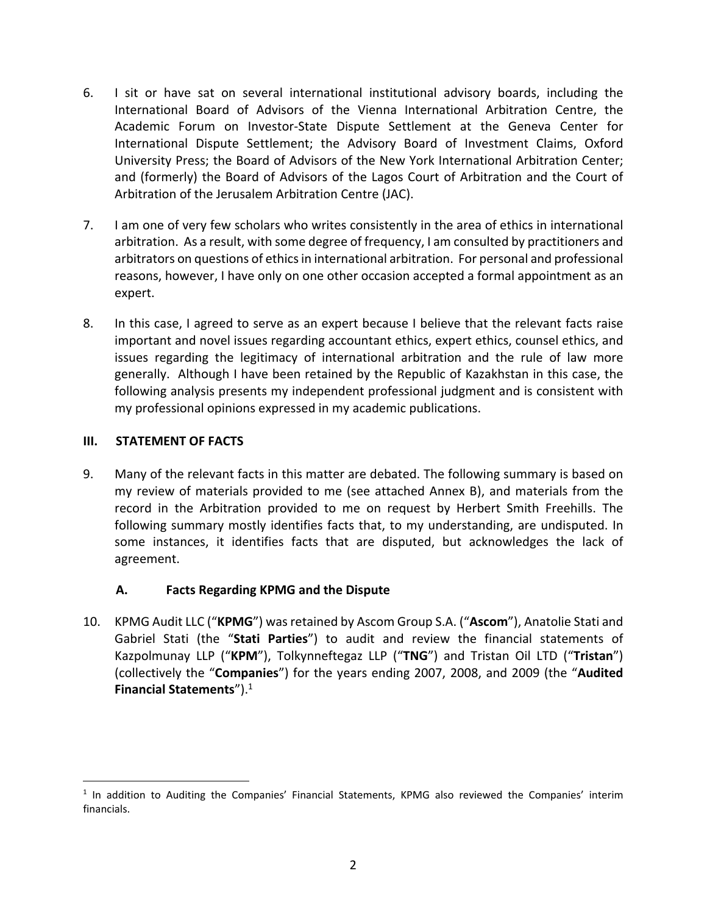- 6. I sit or have sat on several international institutional advisory boards, including the International Board of Advisors of the Vienna International Arbitration Centre, the Academic Forum on Investor‐State Dispute Settlement at the Geneva Center for International Dispute Settlement; the Advisory Board of Investment Claims, Oxford University Press; the Board of Advisors of the New York International Arbitration Center; and (formerly) the Board of Advisors of the Lagos Court of Arbitration and the Court of Arbitration of the Jerusalem Arbitration Centre (JAC).
- 7. I am one of very few scholars who writes consistently in the area of ethics in international arbitration. As a result, with some degree of frequency, I am consulted by practitioners and arbitrators on questions of ethics in international arbitration. For personal and professional reasons, however, I have only on one other occasion accepted a formal appointment as an expert.
- 8. In this case, I agreed to serve as an expert because I believe that the relevant facts raise important and novel issues regarding accountant ethics, expert ethics, counsel ethics, and issues regarding the legitimacy of international arbitration and the rule of law more generally. Although I have been retained by the Republic of Kazakhstan in this case, the following analysis presents my independent professional judgment and is consistent with my professional opinions expressed in my academic publications.

## **III. STATEMENT OF FACTS**

 $\overline{a}$ 

9. Many of the relevant facts in this matter are debated. The following summary is based on my review of materials provided to me (see attached Annex B), and materials from the record in the Arbitration provided to me on request by Herbert Smith Freehills. The following summary mostly identifies facts that, to my understanding, are undisputed. In some instances, it identifies facts that are disputed, but acknowledges the lack of agreement.

## **A. Facts Regarding KPMG and the Dispute**

10. KPMG Audit LLC ("**KPMG**") wasretained by Ascom Group S.A. ("**Ascom**"), Anatolie Stati and Gabriel Stati (the "**Stati Parties**") to audit and review the financial statements of Kazpolmunay LLP ("**KPM**"), Tolkynneftegaz LLP ("**TNG**") and Tristan Oil LTD ("**Tristan**") (collectively the "**Companies**") for the years ending 2007, 2008, and 2009 (the "**Audited Financial Statements**").<sup>1</sup>

 $1$  In addition to Auditing the Companies' Financial Statements, KPMG also reviewed the Companies' interim financials.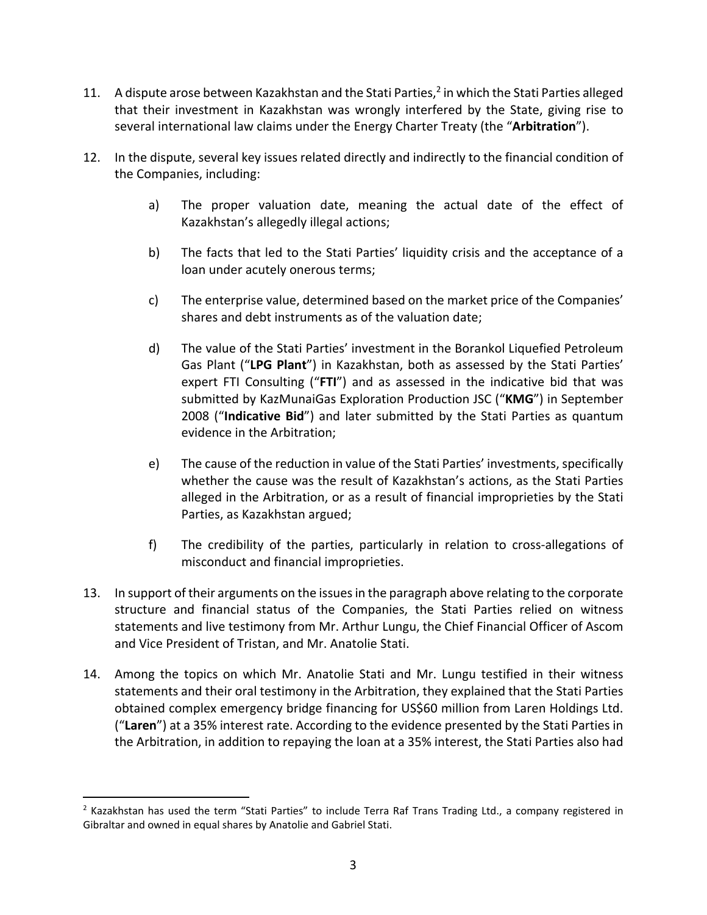- 11. A dispute arose between Kazakhstan and the Stati Parties,<sup>2</sup> in which the Stati Parties alleged that their investment in Kazakhstan was wrongly interfered by the State, giving rise to several international law claims under the Energy Charter Treaty (the "**Arbitration**").
- 12. In the dispute, several key issues related directly and indirectly to the financial condition of the Companies, including:
	- a) The proper valuation date, meaning the actual date of the effect of Kazakhstan's allegedly illegal actions;
	- b) The facts that led to the Stati Parties' liquidity crisis and the acceptance of a loan under acutely onerous terms;
	- c) The enterprise value, determined based on the market price of the Companies' shares and debt instruments as of the valuation date;
	- d) The value of the Stati Parties' investment in the Borankol Liquefied Petroleum Gas Plant ("**LPG Plant**") in Kazakhstan, both as assessed by the Stati Parties' expert FTI Consulting ("**FTI**") and as assessed in the indicative bid that was submitted by KazMunaiGas Exploration Production JSC ("**KMG**") in September 2008 ("**Indicative Bid**") and later submitted by the Stati Parties as quantum evidence in the Arbitration;
	- e) The cause of the reduction in value of the Stati Parties' investments, specifically whether the cause was the result of Kazakhstan's actions, as the Stati Parties alleged in the Arbitration, or as a result of financial improprieties by the Stati Parties, as Kazakhstan argued;
	- f) The credibility of the parties, particularly in relation to cross-allegations of misconduct and financial improprieties.
- 13. In support of their arguments on the issuesin the paragraph above relating to the corporate structure and financial status of the Companies, the Stati Parties relied on witness statements and live testimony from Mr. Arthur Lungu, the Chief Financial Officer of Ascom and Vice President of Tristan, and Mr. Anatolie Stati.
- 14. Among the topics on which Mr. Anatolie Stati and Mr. Lungu testified in their witness statements and their oral testimony in the Arbitration, they explained that the Stati Parties obtained complex emergency bridge financing for US\$60 million from Laren Holdings Ltd. ("**Laren**") at a 35% interest rate. According to the evidence presented by the Stati Parties in the Arbitration, in addition to repaying the loan at a 35% interest, the Stati Parties also had

 $<sup>2</sup>$  Kazakhstan has used the term "Stati Parties" to include Terra Raf Trans Trading Ltd., a company registered in</sup> Gibraltar and owned in equal shares by Anatolie and Gabriel Stati.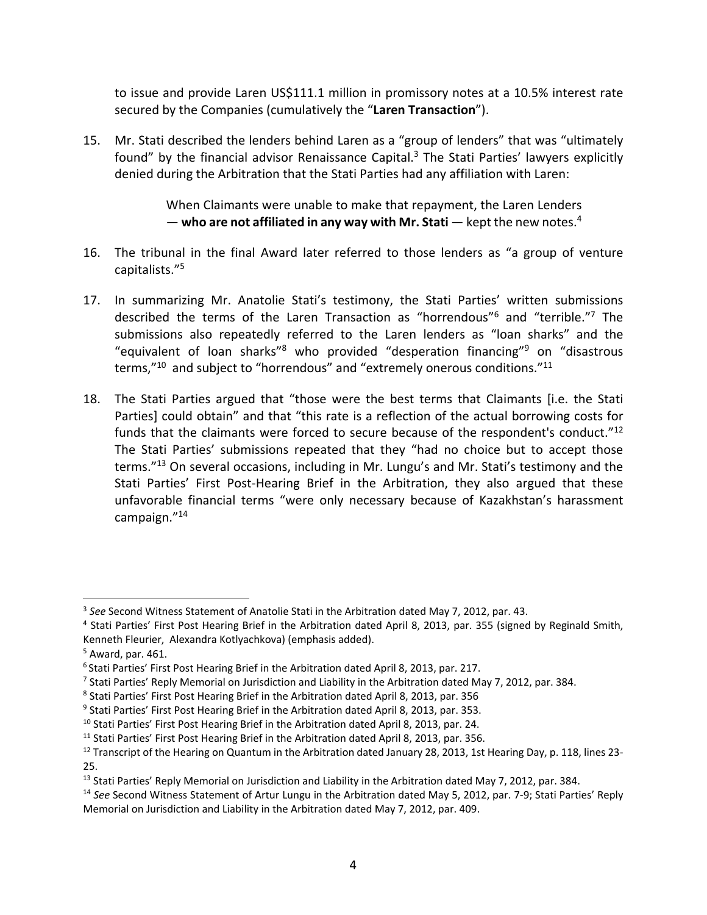to issue and provide Laren US\$111.1 million in promissory notes at a 10.5% interest rate secured by the Companies (cumulatively the "**Laren Transaction**").

15. Mr. Stati described the lenders behind Laren as a "group of lenders" that was "ultimately found" by the financial advisor Renaissance Capital. $3$  The Stati Parties' lawyers explicitly denied during the Arbitration that the Stati Parties had any affiliation with Laren:

> When Claimants were unable to make that repayment, the Laren Lenders — **who are not affiliated in any way with Mr. Stati** — kept the new notes.4

- 16. The tribunal in the final Award later referred to those lenders as "a group of venture capitalists."5
- 17. In summarizing Mr. Anatolie Stati's testimony, the Stati Parties' written submissions described the terms of the Laren Transaction as "horrendous"6 and "terrible."7 The submissions also repeatedly referred to the Laren lenders as "loan sharks" and the "equivalent of loan sharks"8 who provided "desperation financing"9 on "disastrous terms,"<sup>10</sup> and subject to "horrendous" and "extremely onerous conditions."<sup>11</sup>
- 18. The Stati Parties argued that "those were the best terms that Claimants [i.e. the Stati Parties] could obtain" and that "this rate is a reflection of the actual borrowing costs for funds that the claimants were forced to secure because of the respondent's conduct."12 The Stati Parties' submissions repeated that they "had no choice but to accept those terms."13 On several occasions, including in Mr. Lungu's and Mr. Stati's testimony and the Stati Parties' First Post-Hearing Brief in the Arbitration, they also argued that these unfavorable financial terms "were only necessary because of Kazakhstan's harassment campaign."14

<sup>3</sup> *See* Second Witness Statement of Anatolie Stati in the Arbitration dated May 7, 2012, par. 43.

<sup>4</sup> Stati Parties' First Post Hearing Brief in the Arbitration dated April 8, 2013, par. 355 (signed by Reginald Smith, Kenneth Fleurier, Alexandra Kotlyachkova) (emphasis added).

 $<sup>5</sup>$  Award, par. 461.</sup>

<sup>6</sup> Stati Parties' First Post Hearing Brief in the Arbitration dated April 8, 2013, par. 217.

<sup>7</sup> Stati Parties' Reply Memorial on Jurisdiction and Liability in the Arbitration dated May 7, 2012, par. 384.

<sup>8</sup> Stati Parties' First Post Hearing Brief in the Arbitration dated April 8, 2013, par. 356

<sup>&</sup>lt;sup>9</sup> Stati Parties' First Post Hearing Brief in the Arbitration dated April 8, 2013, par. 353.

<sup>&</sup>lt;sup>10</sup> Stati Parties' First Post Hearing Brief in the Arbitration dated April 8, 2013, par. 24.

<sup>&</sup>lt;sup>11</sup> Stati Parties' First Post Hearing Brief in the Arbitration dated April 8, 2013, par. 356.

<sup>&</sup>lt;sup>12</sup> Transcript of the Hearing on Quantum in the Arbitration dated January 28, 2013, 1st Hearing Day, p. 118, lines 23-25.

<sup>&</sup>lt;sup>13</sup> Stati Parties' Reply Memorial on Jurisdiction and Liability in the Arbitration dated May 7, 2012, par. 384.

<sup>14</sup> *See* Second Witness Statement of Artur Lungu in the Arbitration dated May 5, 2012, par. 7‐9; Stati Parties' Reply Memorial on Jurisdiction and Liability in the Arbitration dated May 7, 2012, par. 409.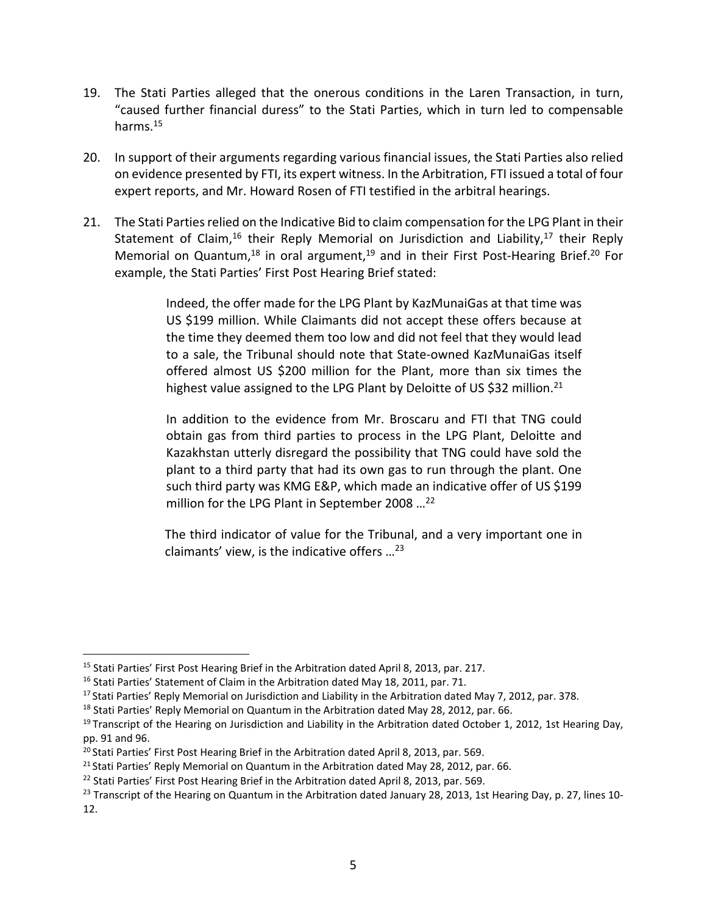- 19. The Stati Parties alleged that the onerous conditions in the Laren Transaction, in turn, "caused further financial duress" to the Stati Parties, which in turn led to compensable harms.15
- 20. In support of their arguments regarding various financial issues, the Stati Parties also relied on evidence presented by FTI, its expert witness. In the Arbitration, FTI issued a total of four expert reports, and Mr. Howard Rosen of FTI testified in the arbitral hearings.
- 21. The Stati Parties relied on the Indicative Bid to claim compensation for the LPG Plant in their Statement of Claim,<sup>16</sup> their Reply Memorial on Jurisdiction and Liability,<sup>17</sup> their Reply Memorial on Quantum,<sup>18</sup> in oral argument,<sup>19</sup> and in their First Post-Hearing Brief.<sup>20</sup> For example, the Stati Parties' First Post Hearing Brief stated:

Indeed, the offer made for the LPG Plant by KazMunaiGas at that time was US \$199 million. While Claimants did not accept these offers because at the time they deemed them too low and did not feel that they would lead to a sale, the Tribunal should note that State‐owned KazMunaiGas itself offered almost US \$200 million for the Plant, more than six times the highest value assigned to the LPG Plant by Deloitte of US \$32 million.<sup>21</sup>

In addition to the evidence from Mr. Broscaru and FTI that TNG could obtain gas from third parties to process in the LPG Plant, Deloitte and Kazakhstan utterly disregard the possibility that TNG could have sold the plant to a third party that had its own gas to run through the plant. One such third party was KMG E&P, which made an indicative offer of US \$199 million for the LPG Plant in September 2008 ...<sup>22</sup>

The third indicator of value for the Tribunal, and a very important one in claimants' view, is the indicative offers  $\ldots^{23}$ 

<sup>&</sup>lt;sup>15</sup> Stati Parties' First Post Hearing Brief in the Arbitration dated April 8, 2013, par. 217.

<sup>&</sup>lt;sup>16</sup> Stati Parties' Statement of Claim in the Arbitration dated May 18, 2011, par. 71.

<sup>&</sup>lt;sup>17</sup> Stati Parties' Reply Memorial on Jurisdiction and Liability in the Arbitration dated May 7, 2012, par. 378.

<sup>&</sup>lt;sup>18</sup> Stati Parties' Reply Memorial on Quantum in the Arbitration dated May 28, 2012, par. 66.

 $19$  Transcript of the Hearing on Jurisdiction and Liability in the Arbitration dated October 1, 2012, 1st Hearing Day, pp. 91 and 96.

<sup>&</sup>lt;sup>20</sup> Stati Parties' First Post Hearing Brief in the Arbitration dated April 8, 2013, par. 569.

<sup>&</sup>lt;sup>21</sup> Stati Parties' Reply Memorial on Quantum in the Arbitration dated May 28, 2012, par. 66.

<sup>&</sup>lt;sup>22</sup> Stati Parties' First Post Hearing Brief in the Arbitration dated April 8, 2013, par. 569.

<sup>&</sup>lt;sup>23</sup> Transcript of the Hearing on Quantum in the Arbitration dated January 28, 2013, 1st Hearing Day, p. 27, lines 10-12.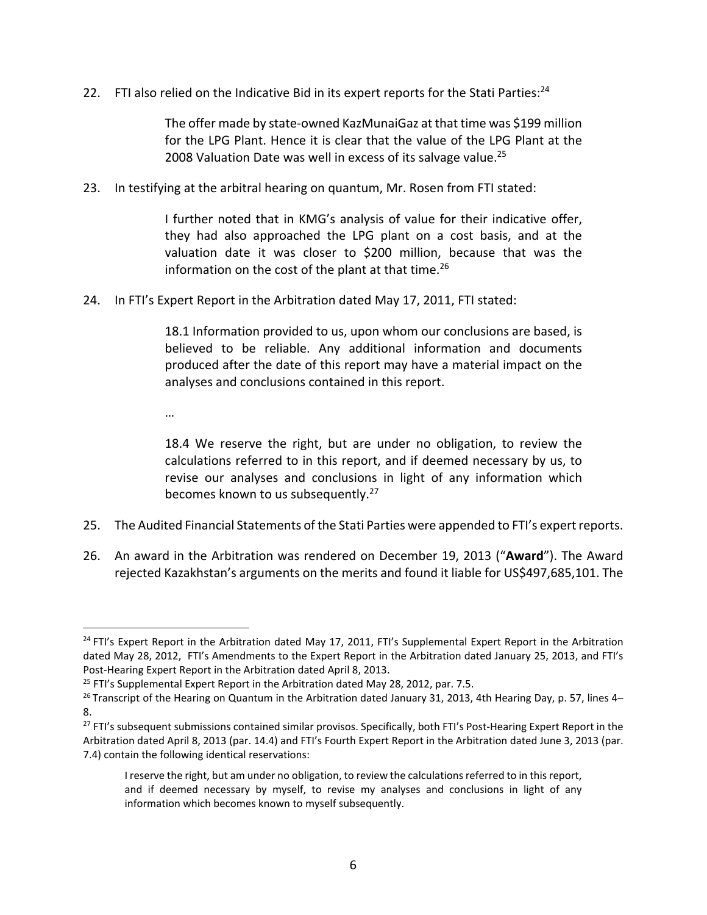22. FTI also relied on the Indicative Bid in its expert reports for the Stati Parties: $^{24}$ 

The offer made by state‐owned KazMunaiGaz at that time was \$199 million for the LPG Plant. Hence it is clear that the value of the LPG Plant at the 2008 Valuation Date was well in excess of its salvage value.<sup>25</sup>

23. In testifying at the arbitral hearing on quantum, Mr. Rosen from FTI stated:

I further noted that in KMG's analysis of value for their indicative offer, they had also approached the LPG plant on a cost basis, and at the valuation date it was closer to \$200 million, because that was the information on the cost of the plant at that time.<sup>26</sup>

24. In FTI's Expert Report in the Arbitration dated May 17, 2011, FTI stated:

18.1 Information provided to us, upon whom our conclusions are based, is believed to be reliable. Any additional information and documents produced after the date of this report may have a material impact on the analyses and conclusions contained in this report.

…

1

18.4 We reserve the right, but are under no obligation, to review the calculations referred to in this report, and if deemed necessary by us, to revise our analyses and conclusions in light of any information which becomes known to us subsequently.<sup>27</sup>

- 25. The Audited Financial Statements of the Stati Parties were appended to FTI's expert reports.
- 26. An award in the Arbitration was rendered on December 19, 2013 ("**Award**"). The Award rejected Kazakhstan's arguments on the merits and found it liable for US\$497,685,101. The

<sup>&</sup>lt;sup>24</sup> FTI's Expert Report in the Arbitration dated May 17, 2011, FTI's Supplemental Expert Report in the Arbitration dated May 28, 2012, FTI's Amendments to the Expert Report in the Arbitration dated January 25, 2013, and FTI's Post‐Hearing Expert Report in the Arbitration dated April 8, 2013.

 $25$  FTI's Supplemental Expert Report in the Arbitration dated May 28, 2012, par. 7.5.

<sup>&</sup>lt;sup>26</sup> Transcript of the Hearing on Quantum in the Arbitration dated January 31, 2013, 4th Hearing Day, p. 57, lines 4– 8.

<sup>&</sup>lt;sup>27</sup> FTI's subsequent submissions contained similar provisos. Specifically, both FTI's Post-Hearing Expert Report in the Arbitration dated April 8, 2013 (par. 14.4) and FTI's Fourth Expert Report in the Arbitration dated June 3, 2013 (par. 7.4) contain the following identical reservations:

I reserve the right, but am under no obligation, to review the calculations referred to in this report, and if deemed necessary by myself, to revise my analyses and conclusions in light of any information which becomes known to myself subsequently.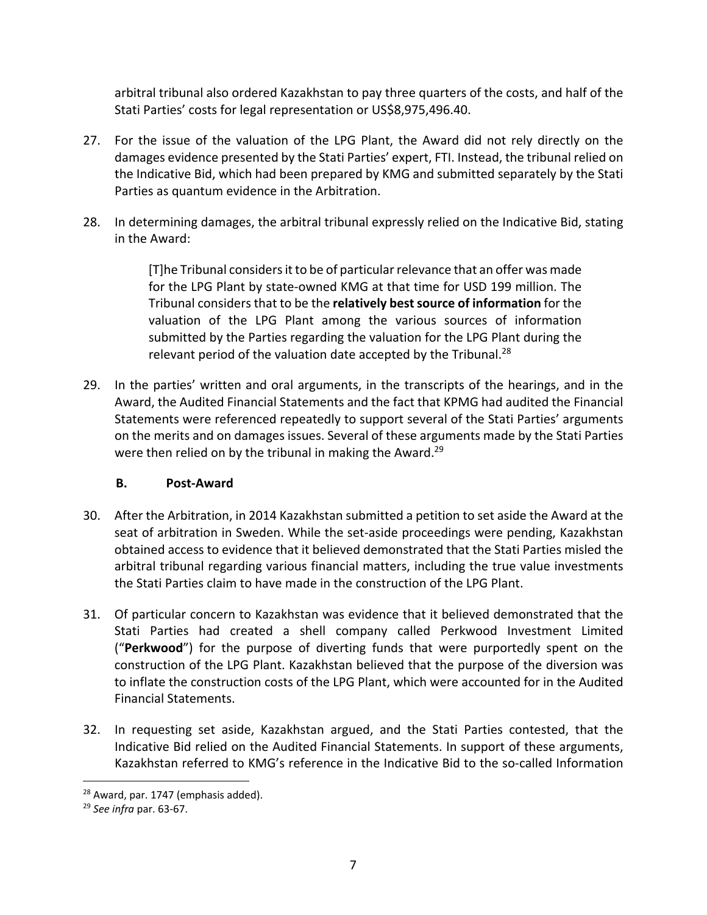arbitral tribunal also ordered Kazakhstan to pay three quarters of the costs, and half of the Stati Parties' costs for legal representation or US\$8,975,496.40.

- 27. For the issue of the valuation of the LPG Plant, the Award did not rely directly on the damages evidence presented by the Stati Parties' expert, FTI. Instead, the tribunal relied on the Indicative Bid, which had been prepared by KMG and submitted separately by the Stati Parties as quantum evidence in the Arbitration.
- 28. In determining damages, the arbitral tribunal expressly relied on the Indicative Bid, stating in the Award:

[T]he Tribunal considersit to be of particularrelevance that an offer was made for the LPG Plant by state‐owned KMG at that time for USD 199 million. The Tribunal considersthat to be the **relatively bestsource of information** for the valuation of the LPG Plant among the various sources of information submitted by the Parties regarding the valuation for the LPG Plant during the relevant period of the valuation date accepted by the Tribunal.<sup>28</sup>

29. In the parties' written and oral arguments, in the transcripts of the hearings, and in the Award, the Audited Financial Statements and the fact that KPMG had audited the Financial Statements were referenced repeatedly to support several of the Stati Parties' arguments on the merits and on damages issues. Several of these arguments made by the Stati Parties were then relied on by the tribunal in making the Award.<sup>29</sup>

## **B. Post‐Award**

- 30. After the Arbitration, in 2014 Kazakhstan submitted a petition to set aside the Award at the seat of arbitration in Sweden. While the set-aside proceedings were pending, Kazakhstan obtained access to evidence that it believed demonstrated that the Stati Parties misled the arbitral tribunal regarding various financial matters, including the true value investments the Stati Parties claim to have made in the construction of the LPG Plant.
- 31. Of particular concern to Kazakhstan was evidence that it believed demonstrated that the Stati Parties had created a shell company called Perkwood Investment Limited ("**Perkwood**") for the purpose of diverting funds that were purportedly spent on the construction of the LPG Plant. Kazakhstan believed that the purpose of the diversion was to inflate the construction costs of the LPG Plant, which were accounted for in the Audited Financial Statements.
- 32. In requesting set aside, Kazakhstan argued, and the Stati Parties contested, that the Indicative Bid relied on the Audited Financial Statements. In support of these arguments, Kazakhstan referred to KMG's reference in the Indicative Bid to the so‐called Information

<u>.</u>

<sup>&</sup>lt;sup>28</sup> Award, par. 1747 (emphasis added).

<sup>29</sup> *See infra* par. 63‐67.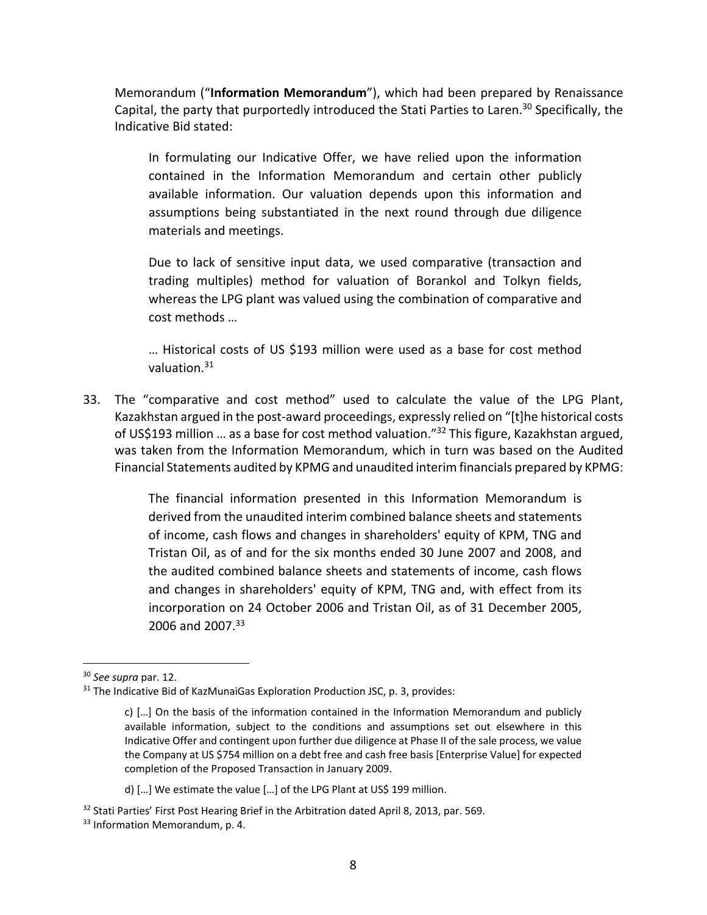Memorandum ("**Information Memorandum**"), which had been prepared by Renaissance Capital, the party that purportedly introduced the Stati Parties to Laren.<sup>30</sup> Specifically, the Indicative Bid stated:

In formulating our Indicative Offer, we have relied upon the information contained in the Information Memorandum and certain other publicly available information. Our valuation depends upon this information and assumptions being substantiated in the next round through due diligence materials and meetings.

Due to lack of sensitive input data, we used comparative (transaction and trading multiples) method for valuation of Borankol and Tolkyn fields, whereas the LPG plant was valued using the combination of comparative and cost methods …

… Historical costs of US \$193 million were used as a base for cost method valuation.31

33. The "comparative and cost method" used to calculate the value of the LPG Plant, Kazakhstan argued in the post‐award proceedings, expressly relied on "[t]he historical costs of US\$193 million ... as a base for cost method valuation."<sup>32</sup> This figure, Kazakhstan argued, was taken from the Information Memorandum, which in turn was based on the Audited Financial Statements audited by KPMG and unaudited interim financials prepared by KPMG:

> The financial information presented in this Information Memorandum is derived from the unaudited interim combined balance sheets and statements of income, cash flows and changes in shareholders' equity of KPM, TNG and Tristan Oil, as of and for the six months ended 30 June 2007 and 2008, and the audited combined balance sheets and statements of income, cash flows and changes in shareholders' equity of KPM, TNG and, with effect from its incorporation on 24 October 2006 and Tristan Oil, as of 31 December 2005, 2006 and 2007.<sup>33</sup>

 $\overline{a}$ 

d) […] We estimate the value […] of the LPG Plant at US\$ 199 million.

<sup>30</sup> *See supra* par. 12.

<sup>&</sup>lt;sup>31</sup> The Indicative Bid of KazMunaiGas Exploration Production JSC, p. 3, provides:

c) […] On the basis of the information contained in the Information Memorandum and publicly available information, subject to the conditions and assumptions set out elsewhere in this Indicative Offer and contingent upon further due diligence at Phase II of the sale process, we value the Company at US \$754 million on a debt free and cash free basis [Enterprise Value] for expected completion of the Proposed Transaction in January 2009.

<sup>&</sup>lt;sup>32</sup> Stati Parties' First Post Hearing Brief in the Arbitration dated April 8, 2013, par. 569. <sup>33</sup> Information Memorandum, p. 4.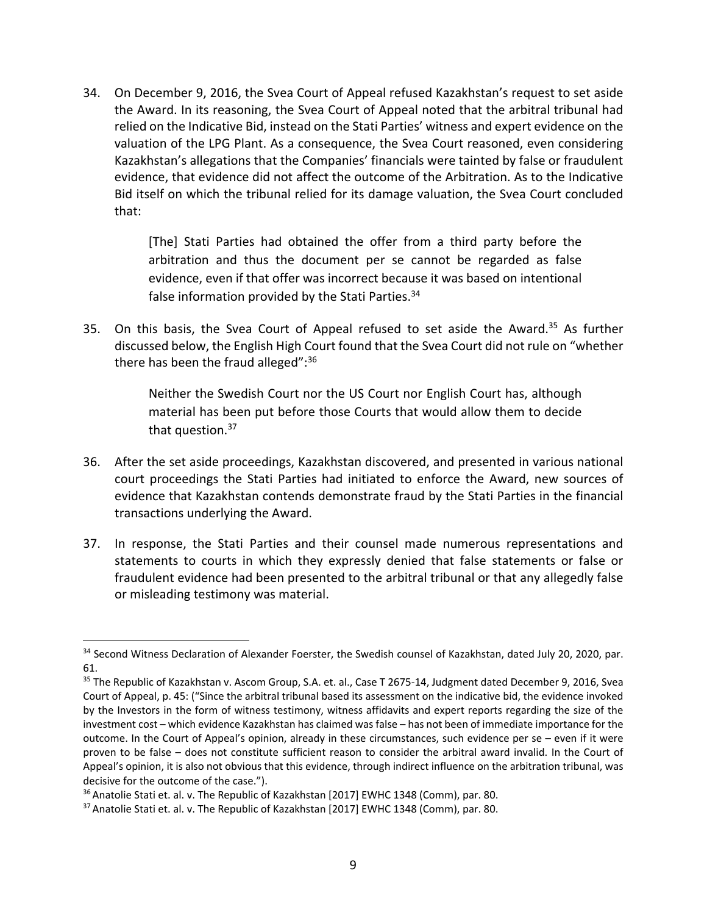34. On December 9, 2016, the Svea Court of Appeal refused Kazakhstan's request to set aside the Award. In its reasoning, the Svea Court of Appeal noted that the arbitral tribunal had relied on the Indicative Bid, instead on the Stati Parties' witness and expert evidence on the valuation of the LPG Plant. As a consequence, the Svea Court reasoned, even considering Kazakhstan's allegations that the Companies' financials were tainted by false or fraudulent evidence, that evidence did not affect the outcome of the Arbitration. As to the Indicative Bid itself on which the tribunal relied for its damage valuation, the Svea Court concluded that:

> [The] Stati Parties had obtained the offer from a third party before the arbitration and thus the document per se cannot be regarded as false evidence, even if that offer was incorrect because it was based on intentional false information provided by the Stati Parties.<sup>34</sup>

35. On this basis, the Svea Court of Appeal refused to set aside the Award.<sup>35</sup> As further discussed below, the English High Court found that the Svea Court did not rule on "whether there has been the fraud alleged": 36

> Neither the Swedish Court nor the US Court nor English Court has, although material has been put before those Courts that would allow them to decide that question.<sup>37</sup>

- 36. After the set aside proceedings, Kazakhstan discovered, and presented in various national court proceedings the Stati Parties had initiated to enforce the Award, new sources of evidence that Kazakhstan contends demonstrate fraud by the Stati Parties in the financial transactions underlying the Award.
- 37. In response, the Stati Parties and their counsel made numerous representations and statements to courts in which they expressly denied that false statements or false or fraudulent evidence had been presented to the arbitral tribunal or that any allegedly false or misleading testimony was material.

1

<sup>34</sup> Second Witness Declaration of Alexander Foerster, the Swedish counsel of Kazakhstan, dated July 20, 2020, par. 61.

<sup>35</sup> The Republic of Kazakhstan v. Ascom Group, S.A. et. al., Case T 2675-14, Judgment dated December 9, 2016, Svea Court of Appeal, p. 45: ("Since the arbitral tribunal based its assessment on the indicative bid, the evidence invoked by the Investors in the form of witness testimony, witness affidavits and expert reports regarding the size of the investment cost – which evidence Kazakhstan has claimed was false – has not been of immediate importance for the outcome. In the Court of Appeal's opinion, already in these circumstances, such evidence per se – even if it were proven to be false – does not constitute sufficient reason to consider the arbitral award invalid. In the Court of Appeal's opinion, it is also not obvious that this evidence, through indirect influence on the arbitration tribunal, was decisive for the outcome of the case.").

<sup>&</sup>lt;sup>36</sup> Anatolie Stati et. al. v. The Republic of Kazakhstan [2017] EWHC 1348 (Comm), par. 80.

<sup>37</sup> Anatolie Stati et. al. v. The Republic of Kazakhstan [2017] EWHC 1348 (Comm), par. 80.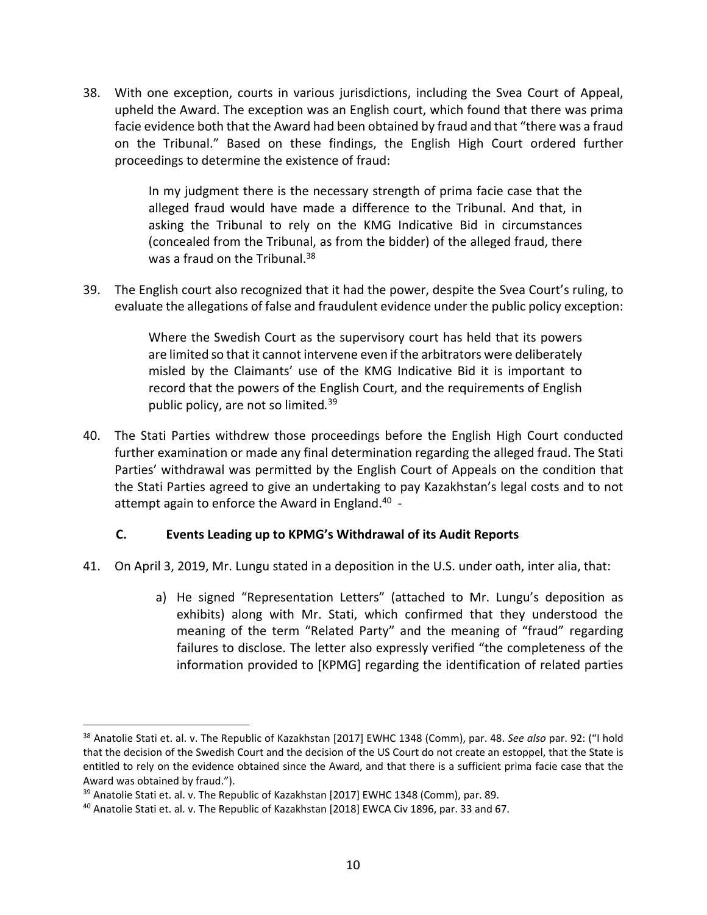38. With one exception, courts in various jurisdictions, including the Svea Court of Appeal, upheld the Award. The exception was an English court, which found that there was prima facie evidence both that the Award had been obtained by fraud and that "there was a fraud on the Tribunal." Based on these findings, the English High Court ordered further proceedings to determine the existence of fraud:

> In my judgment there is the necessary strength of prima facie case that the alleged fraud would have made a difference to the Tribunal. And that, in asking the Tribunal to rely on the KMG Indicative Bid in circumstances (concealed from the Tribunal, as from the bidder) of the alleged fraud, there was a fraud on the Tribunal.<sup>38</sup>

39. The English court also recognized that it had the power, despite the Svea Court's ruling, to evaluate the allegations of false and fraudulent evidence under the public policy exception:

> Where the Swedish Court as the supervisory court has held that its powers are limited so that it cannot intervene even if the arbitrators were deliberately misled by the Claimants' use of the KMG Indicative Bid it is important to record that the powers of the English Court, and the requirements of English public policy, are not so limited*.* 39

40. The Stati Parties withdrew those proceedings before the English High Court conducted further examination or made any final determination regarding the alleged fraud. The Stati Parties' withdrawal was permitted by the English Court of Appeals on the condition that the Stati Parties agreed to give an undertaking to pay Kazakhstan's legal costs and to not attempt again to enforce the Award in England.40 ‐

## **C. Events Leading up to KPMG's Withdrawal of its Audit Reports**

- 41. On April 3, 2019, Mr. Lungu stated in a deposition in the U.S. under oath, inter alia, that:
	- a) He signed "Representation Letters" (attached to Mr. Lungu's deposition as exhibits) along with Mr. Stati, which confirmed that they understood the meaning of the term "Related Party" and the meaning of "fraud" regarding failures to disclose. The letter also expressly verified "the completeness of the information provided to [KPMG] regarding the identification of related parties

<sup>38</sup> Anatolie Stati et. al. v. The Republic of Kazakhstan [2017] EWHC 1348 (Comm), par. 48. *See also* par. 92: ("I hold that the decision of the Swedish Court and the decision of the US Court do not create an estoppel, that the State is entitled to rely on the evidence obtained since the Award, and that there is a sufficient prima facie case that the Award was obtained by fraud.").

<sup>&</sup>lt;sup>39</sup> Anatolie Stati et. al. v. The Republic of Kazakhstan [2017] EWHC 1348 (Comm), par. 89.

<sup>40</sup> Anatolie Stati et. al. v. The Republic of Kazakhstan [2018] EWCA Civ 1896, par. 33 and 67.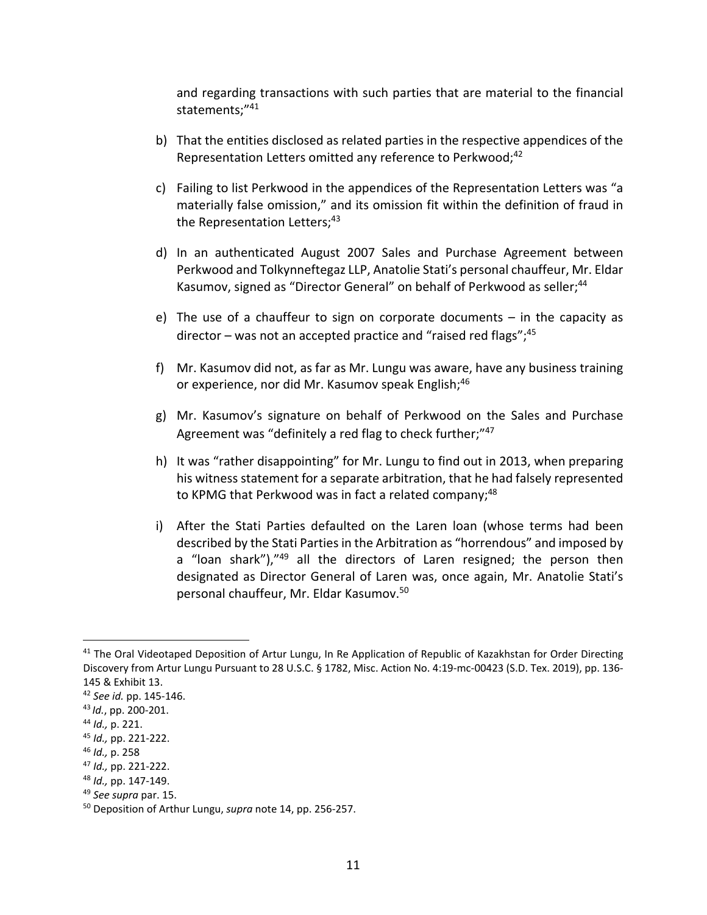and regarding transactions with such parties that are material to the financial statements;"<sup>41</sup>

- b) That the entities disclosed as related parties in the respective appendices of the Representation Letters omitted any reference to Perkwood;<sup>42</sup>
- c) Failing to list Perkwood in the appendices of the Representation Letters was "a materially false omission," and its omission fit within the definition of fraud in the Representation Letters;<sup>43</sup>
- d) In an authenticated August 2007 Sales and Purchase Agreement between Perkwood and Tolkynneftegaz LLP, Anatolie Stati's personal chauffeur, Mr. Eldar Kasumov, signed as "Director General" on behalf of Perkwood as seller;<sup>44</sup>
- e) The use of a chauffeur to sign on corporate documents in the capacity as director – was not an accepted practice and "raised red flags";  $45$
- f) Mr. Kasumov did not, as far as Mr. Lungu was aware, have any business training or experience, nor did Mr. Kasumov speak English;<sup>46</sup>
- g) Mr. Kasumov's signature on behalf of Perkwood on the Sales and Purchase Agreement was "definitely a red flag to check further;"47
- h) It was "rather disappointing" for Mr. Lungu to find out in 2013, when preparing his witness statement for a separate arbitration, that he had falsely represented to KPMG that Perkwood was in fact a related company;<sup>48</sup>
- i) After the Stati Parties defaulted on the Laren loan (whose terms had been described by the Stati Parties in the Arbitration as "horrendous" and imposed by a "loan shark"),"<sup>49</sup> all the directors of Laren resigned; the person then designated as Director General of Laren was, once again, Mr. Anatolie Stati's personal chauffeur, Mr. Eldar Kasumov.50

<sup>&</sup>lt;sup>41</sup> The Oral Videotaped Deposition of Artur Lungu, In Re Application of Republic of Kazakhstan for Order Directing Discovery from Artur Lungu Pursuant to 28 U.S.C. § 1782, Misc. Action No. 4:19-mc-00423 (S.D. Tex. 2019), pp. 136-145 & Exhibit 13.

<sup>42</sup> *See id.* pp. 145‐146.

<sup>43</sup> *Id.*, pp. 200‐201.

<sup>44</sup> *Id.,* p. 221.

<sup>45</sup> *Id.,* pp. 221‐222.

<sup>46</sup> *Id.,* p. 258

<sup>47</sup> *Id.,* pp. 221‐222.

<sup>48</sup> *Id.,* pp. 147‐149.

<sup>49</sup> *See supra* par. 15.

<sup>50</sup> Deposition of Arthur Lungu, *supra* note 14, pp. 256‐257.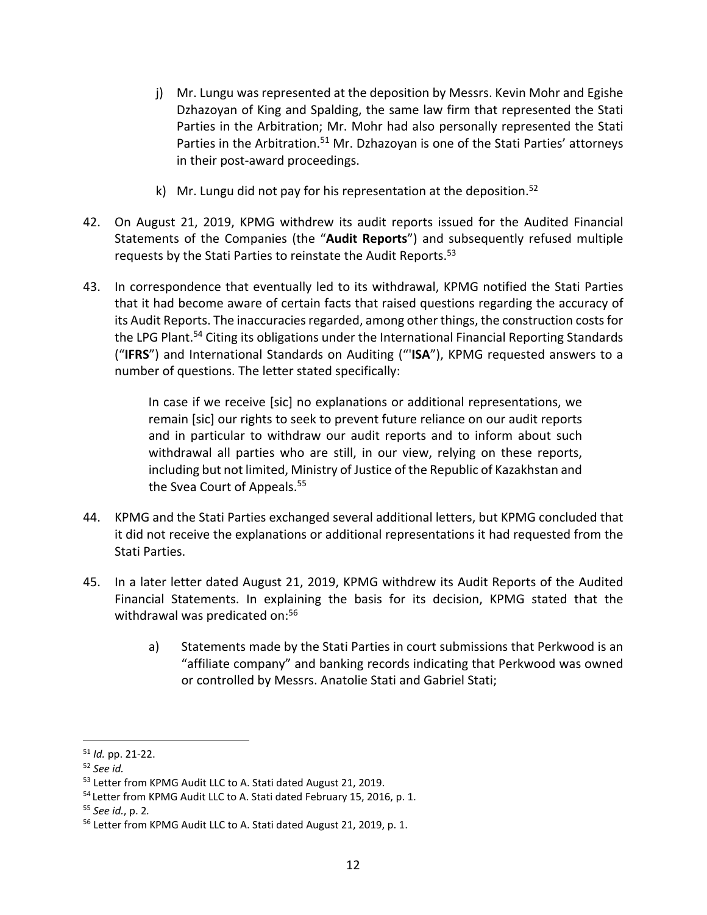- j) Mr. Lungu was represented at the deposition by Messrs. Kevin Mohr and Egishe Dzhazoyan of King and Spalding, the same law firm that represented the Stati Parties in the Arbitration; Mr. Mohr had also personally represented the Stati Parties in the Arbitration.<sup>51</sup> Mr. Dzhazoyan is one of the Stati Parties' attorneys in their post‐award proceedings.
- k) Mr. Lungu did not pay for his representation at the deposition. $52$
- 42. On August 21, 2019, KPMG withdrew its audit reports issued for the Audited Financial Statements of the Companies (the "**Audit Reports**") and subsequently refused multiple requests by the Stati Parties to reinstate the Audit Reports.53
- 43. In correspondence that eventually led to its withdrawal, KPMG notified the Stati Parties that it had become aware of certain facts that raised questions regarding the accuracy of its Audit Reports. The inaccuracies regarded, among other things, the construction costs for the LPG Plant.<sup>54</sup> Citing its obligations under the International Financial Reporting Standards ("**IFRS**") and International Standards on Auditing ("'**ISA**"), KPMG requested answers to a number of questions. The letter stated specifically:

In case if we receive [sic] no explanations or additional representations, we remain [sic] our rights to seek to prevent future reliance on our audit reports and in particular to withdraw our audit reports and to inform about such withdrawal all parties who are still, in our view, relying on these reports, including but not limited, Ministry of Justice of the Republic of Kazakhstan and the Svea Court of Appeals.<sup>55</sup>

- 44. KPMG and the Stati Parties exchanged several additional letters, but KPMG concluded that it did not receive the explanations or additional representations it had requested from the Stati Parties.
- 45. In a later letter dated August 21, 2019, KPMG withdrew its Audit Reports of the Audited Financial Statements. In explaining the basis for its decision, KPMG stated that the withdrawal was predicated on:<sup>56</sup>
	- a) Statements made by the Stati Parties in court submissions that Perkwood is an "affiliate company" and banking records indicating that Perkwood was owned or controlled by Messrs. Anatolie Stati and Gabriel Stati;

 $\overline{a}$ 

<sup>55</sup> *See id.*, p. 2*.*

<sup>51</sup> *Id.* pp. 21‐22.

<sup>52</sup> *See id.*

<sup>53</sup> Letter from KPMG Audit LLC to A. Stati dated August 21, 2019.

<sup>&</sup>lt;sup>54</sup> Letter from KPMG Audit LLC to A. Stati dated February 15, 2016, p. 1.

<sup>56</sup> Letter from KPMG Audit LLC to A. Stati dated August 21, 2019, p. 1.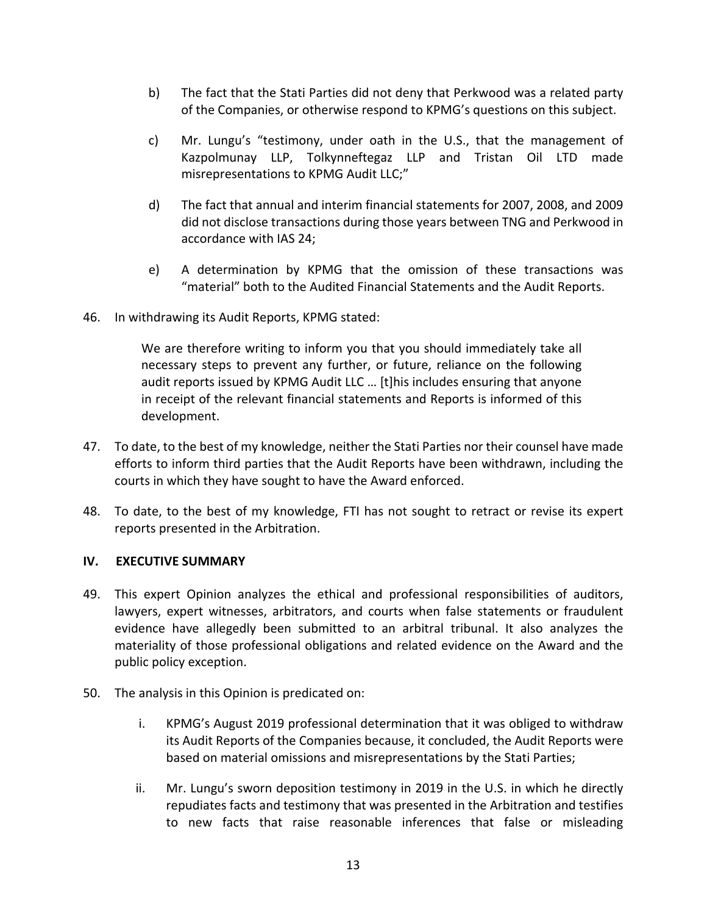- b) The fact that the Stati Parties did not deny that Perkwood was a related party of the Companies, or otherwise respond to KPMG's questions on this subject.
- c) Mr. Lungu's "testimony, under oath in the U.S., that the management of Kazpolmunay LLP, Tolkynneftegaz LLP and Tristan Oil LTD made misrepresentations to KPMG Audit LLC;"
- d) The fact that annual and interim financial statements for 2007, 2008, and 2009 did not disclose transactions during those years between TNG and Perkwood in accordance with IAS 24;
- e) A determination by KPMG that the omission of these transactions was "material" both to the Audited Financial Statements and the Audit Reports.
- 46. In withdrawing its Audit Reports, KPMG stated:

We are therefore writing to inform you that you should immediately take all necessary steps to prevent any further, or future, reliance on the following audit reports issued by KPMG Audit LLC … [t]his includes ensuring that anyone in receipt of the relevant financial statements and Reports is informed of this development.

- 47. To date, to the best of my knowledge, neither the Stati Parties nor their counsel have made efforts to inform third parties that the Audit Reports have been withdrawn, including the courts in which they have sought to have the Award enforced.
- 48. To date, to the best of my knowledge, FTI has not sought to retract or revise its expert reports presented in the Arbitration.

### **IV. EXECUTIVE SUMMARY**

- 49. This expert Opinion analyzes the ethical and professional responsibilities of auditors, lawyers, expert witnesses, arbitrators, and courts when false statements or fraudulent evidence have allegedly been submitted to an arbitral tribunal. It also analyzes the materiality of those professional obligations and related evidence on the Award and the public policy exception.
- 50. The analysis in this Opinion is predicated on:
	- i. KPMG's August 2019 professional determination that it was obliged to withdraw its Audit Reports of the Companies because, it concluded, the Audit Reports were based on material omissions and misrepresentations by the Stati Parties;
	- ii. Mr. Lungu's sworn deposition testimony in 2019 in the U.S. in which he directly repudiates facts and testimony that was presented in the Arbitration and testifies to new facts that raise reasonable inferences that false or misleading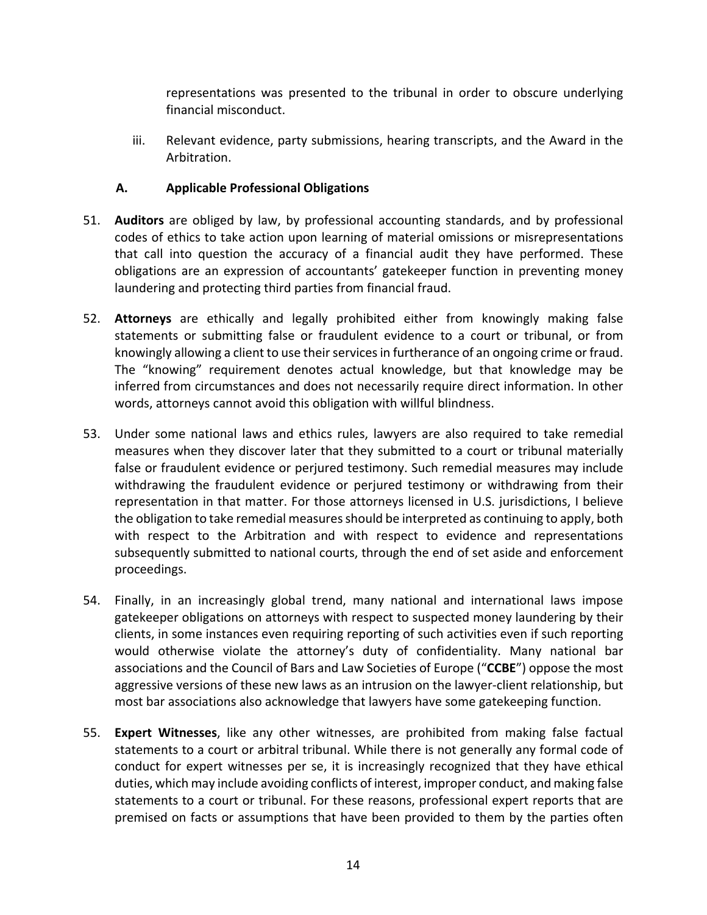representations was presented to the tribunal in order to obscure underlying financial misconduct.

iii. Relevant evidence, party submissions, hearing transcripts, and the Award in the Arbitration.

## **A. Applicable Professional Obligations**

- 51. **Auditors** are obliged by law, by professional accounting standards, and by professional codes of ethics to take action upon learning of material omissions or misrepresentations that call into question the accuracy of a financial audit they have performed. These obligations are an expression of accountants' gatekeeper function in preventing money laundering and protecting third parties from financial fraud.
- 52. **Attorneys** are ethically and legally prohibited either from knowingly making false statements or submitting false or fraudulent evidence to a court or tribunal, or from knowingly allowing a client to use their services in furtherance of an ongoing crime or fraud. The "knowing" requirement denotes actual knowledge, but that knowledge may be inferred from circumstances and does not necessarily require direct information. In other words, attorneys cannot avoid this obligation with willful blindness.
- 53. Under some national laws and ethics rules, lawyers are also required to take remedial measures when they discover later that they submitted to a court or tribunal materially false or fraudulent evidence or perjured testimony. Such remedial measures may include withdrawing the fraudulent evidence or perjured testimony or withdrawing from their representation in that matter. For those attorneys licensed in U.S. jurisdictions, I believe the obligation to take remedial measuresshould be interpreted as continuing to apply, both with respect to the Arbitration and with respect to evidence and representations subsequently submitted to national courts, through the end of set aside and enforcement proceedings.
- 54. Finally, in an increasingly global trend, many national and international laws impose gatekeeper obligations on attorneys with respect to suspected money laundering by their clients, in some instances even requiring reporting of such activities even if such reporting would otherwise violate the attorney's duty of confidentiality. Many national bar associations and the Council of Bars and Law Societies of Europe ("**CCBE**") oppose the most aggressive versions of these new laws as an intrusion on the lawyer‐client relationship, but most bar associations also acknowledge that lawyers have some gatekeeping function.
- 55. **Expert Witnesses**, like any other witnesses, are prohibited from making false factual statements to a court or arbitral tribunal. While there is not generally any formal code of conduct for expert witnesses per se, it is increasingly recognized that they have ethical duties, which may include avoiding conflicts of interest, improper conduct, and making false statements to a court or tribunal. For these reasons, professional expert reports that are premised on facts or assumptions that have been provided to them by the parties often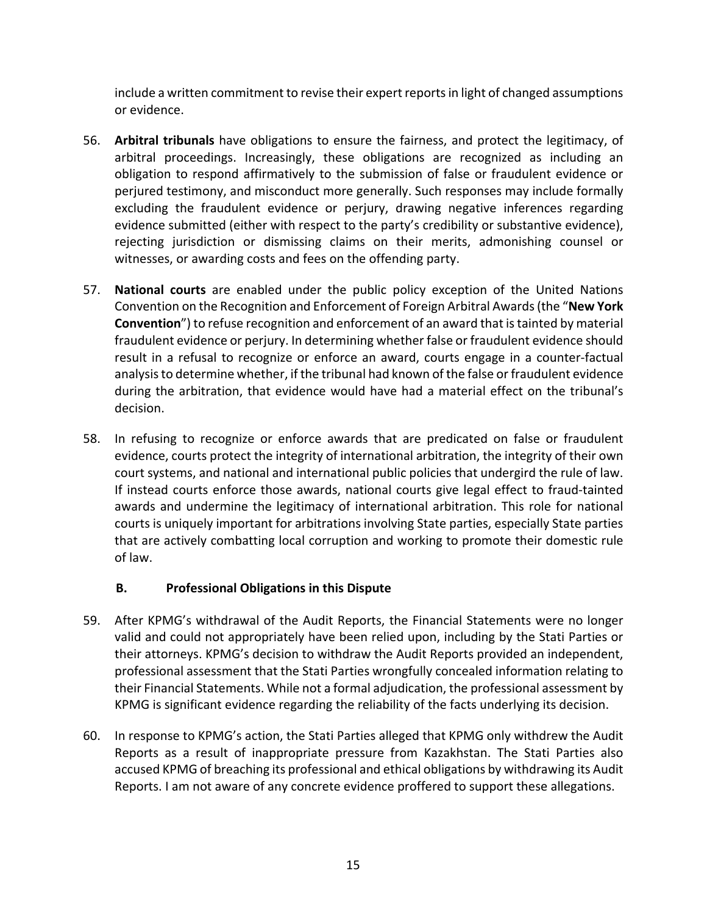include a written commitment to revise their expert reportsin light of changed assumptions or evidence.

- 56. **Arbitral tribunals** have obligations to ensure the fairness, and protect the legitimacy, of arbitral proceedings. Increasingly, these obligations are recognized as including an obligation to respond affirmatively to the submission of false or fraudulent evidence or perjured testimony, and misconduct more generally. Such responses may include formally excluding the fraudulent evidence or perjury, drawing negative inferences regarding evidence submitted (either with respect to the party's credibility or substantive evidence), rejecting jurisdiction or dismissing claims on their merits, admonishing counsel or witnesses, or awarding costs and fees on the offending party.
- 57. **National courts** are enabled under the public policy exception of the United Nations Convention on the Recognition and Enforcement of Foreign Arbitral Awards(the "**New York Convention**") to refuse recognition and enforcement of an award that is tainted by material fraudulent evidence or perjury. In determining whether false or fraudulent evidence should result in a refusal to recognize or enforce an award, courts engage in a counter‐factual analysisto determine whether, if the tribunal had known of the false or fraudulent evidence during the arbitration, that evidence would have had a material effect on the tribunal's decision.
- 58. In refusing to recognize or enforce awards that are predicated on false or fraudulent evidence, courts protect the integrity of international arbitration, the integrity of their own court systems, and national and international public policies that undergird the rule of law. If instead courts enforce those awards, national courts give legal effect to fraud‐tainted awards and undermine the legitimacy of international arbitration. This role for national courts is uniquely important for arbitrations involving State parties, especially State parties that are actively combatting local corruption and working to promote their domestic rule of law.

## **B. Professional Obligations in this Dispute**

- 59. After KPMG's withdrawal of the Audit Reports, the Financial Statements were no longer valid and could not appropriately have been relied upon, including by the Stati Parties or their attorneys. KPMG's decision to withdraw the Audit Reports provided an independent, professional assessment that the Stati Parties wrongfully concealed information relating to their Financial Statements. While not a formal adjudication, the professional assessment by KPMG is significant evidence regarding the reliability of the facts underlying its decision.
- 60. In response to KPMG's action, the Stati Parties alleged that KPMG only withdrew the Audit Reports as a result of inappropriate pressure from Kazakhstan. The Stati Parties also accused KPMG of breaching its professional and ethical obligations by withdrawing its Audit Reports. I am not aware of any concrete evidence proffered to support these allegations.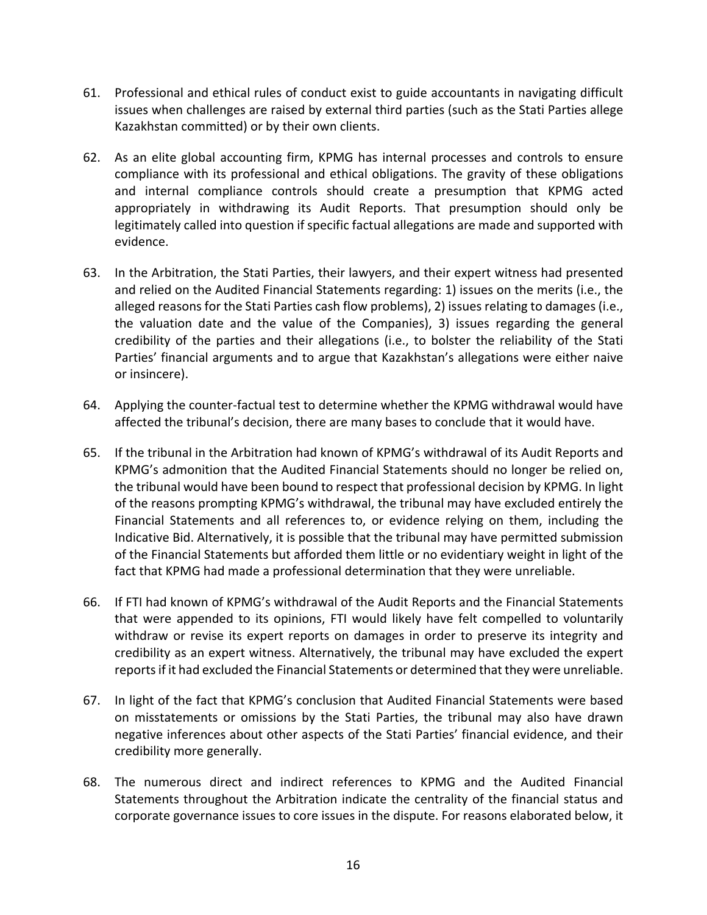- 61. Professional and ethical rules of conduct exist to guide accountants in navigating difficult issues when challenges are raised by external third parties (such as the Stati Parties allege Kazakhstan committed) or by their own clients.
- 62. As an elite global accounting firm, KPMG has internal processes and controls to ensure compliance with its professional and ethical obligations. The gravity of these obligations and internal compliance controls should create a presumption that KPMG acted appropriately in withdrawing its Audit Reports. That presumption should only be legitimately called into question if specific factual allegations are made and supported with evidence.
- 63. In the Arbitration, the Stati Parties, their lawyers, and their expert witness had presented and relied on the Audited Financial Statements regarding: 1) issues on the merits (i.e., the alleged reasons for the Stati Parties cash flow problems), 2) issues relating to damages (i.e., the valuation date and the value of the Companies), 3) issues regarding the general credibility of the parties and their allegations (i.e., to bolster the reliability of the Stati Parties' financial arguments and to argue that Kazakhstan's allegations were either naive or insincere).
- 64. Applying the counter‐factual test to determine whether the KPMG withdrawal would have affected the tribunal's decision, there are many bases to conclude that it would have.
- 65. If the tribunal in the Arbitration had known of KPMG's withdrawal of its Audit Reports and KPMG's admonition that the Audited Financial Statements should no longer be relied on, the tribunal would have been bound to respect that professional decision by KPMG. In light of the reasons prompting KPMG's withdrawal, the tribunal may have excluded entirely the Financial Statements and all references to, or evidence relying on them, including the Indicative Bid. Alternatively, it is possible that the tribunal may have permitted submission of the Financial Statements but afforded them little or no evidentiary weight in light of the fact that KPMG had made a professional determination that they were unreliable.
- 66. If FTI had known of KPMG's withdrawal of the Audit Reports and the Financial Statements that were appended to its opinions, FTI would likely have felt compelled to voluntarily withdraw or revise its expert reports on damages in order to preserve its integrity and credibility as an expert witness. Alternatively, the tribunal may have excluded the expert reportsif it had excluded the Financial Statements or determined that they were unreliable.
- 67. In light of the fact that KPMG's conclusion that Audited Financial Statements were based on misstatements or omissions by the Stati Parties, the tribunal may also have drawn negative inferences about other aspects of the Stati Parties' financial evidence, and their credibility more generally.
- 68. The numerous direct and indirect references to KPMG and the Audited Financial Statements throughout the Arbitration indicate the centrality of the financial status and corporate governance issues to core issues in the dispute. For reasons elaborated below, it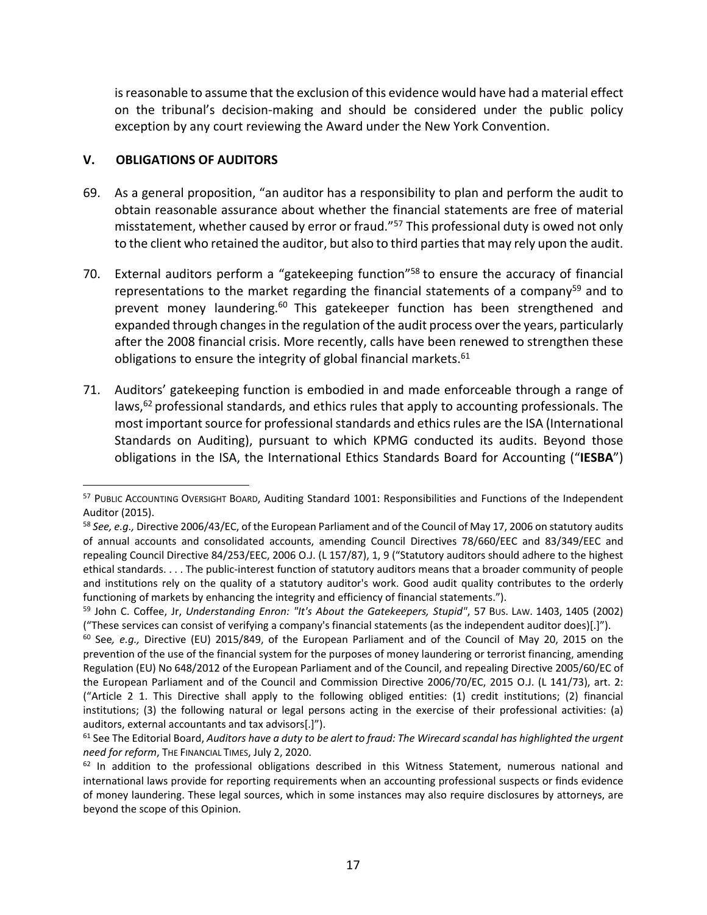is reasonable to assume that the exclusion of this evidence would have had a material effect on the tribunal's decision‐making and should be considered under the public policy exception by any court reviewing the Award under the New York Convention.

### **V. OBLIGATIONS OF AUDITORS**

1

- 69. As a general proposition, "an auditor has a responsibility to plan and perform the audit to obtain reasonable assurance about whether the financial statements are free of material misstatement, whether caused by error or fraud."57 This professional duty is owed not only to the client who retained the auditor, but also to third parties that may rely upon the audit.
- 70. External auditors perform a "gatekeeping function"<sup>58</sup> to ensure the accuracy of financial representations to the market regarding the financial statements of a company<sup>59</sup> and to prevent money laundering.<sup>60</sup> This gatekeeper function has been strengthened and expanded through changes in the regulation of the audit process over the years, particularly after the 2008 financial crisis. More recently, calls have been renewed to strengthen these obligations to ensure the integrity of global financial markets. $61$
- 71. Auditors' gatekeeping function is embodied in and made enforceable through a range of laws,  $62$  professional standards, and ethics rules that apply to accounting professionals. The most important source for professional standards and ethics rules are the ISA (International Standards on Auditing), pursuant to which KPMG conducted its audits. Beyond those obligations in the ISA, the International Ethics Standards Board for Accounting ("**IESBA**")

<sup>&</sup>lt;sup>57</sup> PUBLIC ACCOUNTING OVERSIGHT BOARD, Auditing Standard 1001: Responsibilities and Functions of the Independent Auditor (2015).

<sup>58</sup> *See, e.g.,* Directive 2006/43/EC, of the European Parliament and of the Council of May 17, 2006 on statutory audits of annual accounts and consolidated accounts, amending Council Directives 78/660/EEC and 83/349/EEC and repealing Council Directive 84/253/EEC, 2006 O.J. (L 157/87), 1, 9 ("Statutory auditors should adhere to the highest ethical standards. . . . The public‐interest function of statutory auditors means that a broader community of people and institutions rely on the quality of a statutory auditor's work. Good audit quality contributes to the orderly functioning of markets by enhancing the integrity and efficiency of financial statements.").

<sup>59</sup> John C. Coffee, Jr, *Understanding Enron: "It's About the Gatekeepers, Stupid"*, 57 BUS. LAW. 1403, 1405 (2002) ("These services can consist of verifying a company's financial statements (as the independent auditor does)[.]").

<sup>60</sup> See*, e.g.,* Directive (EU) 2015/849, of the European Parliament and of the Council of May 20, 2015 on the prevention of the use of the financial system for the purposes of money laundering or terrorist financing, amending Regulation (EU) No 648/2012 of the European Parliament and of the Council, and repealing Directive 2005/60/EC of the European Parliament and of the Council and Commission Directive 2006/70/EC, 2015 O.J. (L 141/73), art. 2: ("Article 2 1. This Directive shall apply to the following obliged entities: (1) credit institutions; (2) financial institutions; (3) the following natural or legal persons acting in the exercise of their professional activities: (a) auditors, external accountants and tax advisors[.]").

 $61$  See The Editorial Board, Auditors have a duty to be alert to fraud: The Wirecard scandal has highlighted the urgent *need for reform*, THE FINANCIAL TIMES, July 2, 2020.

 $62$  In addition to the professional obligations described in this Witness Statement, numerous national and international laws provide for reporting requirements when an accounting professional suspects or finds evidence of money laundering. These legal sources, which in some instances may also require disclosures by attorneys, are beyond the scope of this Opinion.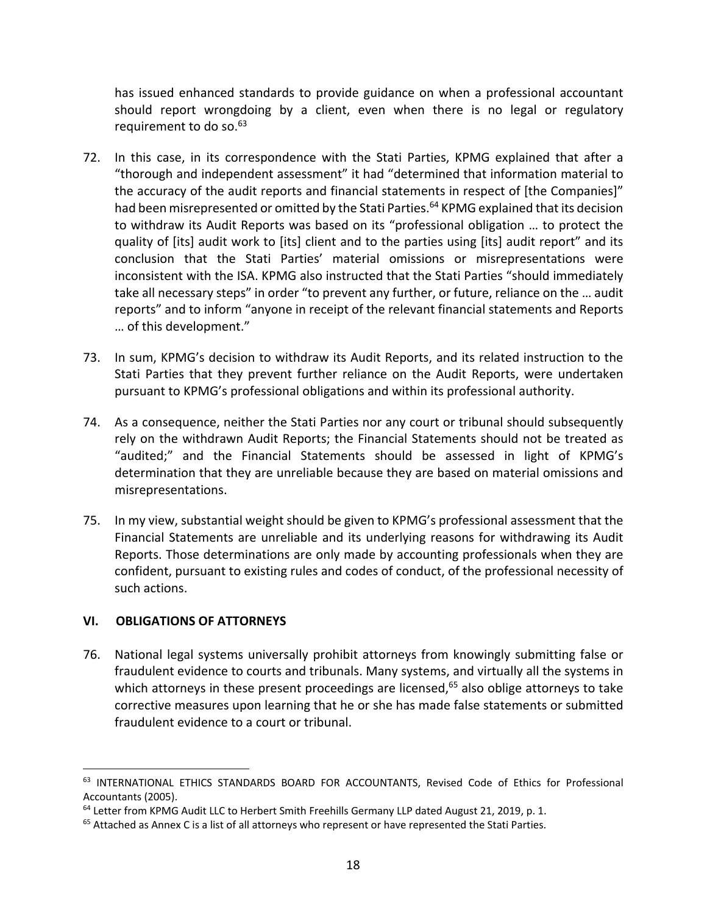has issued enhanced standards to provide guidance on when a professional accountant should report wrongdoing by a client, even when there is no legal or regulatory requirement to do so.<sup>63</sup>

- 72. In this case, in its correspondence with the Stati Parties, KPMG explained that after a "thorough and independent assessment" it had "determined that information material to the accuracy of the audit reports and financial statements in respect of [the Companies]" had been misrepresented or omitted by the Stati Parties.<sup>64</sup> KPMG explained that its decision to withdraw its Audit Reports was based on its "professional obligation … to protect the quality of [its] audit work to [its] client and to the parties using [its] audit report" and its conclusion that the Stati Parties' material omissions or misrepresentations were inconsistent with the ISA. KPMG also instructed that the Stati Parties "should immediately take all necessary steps" in order "to prevent any further, or future, reliance on the … audit reports" and to inform "anyone in receipt of the relevant financial statements and Reports … of this development."
- 73. In sum, KPMG's decision to withdraw its Audit Reports, and its related instruction to the Stati Parties that they prevent further reliance on the Audit Reports, were undertaken pursuant to KPMG's professional obligations and within its professional authority.
- 74. As a consequence, neither the Stati Parties nor any court or tribunal should subsequently rely on the withdrawn Audit Reports; the Financial Statements should not be treated as "audited;" and the Financial Statements should be assessed in light of KPMG's determination that they are unreliable because they are based on material omissions and misrepresentations.
- 75. In my view, substantial weight should be given to KPMG's professional assessment that the Financial Statements are unreliable and its underlying reasons for withdrawing its Audit Reports. Those determinations are only made by accounting professionals when they are confident, pursuant to existing rules and codes of conduct, of the professional necessity of such actions.

## **VI. OBLIGATIONS OF ATTORNEYS**

 $\overline{a}$ 

76. National legal systems universally prohibit attorneys from knowingly submitting false or fraudulent evidence to courts and tribunals. Many systems, and virtually all the systems in which attorneys in these present proceedings are licensed, $65$  also oblige attorneys to take corrective measures upon learning that he or she has made false statements or submitted fraudulent evidence to a court or tribunal.

<sup>63</sup> INTERNATIONAL ETHICS STANDARDS BOARD FOR ACCOUNTANTS, Revised Code of Ethics for Professional Accountants (2005).

<sup>&</sup>lt;sup>64</sup> Letter from KPMG Audit LLC to Herbert Smith Freehills Germany LLP dated August 21, 2019, p. 1.

<sup>&</sup>lt;sup>65</sup> Attached as Annex C is a list of all attorneys who represent or have represented the Stati Parties.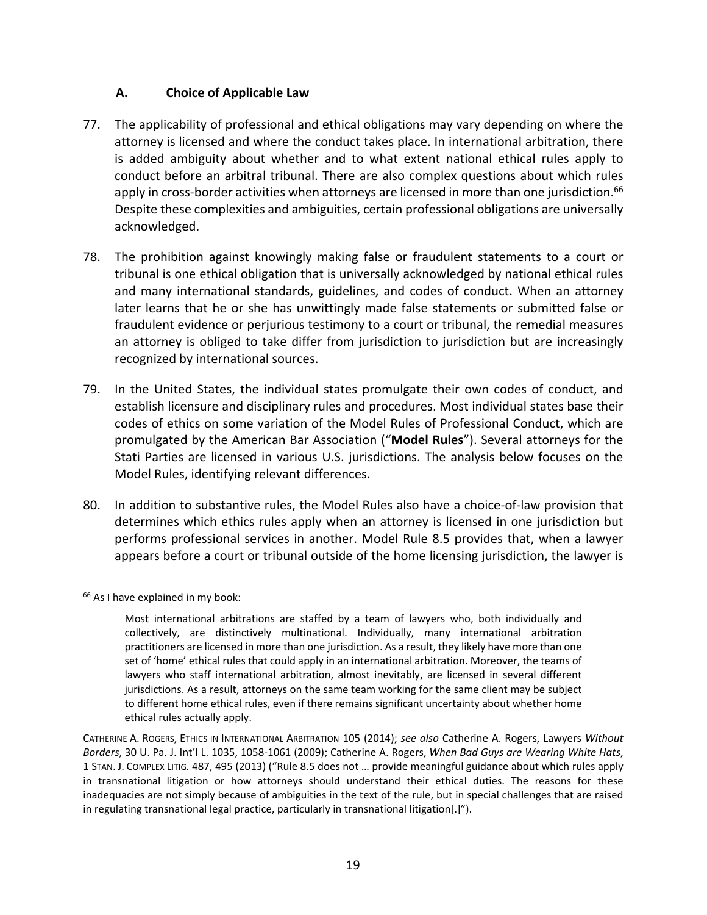## **A. Choice of Applicable Law**

- 77. The applicability of professional and ethical obligations may vary depending on where the attorney is licensed and where the conduct takes place. In international arbitration, there is added ambiguity about whether and to what extent national ethical rules apply to conduct before an arbitral tribunal. There are also complex questions about which rules apply in cross-border activities when attorneys are licensed in more than one jurisdiction.<sup>66</sup> Despite these complexities and ambiguities, certain professional obligations are universally acknowledged.
- 78. The prohibition against knowingly making false or fraudulent statements to a court or tribunal is one ethical obligation that is universally acknowledged by national ethical rules and many international standards, guidelines, and codes of conduct. When an attorney later learns that he or she has unwittingly made false statements or submitted false or fraudulent evidence or perjurious testimony to a court or tribunal, the remedial measures an attorney is obliged to take differ from jurisdiction to jurisdiction but are increasingly recognized by international sources.
- 79. In the United States, the individual states promulgate their own codes of conduct, and establish licensure and disciplinary rules and procedures. Most individual states base their codes of ethics on some variation of the Model Rules of Professional Conduct, which are promulgated by the American Bar Association ("**Model Rules**"). Several attorneys for the Stati Parties are licensed in various U.S. jurisdictions. The analysis below focuses on the Model Rules, identifying relevant differences.
- 80. In addition to substantive rules, the Model Rules also have a choice-of-law provision that determines which ethics rules apply when an attorney is licensed in one jurisdiction but performs professional services in another. Model Rule 8.5 provides that, when a lawyer appears before a court or tribunal outside of the home licensing jurisdiction, the lawyer is

1

<sup>&</sup>lt;sup>66</sup> As I have explained in my book:

Most international arbitrations are staffed by a team of lawyers who, both individually and collectively, are distinctively multinational. Individually, many international arbitration practitioners are licensed in more than one jurisdiction. As a result, they likely have more than one set of 'home' ethical rules that could apply in an international arbitration. Moreover, the teams of lawyers who staff international arbitration, almost inevitably, are licensed in several different jurisdictions. As a result, attorneys on the same team working for the same client may be subject to different home ethical rules, even if there remains significant uncertainty about whether home ethical rules actually apply.

CATHERINE A. ROGERS, ETHICS IN INTERNATIONAL ARBITRATION 105 (2014); *see also* Catherine A. Rogers, Lawyers *Without Borders*, 30 U. Pa. J. Int'l L. 1035, 1058‐1061 (2009); Catherine A. Rogers, *When Bad Guys are Wearing White Hats*, 1 STAN. J. COMPLEX LITIG*.* 487, 495 (2013) ("Rule 8.5 does not … provide meaningful guidance about which rules apply in transnational litigation or how attorneys should understand their ethical duties. The reasons for these inadequacies are not simply because of ambiguities in the text of the rule, but in special challenges that are raised in regulating transnational legal practice, particularly in transnational litigation[.]").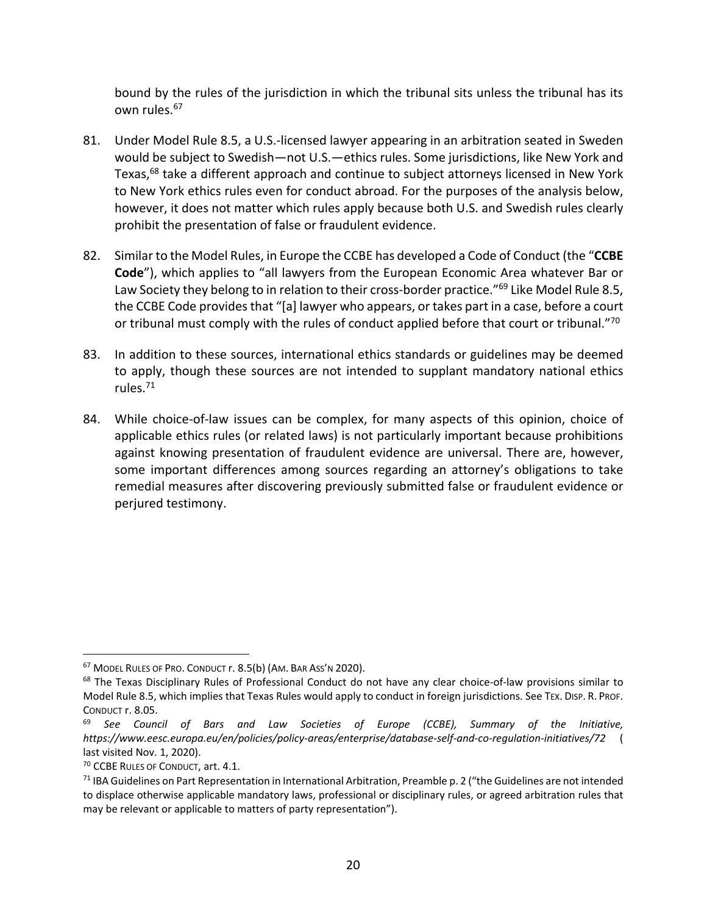bound by the rules of the jurisdiction in which the tribunal sits unless the tribunal has its own rules.67

- 81. Under Model Rule 8.5, a U.S.‐licensed lawyer appearing in an arbitration seated in Sweden would be subject to Swedish—not U.S.—ethics rules. Some jurisdictions, like New York and Texas,<sup>68</sup> take a different approach and continue to subject attorneys licensed in New York to New York ethics rules even for conduct abroad. For the purposes of the analysis below, however, it does not matter which rules apply because both U.S. and Swedish rules clearly prohibit the presentation of false or fraudulent evidence.
- 82. Similar to the Model Rules, in Europe the CCBE has developed a Code of Conduct (the "**CCBE Code**"), which applies to "all lawyers from the European Economic Area whatever Bar or Law Society they belong to in relation to their cross-border practice."<sup>69</sup> Like Model Rule 8.5, the CCBE Code provides that "[a] lawyer who appears, or takes part in a case, before a court or tribunal must comply with the rules of conduct applied before that court or tribunal."<sup>70</sup>
- 83. In addition to these sources, international ethics standards or guidelines may be deemed to apply, though these sources are not intended to supplant mandatory national ethics rules.71
- 84. While choice-of-law issues can be complex, for many aspects of this opinion, choice of applicable ethics rules (or related laws) is not particularly important because prohibitions against knowing presentation of fraudulent evidence are universal. There are, however, some important differences among sources regarding an attorney's obligations to take remedial measures after discovering previously submitted false or fraudulent evidence or perjured testimony.

<sup>&</sup>lt;u>.</u> <sup>67</sup> MODEL RULES OF PRO. CONDUCT r. 8.5(b) (AM. BAR ASS'N 2020).

<sup>68</sup> The Texas Disciplinary Rules of Professional Conduct do not have any clear choice-of-law provisions similar to Model Rule 8.5, which implies that Texas Rules would apply to conduct in foreign jurisdictions. See TEX. DISP. R. PROF. CONDUCT r. 8.05.

<sup>69</sup> *See Council of Bars and Law Societies of Europe (CCBE), Summary of the Initiative, https://www.eesc.europa.eu/en/policies/policy‐areas/enterprise/database‐self‐and‐co‐regulation‐initiatives/72* ( last visited Nov. 1, 2020).

<sup>70</sup> CCBE RULES OF CONDUCT, art. 4.1.

 $71$  IBA Guidelines on Part Representation in International Arbitration, Preamble p. 2 ("the Guidelines are not intended to displace otherwise applicable mandatory laws, professional or disciplinary rules, or agreed arbitration rules that may be relevant or applicable to matters of party representation").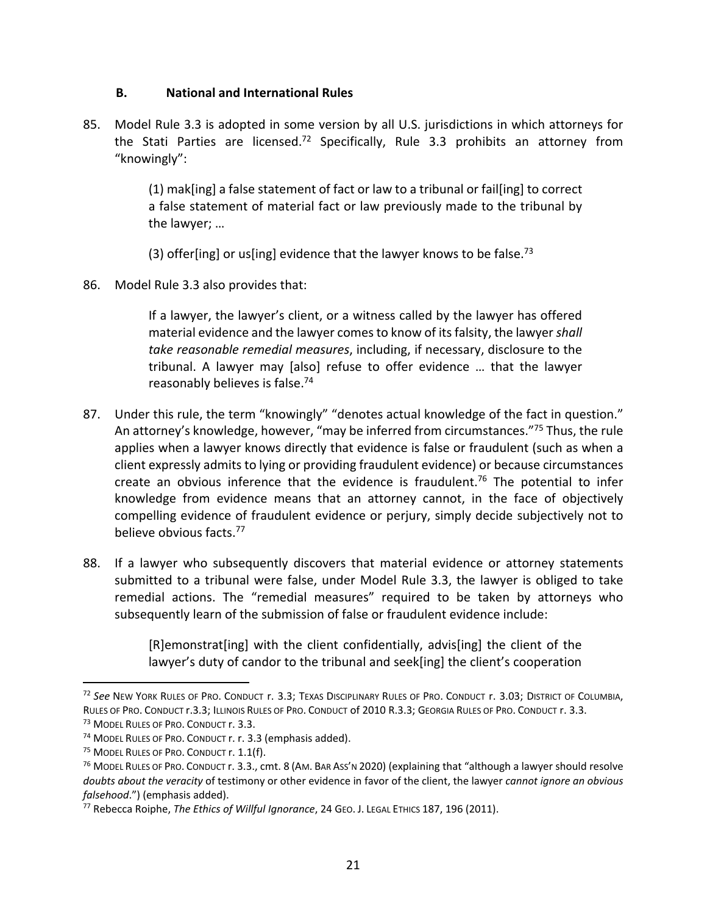### **B. National and International Rules**

85. Model Rule 3.3 is adopted in some version by all U.S. jurisdictions in which attorneys for the Stati Parties are licensed.<sup>72</sup> Specifically, Rule 3.3 prohibits an attorney from "knowingly":

> (1) mak[ing] a false statement of fact or law to a tribunal or fail[ing] to correct a false statement of material fact or law previously made to the tribunal by the lawyer; …

(3) offer[ing] or us[ing] evidence that the lawyer knows to be false.<sup>73</sup>

86. Model Rule 3.3 also provides that:

If a lawyer, the lawyer's client, or a witness called by the lawyer has offered material evidence and the lawyer comesto know of itsfalsity, the lawyer*shall take reasonable remedial measures*, including, if necessary, disclosure to the tribunal. A lawyer may [also] refuse to offer evidence … that the lawyer reasonably believes is false.74

- 87. Under this rule, the term "knowingly" "denotes actual knowledge of the fact in question." An attorney's knowledge, however, "may be inferred from circumstances."75 Thus, the rule applies when a lawyer knows directly that evidence is false or fraudulent (such as when a client expressly admits to lying or providing fraudulent evidence) or because circumstances create an obvious inference that the evidence is fraudulent.<sup>76</sup> The potential to infer knowledge from evidence means that an attorney cannot, in the face of objectively compelling evidence of fraudulent evidence or perjury, simply decide subjectively not to believe obvious facts.77
- 88. If a lawyer who subsequently discovers that material evidence or attorney statements submitted to a tribunal were false, under Model Rule 3.3, the lawyer is obliged to take remedial actions. The "remedial measures" required to be taken by attorneys who subsequently learn of the submission of false or fraudulent evidence include:

[R]emonstrat[ing] with the client confidentially, advis[ing] the client of the lawyer's duty of candor to the tribunal and seek[ing] the client's cooperation

<sup>72</sup> *See* NEW YORK RULES OF PRO. CONDUCT r. 3.3; TEXAS DISCIPLINARY RULES OF PRO. CONDUCT r. 3.03; DISTRICT OF COLUMBIA, RULES OF PRO. CONDUCT r.3.3; ILLINOIS RULES OF PRO. CONDUCT of 2010 R.3.3; GEORGIA RULES OF PRO. CONDUCT r. 3.3. <sup>73</sup> MODEL RULES OF PRO. CONDUCT r. 3.3.

<sup>74</sup> MODEL RULES OF PRO. CONDUCT r. r. 3.3 (emphasis added).

<sup>&</sup>lt;sup>75</sup> MODEL RULES OF PRO. CONDUCT r. 1.1(f).

 $76$  Model Rules of Pro. Conduct r. 3.3., cmt. 8 (Am. BAR Ass'n 2020) (explaining that "although a lawyer should resolve *doubts about the veracity* of testimony or other evidence in favor of the client, the lawyer *cannot ignore an obvious falsehood*.") (emphasis added).

<sup>77</sup> Rebecca Roiphe, *The Ethics of Willful Ignorance*, 24 GEO. J. LEGAL ETHICS 187, 196 (2011).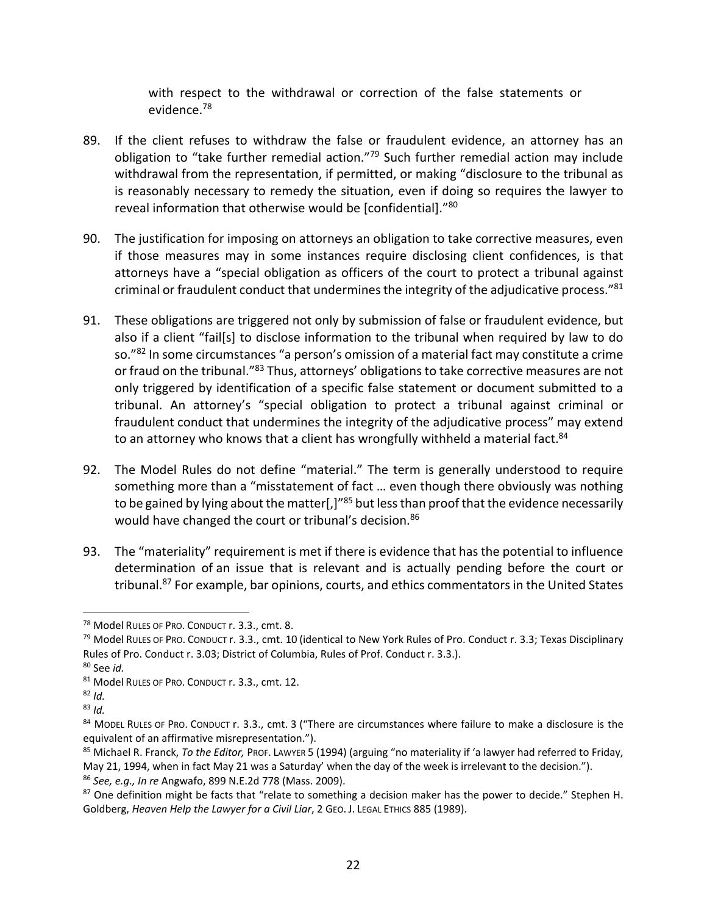with respect to the withdrawal or correction of the false statements or evidence.78

- 89. If the client refuses to withdraw the false or fraudulent evidence, an attorney has an obligation to "take further remedial action."79 Such further remedial action may include withdrawal from the representation, if permitted, or making "disclosure to the tribunal as is reasonably necessary to remedy the situation, even if doing so requires the lawyer to reveal information that otherwise would be [confidential]."80
- 90. The justification for imposing on attorneys an obligation to take corrective measures, even if those measures may in some instances require disclosing client confidences, is that attorneys have a "special obligation as officers of the court to protect a tribunal against criminal or fraudulent conduct that undermines the integrity of the adjudicative process." $81$
- 91. These obligations are triggered not only by submission of false or fraudulent evidence, but also if a client "fail[s] to disclose information to the tribunal when required by law to do so."82 In some circumstances "a person's omission of a material fact may constitute a crime or fraud on the tribunal."<sup>83</sup> Thus, attorneys' obligations to take corrective measures are not only triggered by identification of a specific false statement or document submitted to a tribunal. An attorney's "special obligation to protect a tribunal against criminal or fraudulent conduct that undermines the integrity of the adjudicative process" may extend to an attorney who knows that a client has wrongfully withheld a material fact.<sup>84</sup>
- 92. The Model Rules do not define "material." The term is generally understood to require something more than a "misstatement of fact … even though there obviously was nothing to be gained by lying about the matter[,]"<sup>85</sup> but less than proof that the evidence necessarily would have changed the court or tribunal's decision.<sup>86</sup>
- 93. The "materiality" requirement is met if there is evidence that has the potential to influence determination of an issue that is relevant and is actually pending before the court or tribunal.<sup>87</sup> For example, bar opinions, courts, and ethics commentators in the United States

<sup>78</sup> Model RULES OF PRO. CONDUCT r. 3.3., cmt. 8.

 $79$  Model RuLES OF PRO. CONDUCT r. 3.3., cmt. 10 (identical to New York Rules of Pro. Conduct r. 3.3; Texas Disciplinary Rules of Pro. Conduct r. 3.03; District of Columbia, Rules of Prof. Conduct r. 3.3.).

<sup>80</sup> See *id.*

<sup>81</sup> Model RULES OF PRO. CONDUCT r. 3.3., cmt. 12.

 $82$  *Id.* 

 $83$  *Id.* 

<sup>84</sup> MODEL RULES OF PRO. CONDUCT r. 3.3., cmt. 3 ("There are circumstances where failure to make a disclosure is the equivalent of an affirmative misrepresentation.").

<sup>85</sup> Michael R. Franck, *To the Editor,* PROF. LAWYER 5 (1994) (arguing "no materiality if 'a lawyer had referred to Friday, May 21, 1994, when in fact May 21 was a Saturday' when the day of the week is irrelevant to the decision."). <sup>86</sup> *See, e.g., In re* Angwafo, 899 N.E.2d 778 (Mass. 2009).

<sup>87</sup> One definition might be facts that "relate to something a decision maker has the power to decide." Stephen H. Goldberg, *Heaven Help the Lawyer for a Civil Liar*, 2 GEO. J. LEGAL ETHICS 885 (1989).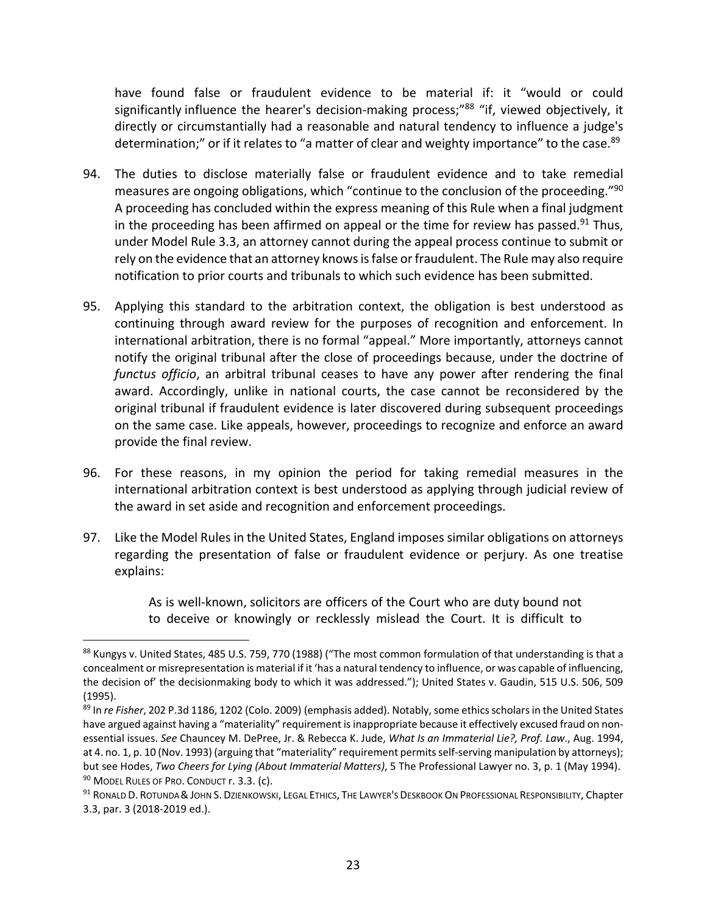have found false or fraudulent evidence to be material if: it "would or could significantly influence the hearer's decision-making process;"88 "if, viewed objectively, it directly or circumstantially had a reasonable and natural tendency to influence a judge's determination;" or if it relates to "a matter of clear and weighty importance" to the case.<sup>89</sup>

- 94. The duties to disclose materially false or fraudulent evidence and to take remedial measures are ongoing obligations, which "continue to the conclusion of the proceeding."90 A proceeding has concluded within the express meaning of this Rule when a final judgment in the proceeding has been affirmed on appeal or the time for review has passed.<sup>91</sup> Thus, under Model Rule 3.3, an attorney cannot during the appeal process continue to submit or rely on the evidence that an attorney knows is false or fraudulent. The Rule may also require notification to prior courts and tribunals to which such evidence has been submitted.
- 95. Applying this standard to the arbitration context, the obligation is best understood as continuing through award review for the purposes of recognition and enforcement. In international arbitration, there is no formal "appeal." More importantly, attorneys cannot notify the original tribunal after the close of proceedings because, under the doctrine of *functus officio*, an arbitral tribunal ceases to have any power after rendering the final award. Accordingly, unlike in national courts, the case cannot be reconsidered by the original tribunal if fraudulent evidence is later discovered during subsequent proceedings on the same case. Like appeals, however, proceedings to recognize and enforce an award provide the final review.
- 96. For these reasons, in my opinion the period for taking remedial measures in the international arbitration context is best understood as applying through judicial review of the award in set aside and recognition and enforcement proceedings.
- 97. Like the Model Rules in the United States, England imposes similar obligations on attorneys regarding the presentation of false or fraudulent evidence or perjury. As one treatise explains:

As is well-known, solicitors are officers of the Court who are duty bound not to deceive or knowingly or recklessly mislead the Court. It is difficult to

<sup>88</sup> Kungys v. United States, 485 U.S. 759, 770 (1988) ("The most common formulation of that understanding is that a concealment or misrepresentation is material if it 'has a natural tendency to influence, or was capable of influencing, the decision of' the decisionmaking body to which it was addressed."); United States v. Gaudin, 515 U.S. 506, 509 (1995).

<sup>89</sup> In *re Fisher*, 202 P.3d 1186, 1202 (Colo. 2009) (emphasis added). Notably, some ethics scholars in the United States have argued against having a "materiality" requirement is inappropriate because it effectively excused fraud on nonessential issues. *See* Chauncey M. DePree, Jr. & Rebecca K. Jude, *What Is an Immaterial Lie?, Prof. Law*., Aug. 1994, at 4. no. 1, p. 10 (Nov. 1993) (arguing that "materiality" requirement permits self-serving manipulation by attorneys); but see Hodes, *Two Cheers for Lying (About Immaterial Matters)*, 5 The Professional Lawyer no. 3, p. 1 (May 1994). 90 MODEL RULES OF PRO. CONDUCT r. 3.3. (c).

<sup>91</sup> RONALD D. ROTUNDA & JOHN S. DZIENKOWSKI, LEGAL ETHICS, THE LAWYER'S DESKBOOK ON PROFESSIONAL RESPONSIBILITY, Chapter 3.3, par. 3 (2018‐2019 ed.).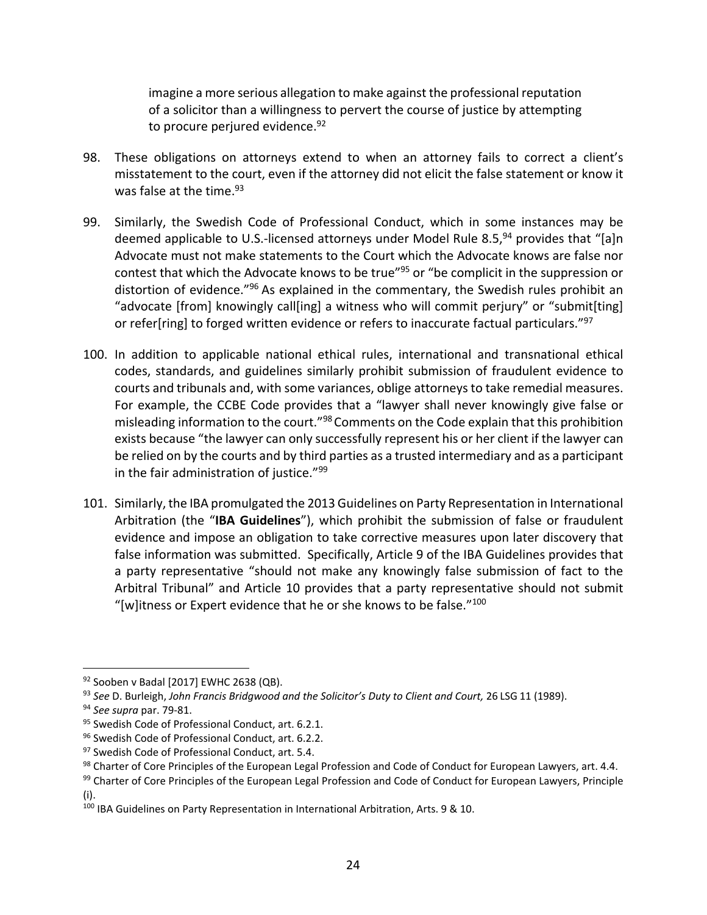imagine a more serious allegation to make against the professional reputation of a solicitor than a willingness to pervert the course of justice by attempting to procure perjured evidence.<sup>92</sup>

- 98. These obligations on attorneys extend to when an attorney fails to correct a client's misstatement to the court, even if the attorney did not elicit the false statement or know it was false at the time.<sup>93</sup>
- 99. Similarly, the Swedish Code of Professional Conduct, which in some instances may be deemed applicable to U.S.-licensed attorneys under Model Rule 8.5,  $94$  provides that "[a]n Advocate must not make statements to the Court which the Advocate knows are false nor contest that which the Advocate knows to be true"<sup>95</sup> or "be complicit in the suppression or distortion of evidence.<sup>"96</sup> As explained in the commentary, the Swedish rules prohibit an "advocate [from] knowingly call[ing] a witness who will commit perjury" or "submit[ting] or refer[ring] to forged written evidence or refers to inaccurate factual particulars."<sup>97</sup>
- 100. In addition to applicable national ethical rules, international and transnational ethical codes, standards, and guidelines similarly prohibit submission of fraudulent evidence to courts and tribunals and, with some variances, oblige attorneys to take remedial measures. For example, the CCBE Code provides that a "lawyer shall never knowingly give false or misleading information to the court."<sup>98</sup> Comments on the Code explain that this prohibition exists because "the lawyer can only successfully represent his or her client if the lawyer can be relied on by the courts and by third parties as a trusted intermediary and as a participant in the fair administration of justice."99
- 101. Similarly, the IBA promulgated the 2013 Guidelines on Party Representation in International Arbitration (the "**IBA Guidelines**"), which prohibit the submission of false or fraudulent evidence and impose an obligation to take corrective measures upon later discovery that false information was submitted. Specifically, Article 9 of the IBA Guidelines provides that a party representative "should not make any knowingly false submission of fact to the Arbitral Tribunal" and Article 10 provides that a party representative should not submit "[w] itness or Expert evidence that he or she knows to be false." $100$

<sup>92</sup> Sooben v Badal [2017] EWHC 2638 (QB).

<sup>93</sup> *See* D. Burleigh, *John Francis Bridgwood and the Solicitor's Duty to Client and Court,* 26 LSG 11 (1989).

<sup>94</sup> *See supra* par. 79‐81.

<sup>&</sup>lt;sup>95</sup> Swedish Code of Professional Conduct, art. 6.2.1.

<sup>96</sup> Swedish Code of Professional Conduct, art. 6.2.2.

<sup>&</sup>lt;sup>97</sup> Swedish Code of Professional Conduct, art. 5.4.

<sup>98</sup> Charter of Core Principles of the European Legal Profession and Code of Conduct for European Lawyers, art. 4.4.

<sup>99</sup> Charter of Core Principles of the European Legal Profession and Code of Conduct for European Lawyers, Principle (i).

<sup>100</sup> IBA Guidelines on Party Representation in International Arbitration, Arts. 9 & 10.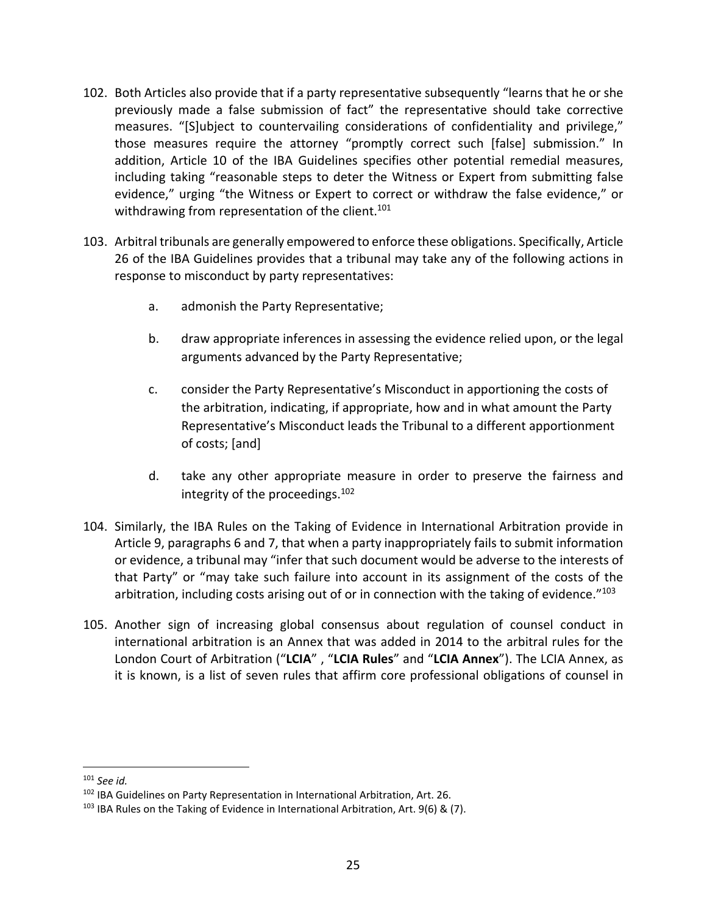- 102. Both Articles also provide that if a party representative subsequently "learns that he or she previously made a false submission of fact" the representative should take corrective measures. "[S]ubject to countervailing considerations of confidentiality and privilege," those measures require the attorney "promptly correct such [false] submission." In addition, Article 10 of the IBA Guidelines specifies other potential remedial measures, including taking "reasonable steps to deter the Witness or Expert from submitting false evidence," urging "the Witness or Expert to correct or withdraw the false evidence," or withdrawing from representation of the client.<sup>101</sup>
- 103. Arbitral tribunals are generally empowered to enforce these obligations. Specifically, Article 26 of the IBA Guidelines provides that a tribunal may take any of the following actions in response to misconduct by party representatives:
	- a. admonish the Party Representative;
	- b. draw appropriate inferences in assessing the evidence relied upon, or the legal arguments advanced by the Party Representative;
	- c. consider the Party Representative's Misconduct in apportioning the costs of the arbitration, indicating, if appropriate, how and in what amount the Party Representative's Misconduct leads the Tribunal to a different apportionment of costs; [and]
	- d. take any other appropriate measure in order to preserve the fairness and integrity of the proceedings.102
- 104. Similarly, the IBA Rules on the Taking of Evidence in International Arbitration provide in Article 9, paragraphs 6 and 7, that when a party inappropriately fails to submit information or evidence, a tribunal may "infer that such document would be adverse to the interests of that Party" or "may take such failure into account in its assignment of the costs of the arbitration, including costs arising out of or in connection with the taking of evidence. $103$
- 105. Another sign of increasing global consensus about regulation of counsel conduct in international arbitration is an Annex that was added in 2014 to the arbitral rules for the London Court of Arbitration ("**LCIA**" , "**LCIA Rules**" and "**LCIA Annex**"). The LCIA Annex, as it is known, is a list of seven rules that affirm core professional obligations of counsel in

<sup>101</sup> *See id.* 

<sup>102</sup> IBA Guidelines on Party Representation in International Arbitration, Art. 26.

<sup>103</sup> IBA Rules on the Taking of Evidence in International Arbitration, Art. 9(6) & (7).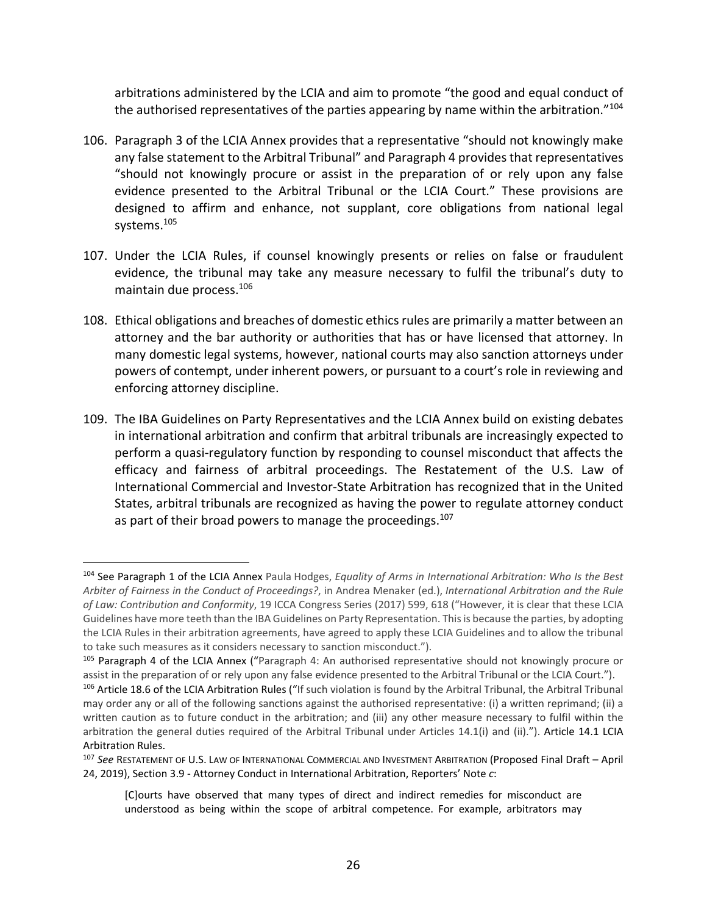arbitrations administered by the LCIA and aim to promote "the good and equal conduct of the authorised representatives of the parties appearing by name within the arbitration."<sup>104</sup>

- 106. Paragraph 3 of the LCIA Annex provides that a representative "should not knowingly make any false statement to the Arbitral Tribunal" and Paragraph 4 provides that representatives "should not knowingly procure or assist in the preparation of or rely upon any false evidence presented to the Arbitral Tribunal or the LCIA Court." These provisions are designed to affirm and enhance, not supplant, core obligations from national legal systems.105
- 107. Under the LCIA Rules, if counsel knowingly presents or relies on false or fraudulent evidence, the tribunal may take any measure necessary to fulfil the tribunal's duty to maintain due process.106
- 108. Ethical obligations and breaches of domestic ethics rules are primarily a matter between an attorney and the bar authority or authorities that has or have licensed that attorney. In many domestic legal systems, however, national courts may also sanction attorneys under powers of contempt, under inherent powers, or pursuant to a court's role in reviewing and enforcing attorney discipline.
- 109. The IBA Guidelines on Party Representatives and the LCIA Annex build on existing debates in international arbitration and confirm that arbitral tribunals are increasingly expected to perform a quasi‐regulatory function by responding to counsel misconduct that affects the efficacy and fairness of arbitral proceedings. The Restatement of the U.S. Law of International Commercial and Investor‐State Arbitration has recognized that in the United States, arbitral tribunals are recognized as having the power to regulate attorney conduct as part of their broad powers to manage the proceedings.<sup>107</sup>

<sup>104</sup> See Paragraph 1 of the LCIA Annex Paula Hodges, *Equality of Arms in International Arbitration: Who Is the Best Arbiter of Fairness in the Conduct of Proceedings?*, in Andrea Menaker (ed.), *International Arbitration and the Rule of Law: Contribution and Conformity*, 19 ICCA Congress Series (2017) 599, 618 ("However, it is clear that these LCIA Guidelines have more teeth than the IBA Guidelines on Party Representation. Thisis because the parties, by adopting the LCIA Rules in their arbitration agreements, have agreed to apply these LCIA Guidelines and to allow the tribunal to take such measures as it considers necessary to sanction misconduct.").

<sup>105</sup> Paragraph 4 of the LCIA Annex ("Paragraph 4: An authorised representative should not knowingly procure or assist in the preparation of or rely upon any false evidence presented to the Arbitral Tribunal or the LCIA Court.").

<sup>106</sup> Article 18.6 of the LCIA Arbitration Rules ("If such violation is found by the Arbitral Tribunal, the Arbitral Tribunal may order any or all of the following sanctions against the authorised representative: (i) a written reprimand; (ii) a written caution as to future conduct in the arbitration; and (iii) any other measure necessary to fulfil within the arbitration the general duties required of the Arbitral Tribunal under Articles 14.1(i) and (ii)."). Article 14.1 LCIA Arbitration Rules.

<sup>107</sup> *See* RESTATEMENT OF U.S. LAW OF INTERNATIONAL COMMERCIAL AND INVESTMENT ARBITRATION (Proposed Final Draft – April 24, 2019), Section 3.9 ‐ Attorney Conduct in International Arbitration, Reporters' Note *c*:

<sup>[</sup>C]ourts have observed that many types of direct and indirect remedies for misconduct are understood as being within the scope of arbitral competence. For example, arbitrators may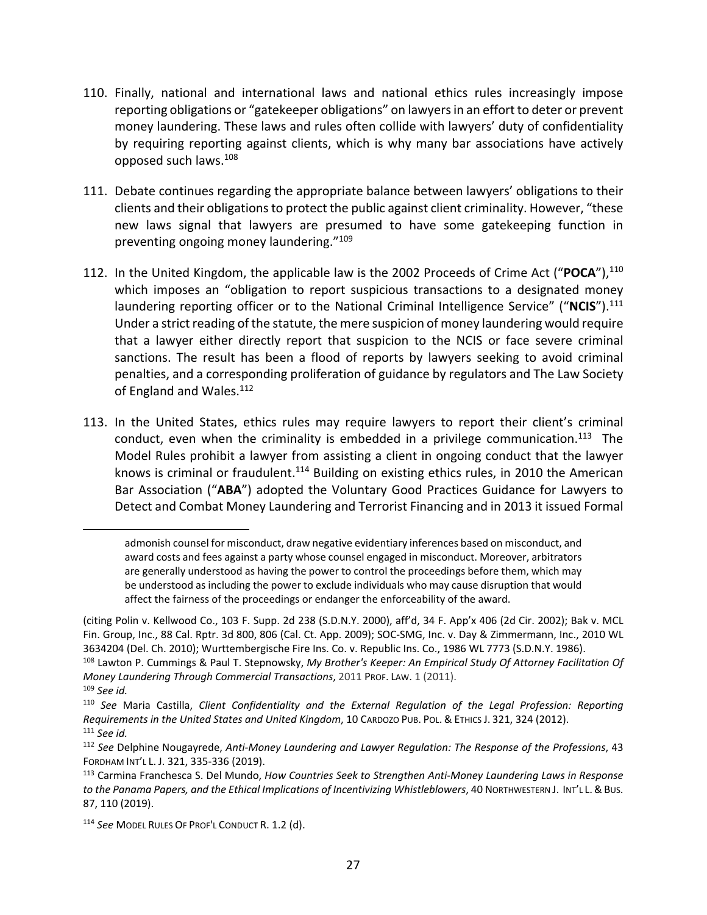- 110. Finally, national and international laws and national ethics rules increasingly impose reporting obligations or "gatekeeper obligations" on lawyersin an effort to deter or prevent money laundering. These laws and rules often collide with lawyers' duty of confidentiality by requiring reporting against clients, which is why many bar associations have actively opposed such laws.108
- 111. Debate continues regarding the appropriate balance between lawyers' obligations to their clients and their obligations to protect the public against client criminality. However, "these new laws signal that lawyers are presumed to have some gatekeeping function in preventing ongoing money laundering."109
- 112. In the United Kingdom, the applicable law is the 2002 Proceeds of Crime Act ("POCA"),<sup>110</sup> which imposes an "obligation to report suspicious transactions to a designated money laundering reporting officer or to the National Criminal Intelligence Service" ("NCIS").<sup>111</sup> Under a strict reading of the statute, the mere suspicion of money laundering would require that a lawyer either directly report that suspicion to the NCIS or face severe criminal sanctions. The result has been a flood of reports by lawyers seeking to avoid criminal penalties, and a corresponding proliferation of guidance by regulators and The Law Society of England and Wales.<sup>112</sup>
- 113. In the United States, ethics rules may require lawyers to report their client's criminal conduct, even when the criminality is embedded in a privilege communication.<sup>113</sup> The Model Rules prohibit a lawyer from assisting a client in ongoing conduct that the lawyer knows is criminal or fraudulent.<sup>114</sup> Building on existing ethics rules, in 2010 the American Bar Association ("**ABA**") adopted the Voluntary Good Practices Guidance for Lawyers to Detect and Combat Money Laundering and Terrorist Financing and in 2013 it issued Formal

<u>.</u>

admonish counsel for misconduct, draw negative evidentiary inferences based on misconduct, and award costs and fees against a party whose counsel engaged in misconduct. Moreover, arbitrators are generally understood as having the power to control the proceedings before them, which may be understood as including the power to exclude individuals who may cause disruption that would affect the fairness of the proceedings or endanger the enforceability of the award.

<sup>(</sup>citing Polin v. Kellwood Co., 103 F. Supp. 2d 238 (S.D.N.Y. 2000), aff'd, 34 F. App'x 406 (2d Cir. 2002); Bak v. MCL Fin. Group, Inc., 88 Cal. Rptr. 3d 800, 806 (Cal. Ct. App. 2009); SOC‐SMG, Inc. v. Day & Zimmermann, Inc., 2010 WL 3634204 (Del. Ch. 2010); Wurttembergische Fire Ins. Co. v. Republic Ins. Co., 1986 WL 7773 (S.D.N.Y. 1986).

<sup>108</sup> Lawton P. Cummings & Paul T. Stepnowsky, *My Brother's Keeper: An Empirical Study Of Attorney Facilitation Of Money Laundering Through Commercial Transactions*, 2011 PROF. LAW. 1 (2011).

<sup>109</sup> *See id.*

<sup>110</sup> *See* Maria Castilla, *Client Confidentiality and the External Regulation of the Legal Profession: Reporting Requirements in the United States and United Kingdom*, 10 CARDOZO PUB. POL. & ETHICS J. 321, 324 (2012). <sup>111</sup> *See id.* 

<sup>112</sup> *See* Delphine Nougayrede, *Anti‐Money Laundering and Lawyer Regulation: The Response of the Professions*, 43 FORDHAM INT'L L. J. 321, 335‐336 (2019).

<sup>113</sup> Carmina Franchesca S. Del Mundo, *How Countries Seek to Strengthen Anti‐Money Laundering Laws in Response to the Panama Papers, and the Ethical Implications of Incentivizing Whistleblowers*, 40 NORTHWESTERN J. INT'L L.&BUS. 87, 110 (2019).

<sup>114</sup> *See* MODEL RULES OF PROF'L CONDUCT R. 1.2 (d).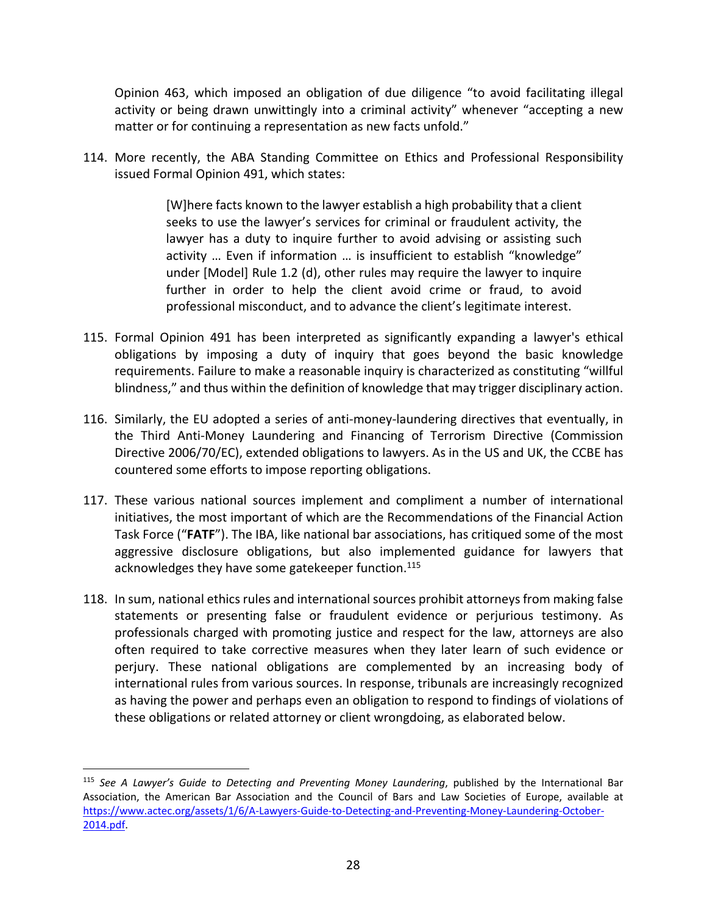Opinion 463, which imposed an obligation of due diligence "to avoid facilitating illegal activity or being drawn unwittingly into a criminal activity" whenever "accepting a new matter or for continuing a representation as new facts unfold."

114. More recently, the ABA Standing Committee on Ethics and Professional Responsibility issued Formal Opinion 491, which states:

> [W]here facts known to the lawyer establish a high probability that a client seeks to use the lawyer's services for criminal or fraudulent activity, the lawyer has a duty to inquire further to avoid advising or assisting such activity … Even if information … is insufficient to establish "knowledge" under [Model] Rule 1.2 (d), other rules may require the lawyer to inquire further in order to help the client avoid crime or fraud, to avoid professional misconduct, and to advance the client's legitimate interest.

- 115. Formal Opinion 491 has been interpreted as significantly expanding a lawyer's ethical obligations by imposing a duty of inquiry that goes beyond the basic knowledge requirements. Failure to make a reasonable inquiry is characterized as constituting "willful blindness," and thus within the definition of knowledge that may trigger disciplinary action.
- 116. Similarly, the EU adopted a series of anti-money-laundering directives that eventually, in the Third Anti‐Money Laundering and Financing of Terrorism Directive (Commission Directive 2006/70/EC), extended obligations to lawyers. As in the US and UK, the CCBE has countered some efforts to impose reporting obligations.
- 117. These various national sources implement and compliment a number of international initiatives, the most important of which are the Recommendations of the Financial Action Task Force ("**FATF**"). The IBA, like national bar associations, has critiqued some of the most aggressive disclosure obligations, but also implemented guidance for lawyers that acknowledges they have some gatekeeper function.<sup>115</sup>
- 118. In sum, national ethics rules and international sources prohibit attorneys from making false statements or presenting false or fraudulent evidence or perjurious testimony. As professionals charged with promoting justice and respect for the law, attorneys are also often required to take corrective measures when they later learn of such evidence or perjury. These national obligations are complemented by an increasing body of international rules from various sources. In response, tribunals are increasingly recognized as having the power and perhaps even an obligation to respond to findings of violations of these obligations or related attorney or client wrongdoing, as elaborated below.

<sup>115</sup> *See A Lawyer's Guide to Detecting and Preventing Money Laundering*, published by the International Bar Association, the American Bar Association and the Council of Bars and Law Societies of Europe, available at https://www.actec.org/assets/1/6/A‐Lawyers‐Guide‐to‐Detecting‐and‐Preventing‐Money‐Laundering‐October‐ 2014.pdf.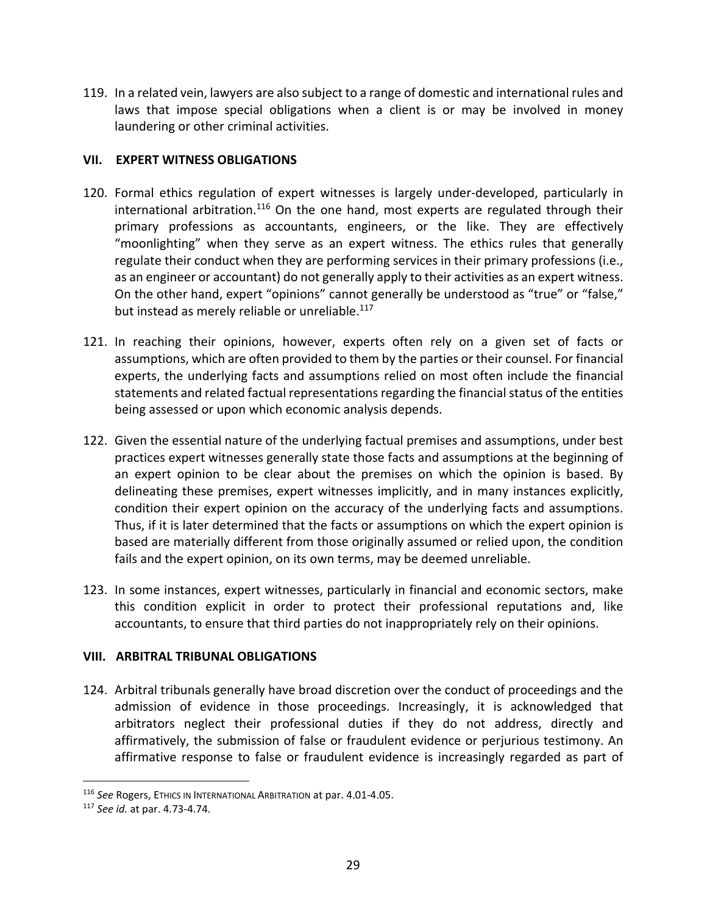119. In a related vein, lawyers are also subject to a range of domestic and international rules and laws that impose special obligations when a client is or may be involved in money laundering or other criminal activities.

### **VII. EXPERT WITNESS OBLIGATIONS**

- 120. Formal ethics regulation of expert witnesses is largely under-developed, particularly in international arbitration.<sup>116</sup> On the one hand, most experts are regulated through their primary professions as accountants, engineers, or the like. They are effectively "moonlighting" when they serve as an expert witness. The ethics rules that generally regulate their conduct when they are performing services in their primary professions (i.e., as an engineer or accountant) do not generally apply to their activities as an expert witness. On the other hand, expert "opinions" cannot generally be understood as "true" or "false," but instead as merely reliable or unreliable.<sup>117</sup>
- 121. In reaching their opinions, however, experts often rely on a given set of facts or assumptions, which are often provided to them by the parties or their counsel. For financial experts, the underlying facts and assumptions relied on most often include the financial statements and related factual representations regarding the financial status of the entities being assessed or upon which economic analysis depends.
- 122. Given the essential nature of the underlying factual premises and assumptions, under best practices expert witnesses generally state those facts and assumptions at the beginning of an expert opinion to be clear about the premises on which the opinion is based. By delineating these premises, expert witnesses implicitly, and in many instances explicitly, condition their expert opinion on the accuracy of the underlying facts and assumptions. Thus, if it is later determined that the facts or assumptions on which the expert opinion is based are materially different from those originally assumed or relied upon, the condition fails and the expert opinion, on its own terms, may be deemed unreliable.
- 123. In some instances, expert witnesses, particularly in financial and economic sectors, make this condition explicit in order to protect their professional reputations and, like accountants, to ensure that third parties do not inappropriately rely on their opinions.

## **VIII. ARBITRAL TRIBUNAL OBLIGATIONS**

124. Arbitral tribunals generally have broad discretion over the conduct of proceedings and the admission of evidence in those proceedings. Increasingly, it is acknowledged that arbitrators neglect their professional duties if they do not address, directly and affirmatively, the submission of false or fraudulent evidence or perjurious testimony. An affirmative response to false or fraudulent evidence is increasingly regarded as part of

<sup>116</sup> *See* Rogers, ETHICS IN INTERNATIONAL ARBITRATION at par. 4.01‐4.05.

<sup>117</sup> *See id.* at par. 4.73‐4.74.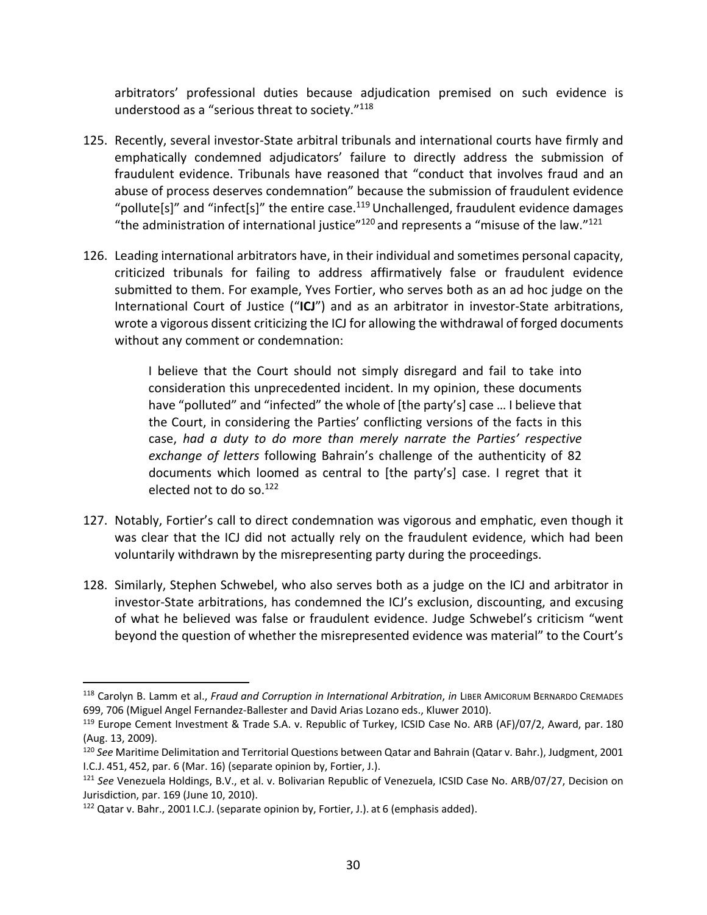arbitrators' professional duties because adjudication premised on such evidence is understood as a "serious threat to society."118

- 125. Recently, several investor‐State arbitral tribunals and international courts have firmly and emphatically condemned adjudicators' failure to directly address the submission of fraudulent evidence. Tribunals have reasoned that "conduct that involves fraud and an abuse of process deserves condemnation" because the submission of fraudulent evidence "pollute[s]" and "infect[s]" the entire case.<sup>119</sup> Unchallenged, fraudulent evidence damages "the administration of international justice" $120$  and represents a "misuse of the law." $121$
- 126. Leading international arbitrators have, in their individual and sometimes personal capacity, criticized tribunals for failing to address affirmatively false or fraudulent evidence submitted to them. For example, Yves Fortier, who serves both as an ad hoc judge on the International Court of Justice ("**ICJ**") and as an arbitrator in investor‐State arbitrations, wrote a vigorous dissent criticizing the ICJ for allowing the withdrawal of forged documents without any comment or condemnation:

I believe that the Court should not simply disregard and fail to take into consideration this unprecedented incident. In my opinion, these documents have "polluted" and "infected" the whole of [the party's] case … I believe that the Court, in considering the Parties' conflicting versions of the facts in this case, *had a duty to do more than merely narrate the Parties' respective exchange of letters* following Bahrain's challenge of the authenticity of 82 documents which loomed as central to [the party's] case. I regret that it elected not to do so.122

- 127. Notably, Fortier's call to direct condemnation was vigorous and emphatic, even though it was clear that the ICJ did not actually rely on the fraudulent evidence, which had been voluntarily withdrawn by the misrepresenting party during the proceedings.
- 128. Similarly, Stephen Schwebel, who also serves both as a judge on the ICJ and arbitrator in investor‐State arbitrations, has condemned the ICJ's exclusion, discounting, and excusing of what he believed was false or fraudulent evidence. Judge Schwebel's criticism "went beyond the question of whether the misrepresented evidence was material" to the Court's

1

<sup>118</sup> Carolyn B. Lamm et al., *Fraud and Corruption in International Arbitration*, *in* LIBER AMICORUM BERNARDO CREMADES 699, 706 (Miguel Angel Fernandez‐Ballester and David Arias Lozano eds., Kluwer 2010).

<sup>119</sup> Europe Cement Investment & Trade S.A. v. Republic of Turkey, ICSID Case No. ARB (AF)/07/2, Award, par. 180 (Aug. 13, 2009).

<sup>120</sup> *See* Maritime Delimitation and Territorial Questions between Qatar and Bahrain (Qatar v. Bahr.), Judgment, 2001 I.C.J. 451, 452, par. 6 (Mar. 16) (separate opinion by, Fortier, J.).

<sup>121</sup> *See* Venezuela Holdings, B.V., et al. v. Bolivarian Republic of Venezuela, ICSID Case No. ARB/07/27, Decision on Jurisdiction, par. 169 (June 10, 2010).

<sup>122</sup> Qatar v. Bahr., 2001 I.C.J. (separate opinion by, Fortier, J.). at 6 (emphasis added).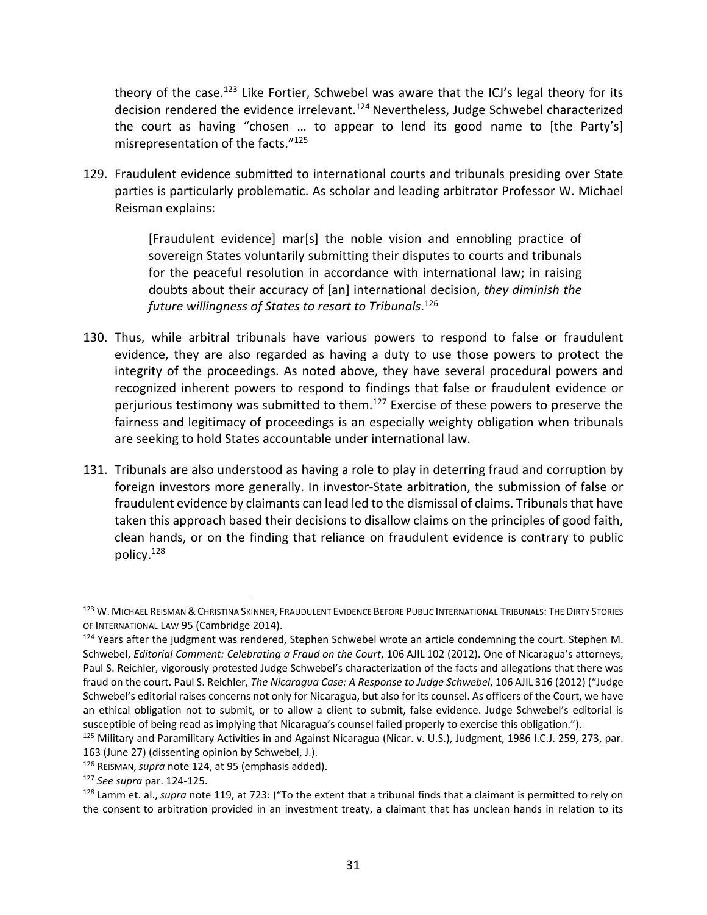theory of the case.<sup>123</sup> Like Fortier, Schwebel was aware that the ICJ's legal theory for its decision rendered the evidence irrelevant.<sup>124</sup> Nevertheless, Judge Schwebel characterized the court as having "chosen … to appear to lend its good name to [the Party's] misrepresentation of the facts."125

129. Fraudulent evidence submitted to international courts and tribunals presiding over State parties is particularly problematic. As scholar and leading arbitrator Professor W. Michael Reisman explains:

> [Fraudulent evidence] mar[s] the noble vision and ennobling practice of sovereign States voluntarily submitting their disputes to courts and tribunals for the peaceful resolution in accordance with international law; in raising doubts about their accuracy of [an] international decision, *they diminish the future willingness of States to resort to Tribunals*. <sup>126</sup>

- 130. Thus, while arbitral tribunals have various powers to respond to false or fraudulent evidence, they are also regarded as having a duty to use those powers to protect the integrity of the proceedings. As noted above, they have several procedural powers and recognized inherent powers to respond to findings that false or fraudulent evidence or perjurious testimony was submitted to them.127 Exercise of these powers to preserve the fairness and legitimacy of proceedings is an especially weighty obligation when tribunals are seeking to hold States accountable under international law.
- 131. Tribunals are also understood as having a role to play in deterring fraud and corruption by foreign investors more generally. In investor‐State arbitration, the submission of false or fraudulent evidence by claimants can lead led to the dismissal of claims. Tribunals that have taken this approach based their decisions to disallow claims on the principles of good faith, clean hands, or on the finding that reliance on fraudulent evidence is contrary to public policy.128

<sup>123</sup> W. MICHAEL REISMAN & CHRISTINA SKINNER, FRAUDULENT EVIDENCE BEFORE PUBLIC INTERNATIONAL TRIBUNALS: THE DIRTY STORIES OF INTERNATIONAL LAW 95 (Cambridge 2014).

<sup>&</sup>lt;sup>124</sup> Years after the judgment was rendered, Stephen Schwebel wrote an article condemning the court. Stephen M. Schwebel, *Editorial Comment: Celebrating a Fraud on the Court*, 106 AJIL 102 (2012). One of Nicaragua's attorneys, Paul S. Reichler, vigorously protested Judge Schwebel's characterization of the facts and allegations that there was fraud on the court. Paul S. Reichler, *The Nicaragua Case: A Response to Judge Schwebel*, 106 AJIL 316 (2012) ("Judge Schwebel's editorial raises concerns not only for Nicaragua, but also for its counsel. As officers of the Court, we have an ethical obligation not to submit, or to allow a client to submit, false evidence. Judge Schwebel's editorial is susceptible of being read as implying that Nicaragua's counsel failed properly to exercise this obligation.").

<sup>&</sup>lt;sup>125</sup> Military and Paramilitary Activities in and Against Nicaragua (Nicar. v. U.S.), Judgment, 1986 I.C.J. 259, 273, par. 163 (June 27) (dissenting opinion by Schwebel, J.).

<sup>126</sup> REISMAN,*supra* note 124, at 95 (emphasis added).

<sup>127</sup> *See supra* par. 124‐125.

<sup>128</sup> Lamm et. al., *supra* note 119, at 723: ("To the extent that a tribunal finds that a claimant is permitted to rely on the consent to arbitration provided in an investment treaty, a claimant that has unclean hands in relation to its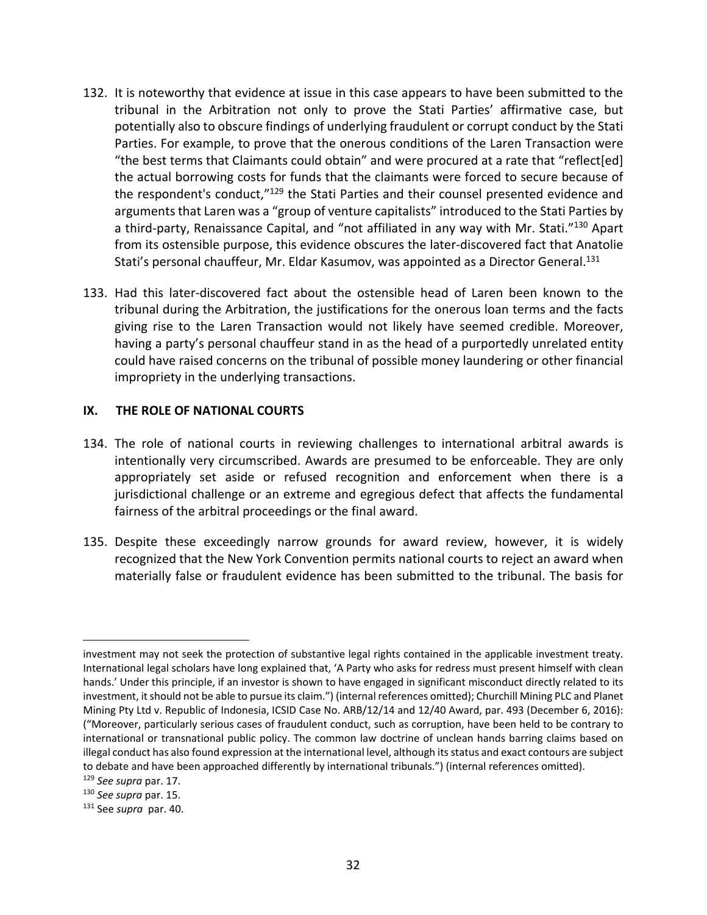- 132. It is noteworthy that evidence at issue in this case appears to have been submitted to the tribunal in the Arbitration not only to prove the Stati Parties' affirmative case, but potentially also to obscure findings of underlying fraudulent or corrupt conduct by the Stati Parties. For example, to prove that the onerous conditions of the Laren Transaction were "the best terms that Claimants could obtain" and were procured at a rate that "reflect[ed] the actual borrowing costs for funds that the claimants were forced to secure because of the respondent's conduct,"<sup>129</sup> the Stati Parties and their counsel presented evidence and arguments that Laren was a "group of venture capitalists" introduced to the Stati Parties by a third-party, Renaissance Capital, and "not affiliated in any way with Mr. Stati."<sup>130</sup> Apart from its ostensible purpose, this evidence obscures the later-discovered fact that Anatolie Stati's personal chauffeur, Mr. Eldar Kasumov, was appointed as a Director General.<sup>131</sup>
- 133. Had this later‐discovered fact about the ostensible head of Laren been known to the tribunal during the Arbitration, the justifications for the onerous loan terms and the facts giving rise to the Laren Transaction would not likely have seemed credible. Moreover, having a party's personal chauffeur stand in as the head of a purportedly unrelated entity could have raised concerns on the tribunal of possible money laundering or other financial impropriety in the underlying transactions.

### **IX. THE ROLE OF NATIONAL COURTS**

- 134. The role of national courts in reviewing challenges to international arbitral awards is intentionally very circumscribed. Awards are presumed to be enforceable. They are only appropriately set aside or refused recognition and enforcement when there is a jurisdictional challenge or an extreme and egregious defect that affects the fundamental fairness of the arbitral proceedings or the final award.
- 135. Despite these exceedingly narrow grounds for award review, however, it is widely recognized that the New York Convention permits national courts to reject an award when materially false or fraudulent evidence has been submitted to the tribunal. The basis for

1

investment may not seek the protection of substantive legal rights contained in the applicable investment treaty. International legal scholars have long explained that, 'A Party who asks for redress must present himself with clean hands.' Under this principle, if an investor is shown to have engaged in significant misconduct directly related to its investment, it should not be able to pursue its claim.") (internal references omitted); Churchill Mining PLC and Planet Mining Pty Ltd v. Republic of Indonesia, ICSID Case No. ARB/12/14 and 12/40 Award, par. 493 (December 6, 2016): ("Moreover, particularly serious cases of fraudulent conduct, such as corruption, have been held to be contrary to international or transnational public policy. The common law doctrine of unclean hands barring claims based on illegal conduct has also found expression at the international level, although its status and exact contours are subject to debate and have been approached differently by international tribunals.") (internal references omitted). <sup>129</sup> *See supra* par. 17.

<sup>130</sup> *See supra* par. 15.

<sup>131</sup> See *supra* par. 40.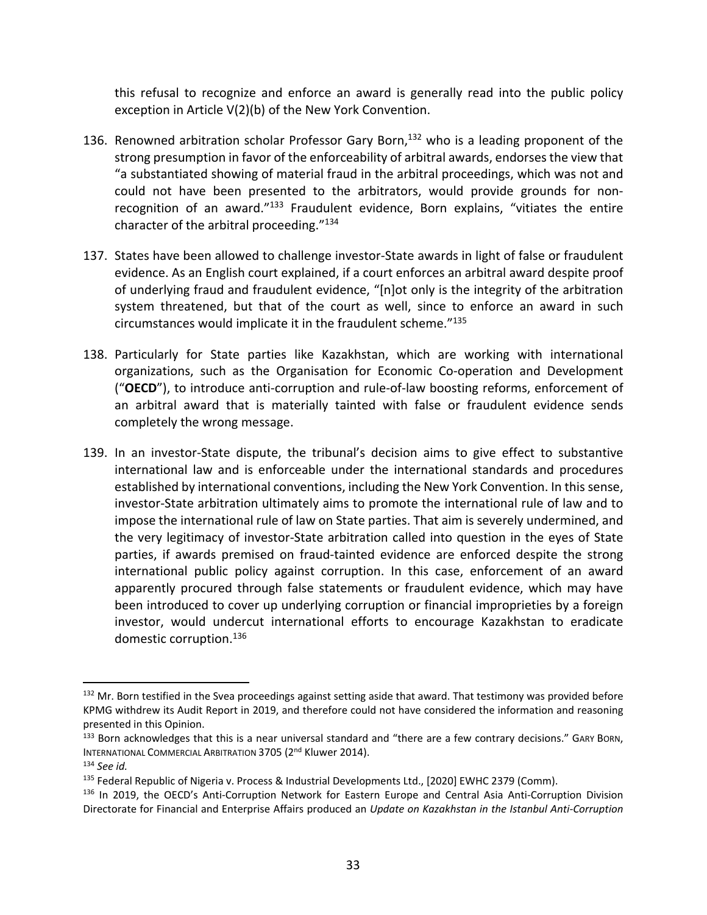this refusal to recognize and enforce an award is generally read into the public policy exception in Article V(2)(b) of the New York Convention.

- 136. Renowned arbitration scholar Professor Gary Born, $132$  who is a leading proponent of the strong presumption in favor of the enforceability of arbitral awards, endorses the view that "a substantiated showing of material fraud in the arbitral proceedings, which was not and could not have been presented to the arbitrators, would provide grounds for non‐ recognition of an award." $133$  Fraudulent evidence, Born explains, "vitiates the entire character of the arbitral proceeding."134
- 137. States have been allowed to challenge investor‐State awards in light of false or fraudulent evidence. As an English court explained, if a court enforces an arbitral award despite proof of underlying fraud and fraudulent evidence, "[n]ot only is the integrity of the arbitration system threatened, but that of the court as well, since to enforce an award in such circumstances would implicate it in the fraudulent scheme."135
- 138. Particularly for State parties like Kazakhstan, which are working with international organizations, such as the Organisation for Economic Co‐operation and Development ("**OECD**"), to introduce anti‐corruption and rule‐of‐law boosting reforms, enforcement of an arbitral award that is materially tainted with false or fraudulent evidence sends completely the wrong message.
- 139. In an investor-State dispute, the tribunal's decision aims to give effect to substantive international law and is enforceable under the international standards and procedures established by international conventions, including the New York Convention. In this sense, investor‐State arbitration ultimately aims to promote the international rule of law and to impose the international rule of law on State parties. That aim is severely undermined, and the very legitimacy of investor‐State arbitration called into question in the eyes of State parties, if awards premised on fraud‐tainted evidence are enforced despite the strong international public policy against corruption. In this case, enforcement of an award apparently procured through false statements or fraudulent evidence, which may have been introduced to cover up underlying corruption or financial improprieties by a foreign investor, would undercut international efforts to encourage Kazakhstan to eradicate domestic corruption.<sup>136</sup>

<sup>&</sup>lt;sup>132</sup> Mr. Born testified in the Svea proceedings against setting aside that award. That testimony was provided before KPMG withdrew its Audit Report in 2019, and therefore could not have considered the information and reasoning presented in this Opinion.

<sup>133</sup> Born acknowledges that this is a near universal standard and "there are a few contrary decisions." GARY BORN, INTERNATIONAL COMMERCIAL ARBITRATION 3705 (2<sup>nd</sup> Kluwer 2014).

<sup>134</sup> *See id.*

<sup>&</sup>lt;sup>135</sup> Federal Republic of Nigeria v. Process & Industrial Developments Ltd., [2020] EWHC 2379 (Comm).

<sup>136</sup> In 2019, the OECD's Anti-Corruption Network for Eastern Europe and Central Asia Anti-Corruption Division Directorate for Financial and Enterprise Affairs produced an *Update on Kazakhstan in the Istanbul Anti‐Corruption*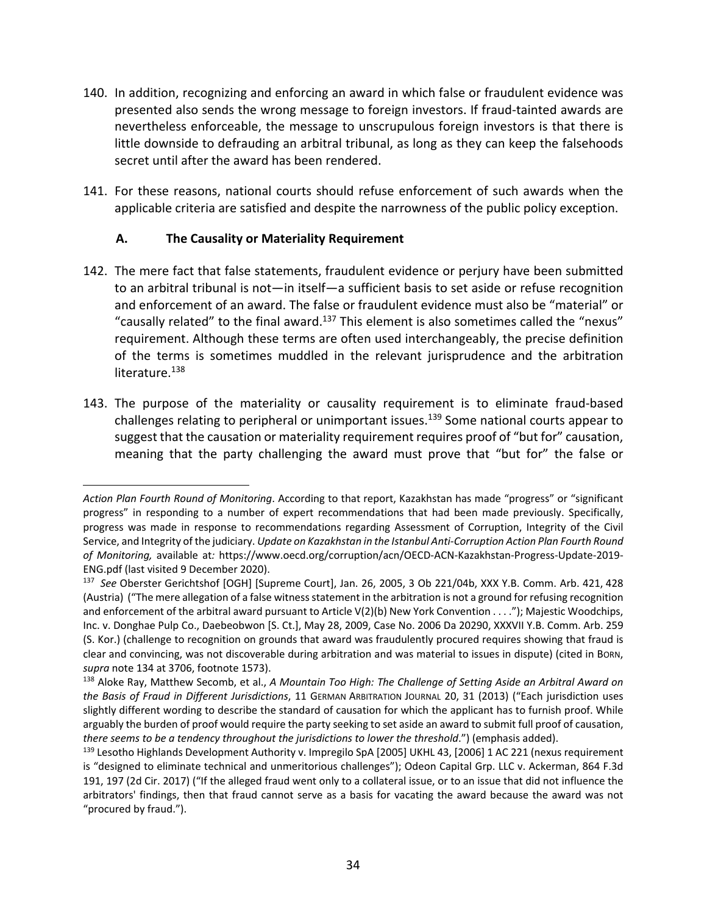- 140. In addition, recognizing and enforcing an award in which false or fraudulent evidence was presented also sends the wrong message to foreign investors. If fraud‐tainted awards are nevertheless enforceable, the message to unscrupulous foreign investors is that there is little downside to defrauding an arbitral tribunal, as long as they can keep the falsehoods secret until after the award has been rendered.
- 141. For these reasons, national courts should refuse enforcement of such awards when the applicable criteria are satisfied and despite the narrowness of the public policy exception.

### **A. The Causality or Materiality Requirement**

1

- 142. The mere fact that false statements, fraudulent evidence or perjury have been submitted to an arbitral tribunal is not—in itself—a sufficient basis to set aside or refuse recognition and enforcement of an award. The false or fraudulent evidence must also be "material" or "causally related" to the final award.<sup>137</sup> This element is also sometimes called the "nexus" requirement. Although these terms are often used interchangeably, the precise definition of the terms is sometimes muddled in the relevant jurisprudence and the arbitration literature.<sup>138</sup>
- 143. The purpose of the materiality or causality requirement is to eliminate fraud‐based challenges relating to peripheral or unimportant issues.<sup>139</sup> Some national courts appear to suggest that the causation or materiality requirement requires proof of "but for" causation, meaning that the party challenging the award must prove that "but for" the false or

*Action Plan Fourth Round of Monitoring*. According to that report, Kazakhstan has made "progress" or "significant progress" in responding to a number of expert recommendations that had been made previously. Specifically, progress was made in response to recommendations regarding Assessment of Corruption, Integrity of the Civil Service, and Integrity of the judiciary. *Update on Kazakhstan in the Istanbul Anti‐Corruption Action Plan Fourth Round of Monitoring,* available at*:* https://www.oecd.org/corruption/acn/OECD‐ACN‐Kazakhstan‐Progress‐Update‐2019‐ ENG.pdf (last visited 9 December 2020).

<sup>137</sup> *See* Oberster Gerichtshof [OGH] [Supreme Court], Jan. 26, 2005, 3 Ob 221/04b, XXX Y.B. Comm. Arb. 421, 428 (Austria) ("The mere allegation of a false witness statement in the arbitration is not a ground for refusing recognition and enforcement of the arbitral award pursuant to Article V(2)(b) New York Convention . . . ."); Majestic Woodchips, Inc. v. Donghae Pulp Co., Daebeobwon [S. Ct.], May 28, 2009, Case No. 2006 Da 20290, XXXVII Y.B. Comm. Arb. 259 (S. Kor.) (challenge to recognition on grounds that award was fraudulently procured requires showing that fraud is clear and convincing, was not discoverable during arbitration and was material to issues in dispute) (cited in BORN, *supra* note 134 at 3706, footnote 1573).

<sup>138</sup> Aloke Ray, Matthew Secomb, et al., *A Mountain Too High: The Challenge of Setting Aside an Arbitral Award on the Basis of Fraud in Different Jurisdictions*, 11 GERMAN ARBITRATION JOURNAL 20, 31 (2013) ("Each jurisdiction uses slightly different wording to describe the standard of causation for which the applicant has to furnish proof. While arguably the burden of proof would require the party seeking to set aside an award to submit full proof of causation, *there seems to be a tendency throughout the jurisdictions to lower the threshold*.") (emphasis added).

<sup>&</sup>lt;sup>139</sup> Lesotho Highlands Development Authority v. Impregilo SpA [2005] UKHL 43, [2006] 1 AC 221 (nexus requirement is "designed to eliminate technical and unmeritorious challenges"); Odeon Capital Grp. LLC v. Ackerman, 864 F.3d 191, 197 (2d Cir. 2017) ("If the alleged fraud went only to a collateral issue, or to an issue that did not influence the arbitrators' findings, then that fraud cannot serve as a basis for vacating the award because the award was not "procured by fraud.").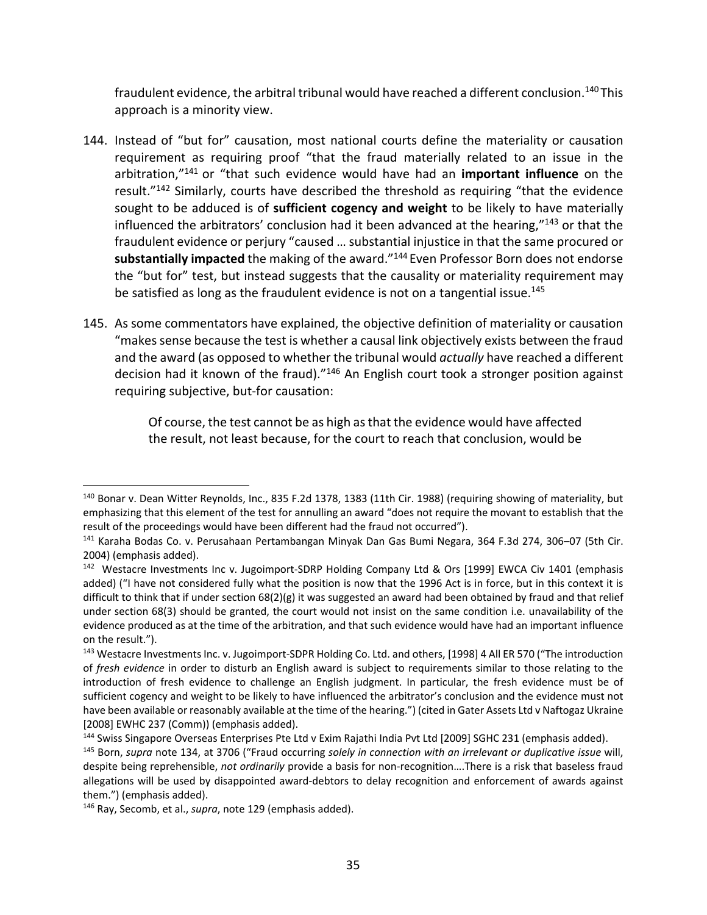fraudulent evidence, the arbitral tribunal would have reached a different conclusion.<sup>140</sup> This approach is a minority view.

- 144. Instead of "but for" causation, most national courts define the materiality or causation requirement as requiring proof "that the fraud materially related to an issue in the arbitration,"141 or "that such evidence would have had an **important influence** on the result."142 Similarly, courts have described the threshold as requiring "that the evidence sought to be adduced is of **sufficient cogency and weight** to be likely to have materially influenced the arbitrators' conclusion had it been advanced at the hearing,"143 or that the fraudulent evidence or perjury "caused … substantial injustice in that the same procured or **substantially impacted** the making of the award."144 Even Professor Born does not endorse the "but for" test, but instead suggests that the causality or materiality requirement may be satisfied as long as the fraudulent evidence is not on a tangential issue.<sup>145</sup>
- 145. As some commentators have explained, the objective definition of materiality or causation "makes sense because the test is whether a causal link objectively exists between the fraud and the award (as opposed to whether the tribunal would *actually* have reached a different decision had it known of the fraud)."146 An English court took a stronger position against requiring subjective, but‐for causation:

Of course, the test cannot be as high asthat the evidence would have affected the result, not least because, for the court to reach that conclusion, would be

<sup>140</sup> Bonar v. Dean Witter Reynolds, Inc., 835 F.2d 1378, 1383 (11th Cir. 1988) (requiring showing of materiality, but emphasizing that this element of the test for annulling an award "does not require the movant to establish that the result of the proceedings would have been different had the fraud not occurred").

<sup>141</sup> Karaha Bodas Co. v. Perusahaan Pertambangan Minyak Dan Gas Bumi Negara, 364 F.3d 274, 306–07 (5th Cir. 2004) (emphasis added).

<sup>142</sup> Westacre Investments Inc v. Jugoimport-SDRP Holding Company Ltd & Ors [1999] EWCA Civ 1401 (emphasis added) ("I have not considered fully what the position is now that the 1996 Act is in force, but in this context it is difficult to think that if under section 68(2)(g) it was suggested an award had been obtained by fraud and that relief under section 68(3) should be granted, the court would not insist on the same condition i.e. unavailability of the evidence produced as at the time of the arbitration, and that such evidence would have had an important influence on the result.").

<sup>143</sup> Westacre Investments Inc. v. Jugoimport-SDPR Holding Co. Ltd. and others, [1998] 4 All ER 570 ("The introduction of *fresh evidence* in order to disturb an English award is subject to requirements similar to those relating to the introduction of fresh evidence to challenge an English judgment. In particular, the fresh evidence must be of sufficient cogency and weight to be likely to have influenced the arbitrator's conclusion and the evidence must not have been available or reasonably available at the time of the hearing.") (cited in Gater Assets Ltd v Naftogaz Ukraine [2008] EWHC 237 (Comm)) (emphasis added).

<sup>&</sup>lt;sup>144</sup> Swiss Singapore Overseas Enterprises Pte Ltd v Exim Rajathi India Pvt Ltd [2009] SGHC 231 (emphasis added).

<sup>145</sup> Born, *supra* note 134, at 3706 ("Fraud occurring *solely in connection with an irrelevant or duplicative issue* will, despite being reprehensible, *not ordinarily* provide a basis for non-recognition....There is a risk that baseless fraud allegations will be used by disappointed award‐debtors to delay recognition and enforcement of awards against them.") (emphasis added).

<sup>146</sup> Ray, Secomb, et al., *supra*, note 129 (emphasis added).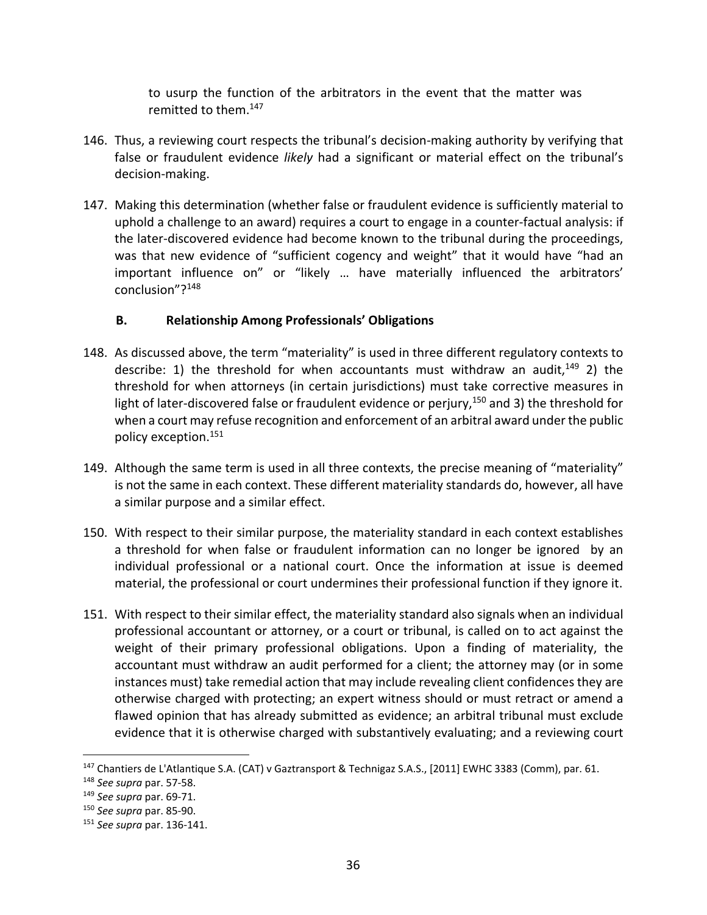to usurp the function of the arbitrators in the event that the matter was remitted to them.147

- 146. Thus, a reviewing court respects the tribunal's decision-making authority by verifying that false or fraudulent evidence *likely* had a significant or material effect on the tribunal's decision‐making.
- 147. Making this determination (whether false or fraudulent evidence is sufficiently material to uphold a challenge to an award) requires a court to engage in a counter‐factual analysis: if the later‐discovered evidence had become known to the tribunal during the proceedings, was that new evidence of "sufficient cogency and weight" that it would have "had an important influence on" or "likely … have materially influenced the arbitrators' conclusion"?148

## **B. Relationship Among Professionals' Obligations**

- 148. As discussed above, the term "materiality" is used in three different regulatory contexts to describe: 1) the threshold for when accountants must withdraw an audit,  $149$  2) the threshold for when attorneys (in certain jurisdictions) must take corrective measures in light of later-discovered false or fraudulent evidence or perjury,<sup>150</sup> and 3) the threshold for when a court may refuse recognition and enforcement of an arbitral award under the public policy exception.151
- 149. Although the same term is used in all three contexts, the precise meaning of "materiality" is not the same in each context. These different materiality standards do, however, all have a similar purpose and a similar effect.
- 150. With respect to their similar purpose, the materiality standard in each context establishes a threshold for when false or fraudulent information can no longer be ignored by an individual professional or a national court. Once the information at issue is deemed material, the professional or court undermines their professional function if they ignore it.
- 151. With respect to their similar effect, the materiality standard also signals when an individual professional accountant or attorney, or a court or tribunal, is called on to act against the weight of their primary professional obligations. Upon a finding of materiality, the accountant must withdraw an audit performed for a client; the attorney may (or in some instances must) take remedial action that may include revealing client confidences they are otherwise charged with protecting; an expert witness should or must retract or amend a flawed opinion that has already submitted as evidence; an arbitral tribunal must exclude evidence that it is otherwise charged with substantively evaluating; and a reviewing court

<sup>&</sup>lt;sup>147</sup> Chantiers de L'Atlantique S.A. (CAT) v Gaztransport & Technigaz S.A.S., [2011] EWHC 3383 (Comm), par. 61.

<sup>148</sup> *See supra* par. 57‐58.

<sup>149</sup> *See supra* par. 69‐71.

<sup>150</sup> *See supra* par. 85‐90.

<sup>151</sup> *See supra* par. 136‐141.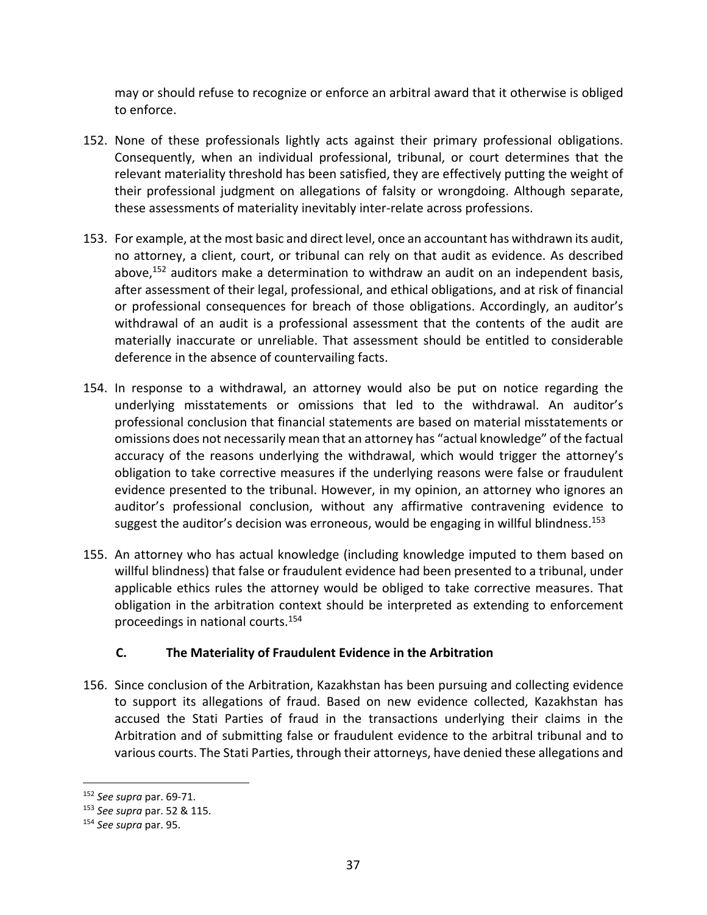may or should refuse to recognize or enforce an arbitral award that it otherwise is obliged to enforce.

- 152. None of these professionals lightly acts against their primary professional obligations. Consequently, when an individual professional, tribunal, or court determines that the relevant materiality threshold has been satisfied, they are effectively putting the weight of their professional judgment on allegations of falsity or wrongdoing. Although separate, these assessments of materiality inevitably inter‐relate across professions.
- 153. For example, at the most basic and direct level, once an accountant has withdrawn its audit, no attorney, a client, court, or tribunal can rely on that audit as evidence. As described above, $152$  auditors make a determination to withdraw an audit on an independent basis, after assessment of their legal, professional, and ethical obligations, and at risk of financial or professional consequences for breach of those obligations. Accordingly, an auditor's withdrawal of an audit is a professional assessment that the contents of the audit are materially inaccurate or unreliable. That assessment should be entitled to considerable deference in the absence of countervailing facts.
- 154. In response to a withdrawal, an attorney would also be put on notice regarding the underlying misstatements or omissions that led to the withdrawal. An auditor's professional conclusion that financial statements are based on material misstatements or omissions does not necessarily mean that an attorney has "actual knowledge" of the factual accuracy of the reasons underlying the withdrawal, which would trigger the attorney's obligation to take corrective measures if the underlying reasons were false or fraudulent evidence presented to the tribunal. However, in my opinion, an attorney who ignores an auditor's professional conclusion, without any affirmative contravening evidence to suggest the auditor's decision was erroneous, would be engaging in willful blindness.<sup>153</sup>
- 155. An attorney who has actual knowledge (including knowledge imputed to them based on willful blindness) that false or fraudulent evidence had been presented to a tribunal, under applicable ethics rules the attorney would be obliged to take corrective measures. That obligation in the arbitration context should be interpreted as extending to enforcement proceedings in national courts.154

## **C. The Materiality of Fraudulent Evidence in the Arbitration**

156. Since conclusion of the Arbitration, Kazakhstan has been pursuing and collecting evidence to support its allegations of fraud. Based on new evidence collected, Kazakhstan has accused the Stati Parties of fraud in the transactions underlying their claims in the Arbitration and of submitting false or fraudulent evidence to the arbitral tribunal and to various courts. The Stati Parties, through their attorneys, have denied these allegations and

<sup>152</sup> *See supra* par. 69‐71.

<sup>153</sup> *See supra* par. 52 & 115.

<sup>154</sup> *See supra* par. 95.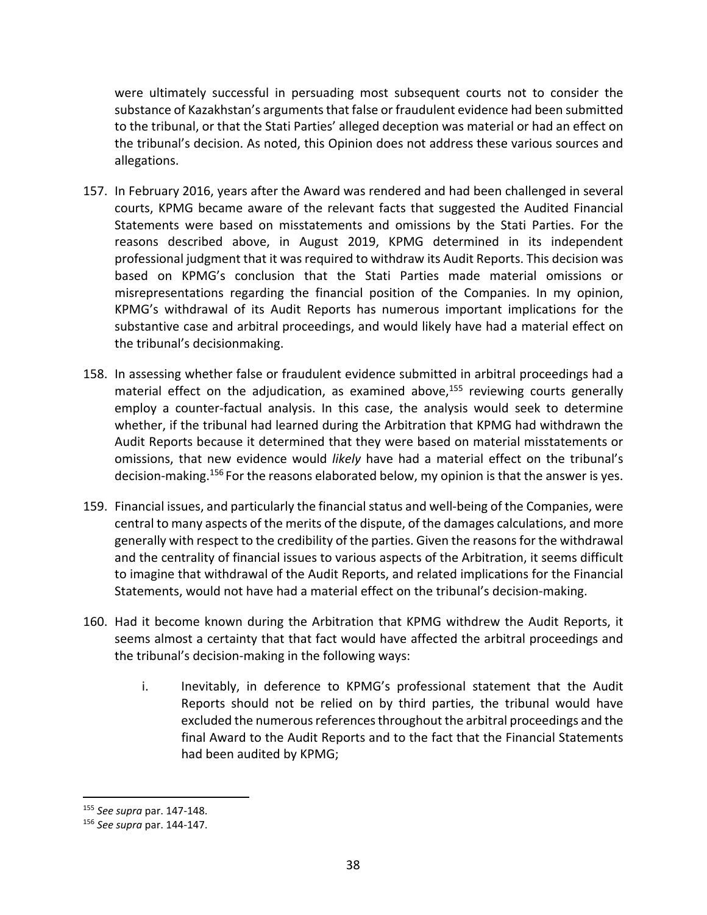were ultimately successful in persuading most subsequent courts not to consider the substance of Kazakhstan's arguments that false or fraudulent evidence had been submitted to the tribunal, or that the Stati Parties' alleged deception was material or had an effect on the tribunal's decision. As noted, this Opinion does not address these various sources and allegations.

- 157. In February 2016, years after the Award was rendered and had been challenged in several courts, KPMG became aware of the relevant facts that suggested the Audited Financial Statements were based on misstatements and omissions by the Stati Parties. For the reasons described above, in August 2019, KPMG determined in its independent professional judgment that it was required to withdraw its Audit Reports. This decision was based on KPMG's conclusion that the Stati Parties made material omissions or misrepresentations regarding the financial position of the Companies. In my opinion, KPMG's withdrawal of its Audit Reports has numerous important implications for the substantive case and arbitral proceedings, and would likely have had a material effect on the tribunal's decisionmaking.
- 158. In assessing whether false or fraudulent evidence submitted in arbitral proceedings had a material effect on the adjudication, as examined above, $155$  reviewing courts generally employ a counter-factual analysis. In this case, the analysis would seek to determine whether, if the tribunal had learned during the Arbitration that KPMG had withdrawn the Audit Reports because it determined that they were based on material misstatements or omissions, that new evidence would *likely* have had a material effect on the tribunal's decision-making.<sup>156</sup> For the reasons elaborated below, my opinion is that the answer is yes.
- 159. Financial issues, and particularly the financial status and well‐being of the Companies, were central to many aspects of the merits of the dispute, of the damages calculations, and more generally with respect to the credibility of the parties. Given the reasonsfor the withdrawal and the centrality of financial issues to various aspects of the Arbitration, it seems difficult to imagine that withdrawal of the Audit Reports, and related implications for the Financial Statements, would not have had a material effect on the tribunal's decision‐making.
- 160. Had it become known during the Arbitration that KPMG withdrew the Audit Reports, it seems almost a certainty that that fact would have affected the arbitral proceedings and the tribunal's decision‐making in the following ways:
	- i. Inevitably, in deference to KPMG's professional statement that the Audit Reports should not be relied on by third parties, the tribunal would have excluded the numerous references throughout the arbitral proceedings and the final Award to the Audit Reports and to the fact that the Financial Statements had been audited by KPMG;

<sup>155</sup> *See supra* par. 147‐148.

<sup>156</sup> *See supra* par. 144‐147.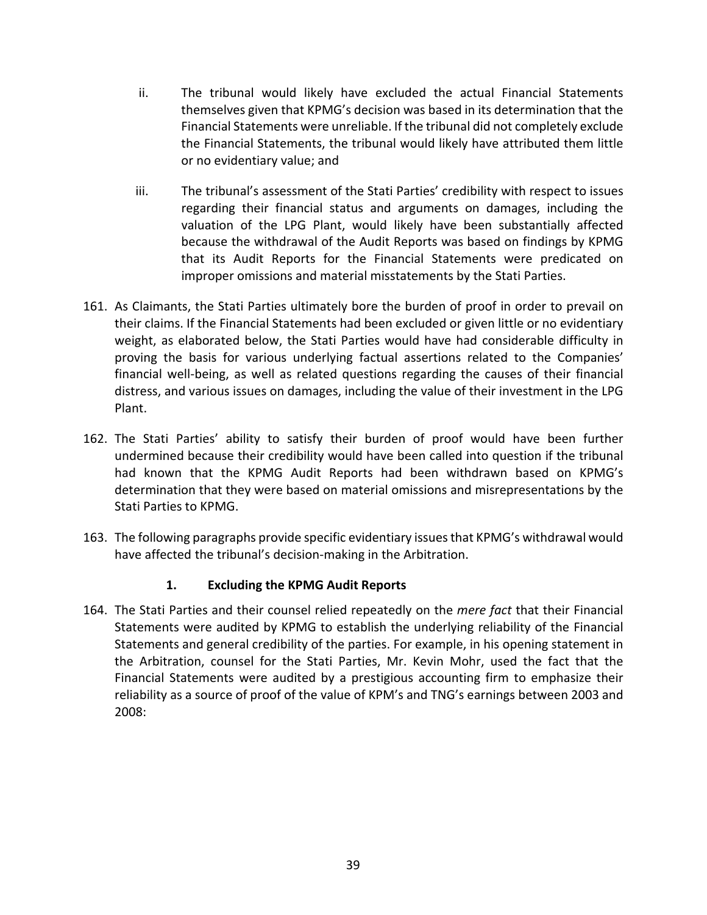- ii. The tribunal would likely have excluded the actual Financial Statements themselves given that KPMG's decision was based in its determination that the Financial Statements were unreliable. If the tribunal did not completely exclude the Financial Statements, the tribunal would likely have attributed them little or no evidentiary value; and
- iii. The tribunal's assessment of the Stati Parties' credibility with respect to issues regarding their financial status and arguments on damages, including the valuation of the LPG Plant, would likely have been substantially affected because the withdrawal of the Audit Reports was based on findings by KPMG that its Audit Reports for the Financial Statements were predicated on improper omissions and material misstatements by the Stati Parties.
- 161. As Claimants, the Stati Parties ultimately bore the burden of proof in order to prevail on their claims. If the Financial Statements had been excluded or given little or no evidentiary weight, as elaborated below, the Stati Parties would have had considerable difficulty in proving the basis for various underlying factual assertions related to the Companies' financial well-being, as well as related questions regarding the causes of their financial distress, and various issues on damages, including the value of their investment in the LPG Plant.
- 162. The Stati Parties' ability to satisfy their burden of proof would have been further undermined because their credibility would have been called into question if the tribunal had known that the KPMG Audit Reports had been withdrawn based on KPMG's determination that they were based on material omissions and misrepresentations by the Stati Parties to KPMG.
- 163. The following paragraphs provide specific evidentiary issuesthat KPMG's withdrawal would have affected the tribunal's decision-making in the Arbitration.

## **1. Excluding the KPMG Audit Reports**

164. The Stati Parties and their counsel relied repeatedly on the *mere fact* that their Financial Statements were audited by KPMG to establish the underlying reliability of the Financial Statements and general credibility of the parties. For example, in his opening statement in the Arbitration, counsel for the Stati Parties, Mr. Kevin Mohr, used the fact that the Financial Statements were audited by a prestigious accounting firm to emphasize their reliability as a source of proof of the value of KPM's and TNG's earnings between 2003 and 2008: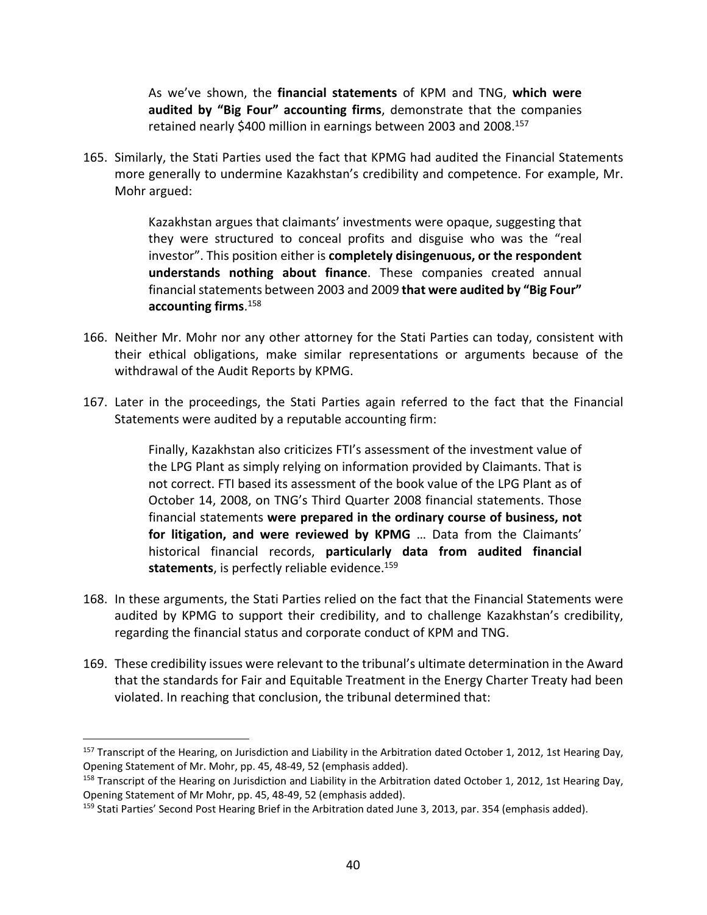As we've shown, the **financial statements** of KPM and TNG, **which were audited by "Big Four" accounting firms**, demonstrate that the companies retained nearly \$400 million in earnings between 2003 and 2008.157

165. Similarly, the Stati Parties used the fact that KPMG had audited the Financial Statements more generally to undermine Kazakhstan's credibility and competence. For example, Mr. Mohr argued:

> Kazakhstan argues that claimants' investments were opaque, suggesting that they were structured to conceal profits and disguise who was the "real investor". This position either is **completely disingenuous, or the respondent understands nothing about finance**. These companies created annual financialstatements between 2003 and 2009 **that were audited by "Big Four" accounting firms**. 158

- 166. Neither Mr. Mohr nor any other attorney for the Stati Parties can today, consistent with their ethical obligations, make similar representations or arguments because of the withdrawal of the Audit Reports by KPMG.
- 167. Later in the proceedings, the Stati Parties again referred to the fact that the Financial Statements were audited by a reputable accounting firm:

Finally, Kazakhstan also criticizes FTI's assessment of the investment value of the LPG Plant as simply relying on information provided by Claimants. That is not correct. FTI based its assessment of the book value of the LPG Plant as of October 14, 2008, on TNG's Third Quarter 2008 financial statements. Those financial statements **were prepared in the ordinary course of business, not for litigation, and were reviewed by KPMG** … Data from the Claimants' historical financial records, **particularly data from audited financial** statements, is perfectly reliable evidence.<sup>159</sup>

- 168. In these arguments, the Stati Parties relied on the fact that the Financial Statements were audited by KPMG to support their credibility, and to challenge Kazakhstan's credibility, regarding the financial status and corporate conduct of KPM and TNG.
- 169. These credibility issues were relevant to the tribunal's ultimate determination in the Award that the standards for Fair and Equitable Treatment in the Energy Charter Treaty had been violated. In reaching that conclusion, the tribunal determined that:

<sup>&</sup>lt;sup>157</sup> Transcript of the Hearing, on Jurisdiction and Liability in the Arbitration dated October 1, 2012, 1st Hearing Day, Opening Statement of Mr. Mohr, pp. 45, 48‐49, 52 (emphasis added).

 $158$  Transcript of the Hearing on Jurisdiction and Liability in the Arbitration dated October 1, 2012, 1st Hearing Day, Opening Statement of Mr Mohr, pp. 45, 48‐49, 52 (emphasis added).

<sup>&</sup>lt;sup>159</sup> Stati Parties' Second Post Hearing Brief in the Arbitration dated June 3, 2013, par. 354 (emphasis added).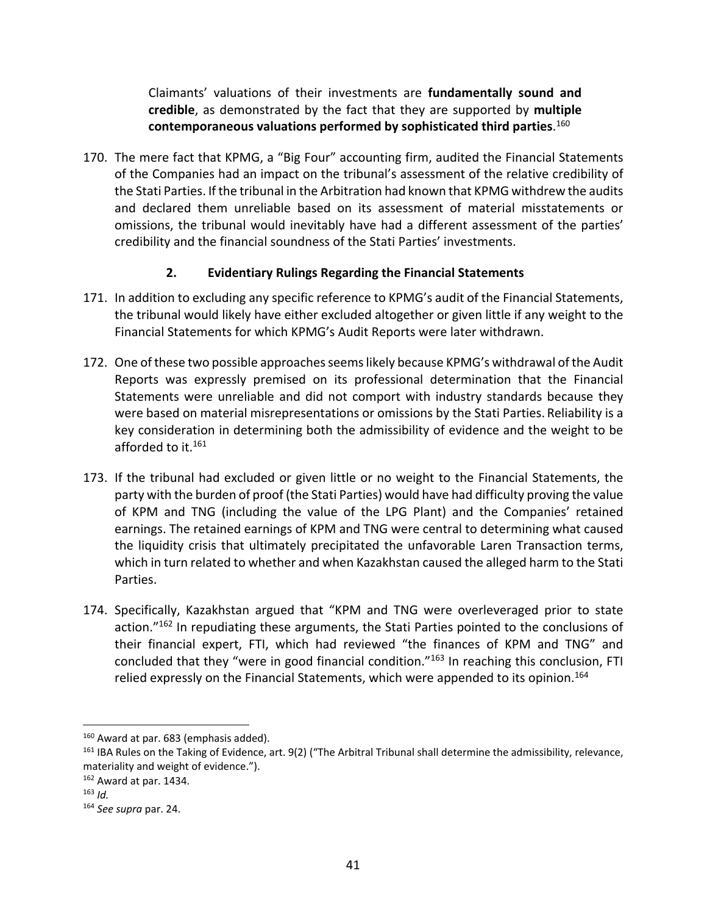Claimants' valuations of their investments are **fundamentally sound and credible**, as demonstrated by the fact that they are supported by **multiple contemporaneous valuations performed by sophisticated third parties**. 160

170. The mere fact that KPMG, a "Big Four" accounting firm, audited the Financial Statements of the Companies had an impact on the tribunal's assessment of the relative credibility of the Stati Parties. If the tribunal in the Arbitration had known that KPMG withdrew the audits and declared them unreliable based on its assessment of material misstatements or omissions, the tribunal would inevitably have had a different assessment of the parties' credibility and the financial soundness of the Stati Parties' investments.

## **2. Evidentiary Rulings Regarding the Financial Statements**

- 171. In addition to excluding any specific reference to KPMG's audit of the Financial Statements, the tribunal would likely have either excluded altogether or given little if any weight to the Financial Statements for which KPMG's Audit Reports were later withdrawn.
- 172. One of these two possible approaches seems likely because KPMG's withdrawal of the Audit Reports was expressly premised on its professional determination that the Financial Statements were unreliable and did not comport with industry standards because they were based on material misrepresentations or omissions by the Stati Parties. Reliability is a key consideration in determining both the admissibility of evidence and the weight to be afforded to it.<sup>161</sup>
- 173. If the tribunal had excluded or given little or no weight to the Financial Statements, the party with the burden of proof (the Stati Parties) would have had difficulty proving the value of KPM and TNG (including the value of the LPG Plant) and the Companies' retained earnings. The retained earnings of KPM and TNG were central to determining what caused the liquidity crisis that ultimately precipitated the unfavorable Laren Transaction terms, which in turn related to whether and when Kazakhstan caused the alleged harm to the Stati Parties.
- 174. Specifically, Kazakhstan argued that "KPM and TNG were overleveraged prior to state action."<sup>162</sup> In repudiating these arguments, the Stati Parties pointed to the conclusions of their financial expert, FTI, which had reviewed "the finances of KPM and TNG" and concluded that they "were in good financial condition."163 In reaching this conclusion, FTI relied expressly on the Financial Statements, which were appended to its opinion.<sup>164</sup>

1

<sup>&</sup>lt;sup>160</sup> Award at par. 683 (emphasis added).

<sup>&</sup>lt;sup>161</sup> IBA Rules on the Taking of Evidence, art. 9(2) ("The Arbitral Tribunal shall determine the admissibility, relevance, materiality and weight of evidence.").

<sup>162</sup> Award at par. 1434.

 $163$  *Id.* 

<sup>164</sup> *See supra* par. 24.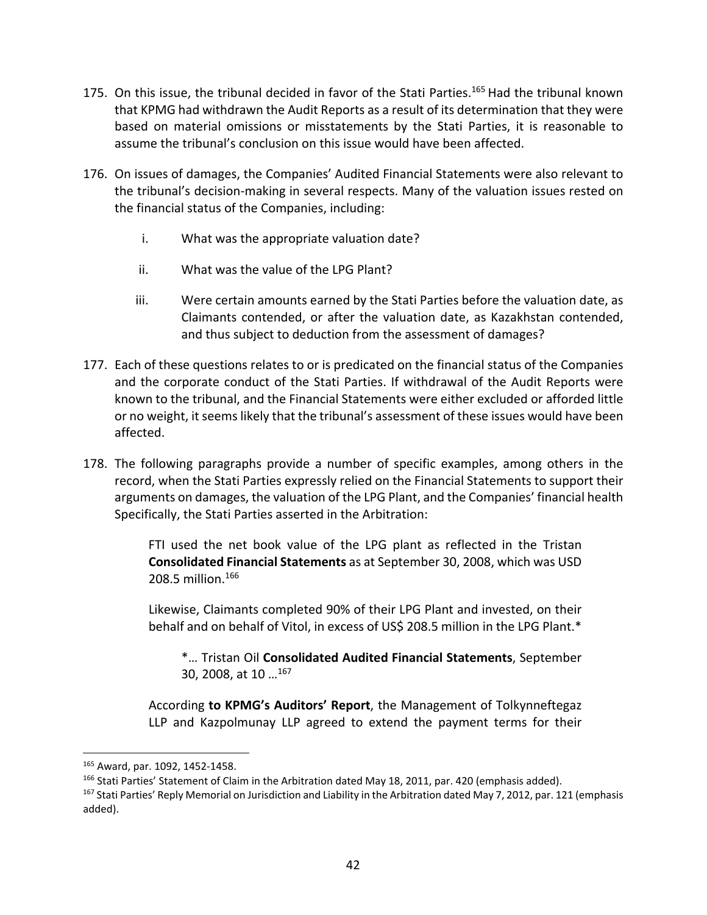- 175. On this issue, the tribunal decided in favor of the Stati Parties.<sup>165</sup> Had the tribunal known that KPMG had withdrawn the Audit Reports as a result of its determination that they were based on material omissions or misstatements by the Stati Parties, it is reasonable to assume the tribunal's conclusion on this issue would have been affected.
- 176. On issues of damages, the Companies' Audited Financial Statements were also relevant to the tribunal's decision‐making in several respects. Many of the valuation issues rested on the financial status of the Companies, including:
	- i. What was the appropriate valuation date?
	- ii. What was the value of the LPG Plant?
	- iii. Were certain amounts earned by the Stati Parties before the valuation date, as Claimants contended, or after the valuation date, as Kazakhstan contended, and thus subject to deduction from the assessment of damages?
- 177. Each of these questions relates to or is predicated on the financial status of the Companies and the corporate conduct of the Stati Parties. If withdrawal of the Audit Reports were known to the tribunal, and the Financial Statements were either excluded or afforded little or no weight, it seemslikely that the tribunal's assessment of these issues would have been affected.
- 178. The following paragraphs provide a number of specific examples, among others in the record, when the Stati Parties expressly relied on the Financial Statements to support their arguments on damages, the valuation of the LPG Plant, and the Companies' financial health Specifically, the Stati Parties asserted in the Arbitration:

FTI used the net book value of the LPG plant as reflected in the Tristan **Consolidated Financial Statements** as at September 30, 2008, which was USD 208.5 million.166

Likewise, Claimants completed 90% of their LPG Plant and invested, on their behalf and on behalf of Vitol, in excess of US\$ 208.5 million in the LPG Plant.\*

\*… Tristan Oil **Consolidated Audited Financial Statements**, September 30, 2008, at 10 …167

According **to KPMG's Auditors' Report**, the Management of Tolkynneftegaz LLP and Kazpolmunay LLP agreed to extend the payment terms for their

<sup>165</sup> Award, par. 1092, 1452‐1458.

<sup>&</sup>lt;sup>166</sup> Stati Parties' Statement of Claim in the Arbitration dated May 18, 2011, par. 420 (emphasis added).

<sup>&</sup>lt;sup>167</sup> Stati Parties' Reply Memorial on Jurisdiction and Liability in the Arbitration dated May 7, 2012, par. 121 (emphasis added).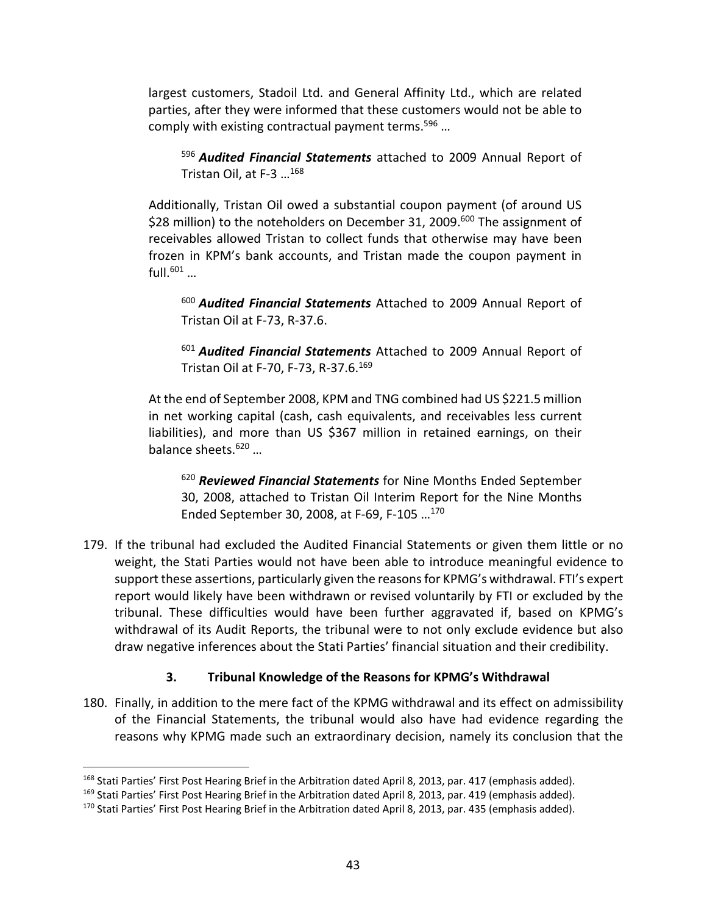largest customers, Stadoil Ltd. and General Affinity Ltd., which are related parties, after they were informed that these customers would not be able to comply with existing contractual payment terms.<sup>596</sup> ...

<sup>596</sup> *Audited Financial Statements* attached to 2009 Annual Report of Tristan Oil, at F‐3 …168

Additionally, Tristan Oil owed a substantial coupon payment (of around US \$28 million) to the noteholders on December 31, 2009.<sup>600</sup> The assignment of receivables allowed Tristan to collect funds that otherwise may have been frozen in KPM's bank accounts, and Tristan made the coupon payment in full.<sup>601</sup> ...

<sup>600</sup> *Audited Financial Statements* Attached to 2009 Annual Report of Tristan Oil at F‐73, R‐37.6.

<sup>601</sup> *Audited Financial Statements* Attached to 2009 Annual Report of Tristan Oil at F‐70, F‐73, R‐37.6.169

At the end of September 2008, KPM and TNG combined had US \$221.5 million in net working capital (cash, cash equivalents, and receivables less current liabilities), and more than US \$367 million in retained earnings, on their balance sheets.620 …

<sup>620</sup> *Reviewed Financial Statements* for Nine Months Ended September 30, 2008, attached to Tristan Oil Interim Report for the Nine Months Ended September 30, 2008, at F‐69, F‐105 …170

179. If the tribunal had excluded the Audited Financial Statements or given them little or no weight, the Stati Parties would not have been able to introduce meaningful evidence to support these assertions, particularly given the reasonsfor KPMG's withdrawal. FTI's expert report would likely have been withdrawn or revised voluntarily by FTI or excluded by the tribunal. These difficulties would have been further aggravated if, based on KPMG's withdrawal of its Audit Reports, the tribunal were to not only exclude evidence but also draw negative inferences about the Stati Parties' financial situation and their credibility.

## **3. Tribunal Knowledge of the Reasons for KPMG's Withdrawal**

180. Finally, in addition to the mere fact of the KPMG withdrawal and its effect on admissibility of the Financial Statements, the tribunal would also have had evidence regarding the reasons why KPMG made such an extraordinary decision, namely its conclusion that the

1

<sup>&</sup>lt;sup>168</sup> Stati Parties' First Post Hearing Brief in the Arbitration dated April 8, 2013, par. 417 (emphasis added).

<sup>&</sup>lt;sup>169</sup> Stati Parties' First Post Hearing Brief in the Arbitration dated April 8, 2013, par. 419 (emphasis added).

<sup>&</sup>lt;sup>170</sup> Stati Parties' First Post Hearing Brief in the Arbitration dated April 8, 2013, par. 435 (emphasis added).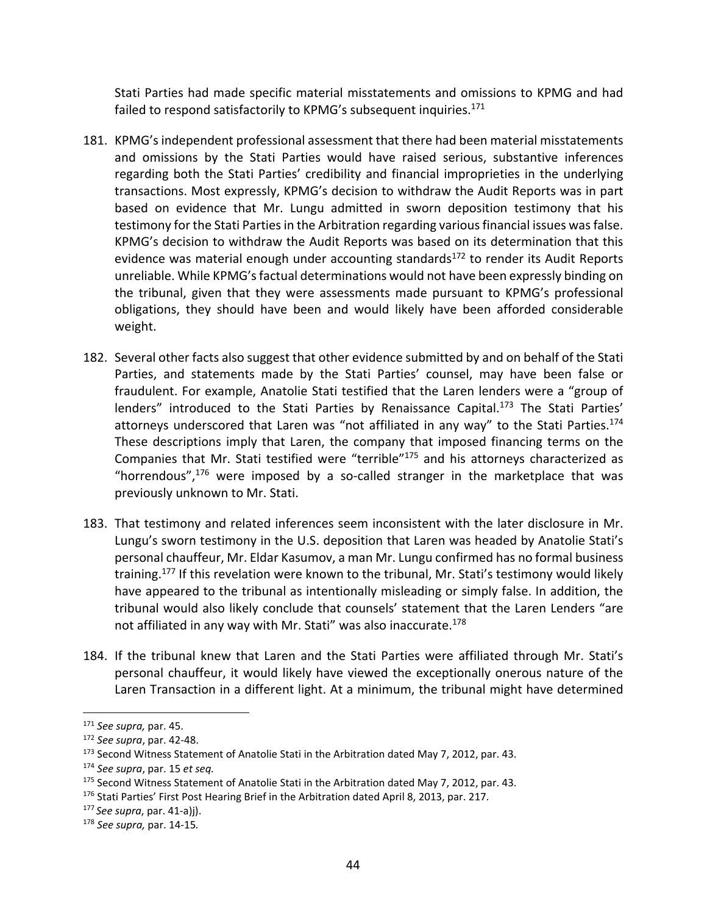Stati Parties had made specific material misstatements and omissions to KPMG and had failed to respond satisfactorily to KPMG's subsequent inquiries.<sup>171</sup>

- 181. KPMG's independent professional assessment that there had been material misstatements and omissions by the Stati Parties would have raised serious, substantive inferences regarding both the Stati Parties' credibility and financial improprieties in the underlying transactions. Most expressly, KPMG's decision to withdraw the Audit Reports was in part based on evidence that Mr. Lungu admitted in sworn deposition testimony that his testimony for the Stati Parties in the Arbitration regarding various financial issues was false. KPMG's decision to withdraw the Audit Reports was based on its determination that this evidence was material enough under accounting standards $172$  to render its Audit Reports unreliable. While KPMG'sfactual determinations would not have been expressly binding on the tribunal, given that they were assessments made pursuant to KPMG's professional obligations, they should have been and would likely have been afforded considerable weight.
- 182. Several other facts also suggest that other evidence submitted by and on behalf of the Stati Parties, and statements made by the Stati Parties' counsel, may have been false or fraudulent. For example, Anatolie Stati testified that the Laren lenders were a "group of lenders" introduced to the Stati Parties by Renaissance Capital.<sup>173</sup> The Stati Parties' attorneys underscored that Laren was "not affiliated in any way" to the Stati Parties.<sup>174</sup> These descriptions imply that Laren, the company that imposed financing terms on the Companies that Mr. Stati testified were "terrible"175 and his attorneys characterized as "horrendous", $176$  were imposed by a so-called stranger in the marketplace that was previously unknown to Mr. Stati.
- 183. That testimony and related inferences seem inconsistent with the later disclosure in Mr. Lungu's sworn testimony in the U.S. deposition that Laren was headed by Anatolie Stati's personal chauffeur, Mr. Eldar Kasumov, a man Mr. Lungu confirmed has no formal business training.<sup>177</sup> If this revelation were known to the tribunal, Mr. Stati's testimony would likely have appeared to the tribunal as intentionally misleading or simply false. In addition, the tribunal would also likely conclude that counsels' statement that the Laren Lenders "are not affiliated in any way with Mr. Stati" was also inaccurate.<sup>178</sup>
- 184. If the tribunal knew that Laren and the Stati Parties were affiliated through Mr. Stati's personal chauffeur, it would likely have viewed the exceptionally onerous nature of the Laren Transaction in a different light. At a minimum, the tribunal might have determined

1

<sup>171</sup> *See supra,* par. 45.

<sup>172</sup> *See supra*, par. 42‐48.

<sup>&</sup>lt;sup>173</sup> Second Witness Statement of Anatolie Stati in the Arbitration dated May 7, 2012, par. 43.

<sup>174</sup> *See supra*, par. 15 *et seq.*

<sup>&</sup>lt;sup>175</sup> Second Witness Statement of Anatolie Stati in the Arbitration dated May 7, 2012, par. 43.

<sup>&</sup>lt;sup>176</sup> Stati Parties' First Post Hearing Brief in the Arbitration dated April 8, 2013, par. 217.

<sup>177</sup> *See supra*, par. 41‐a)j).

<sup>178</sup> *See supra,* par. 14‐15*.*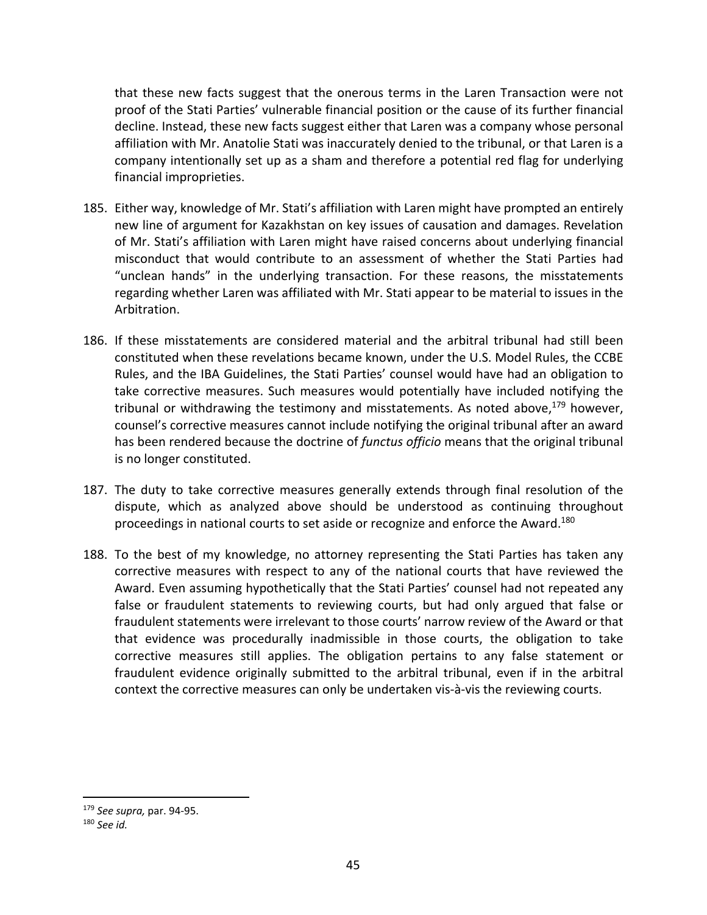that these new facts suggest that the onerous terms in the Laren Transaction were not proof of the Stati Parties' vulnerable financial position or the cause of its further financial decline. Instead, these new facts suggest either that Laren was a company whose personal affiliation with Mr. Anatolie Stati was inaccurately denied to the tribunal, or that Laren is a company intentionally set up as a sham and therefore a potential red flag for underlying financial improprieties.

- 185. Either way, knowledge of Mr. Stati's affiliation with Laren might have prompted an entirely new line of argument for Kazakhstan on key issues of causation and damages. Revelation of Mr. Stati's affiliation with Laren might have raised concerns about underlying financial misconduct that would contribute to an assessment of whether the Stati Parties had "unclean hands" in the underlying transaction. For these reasons, the misstatements regarding whether Laren was affiliated with Mr. Stati appear to be material to issues in the Arbitration.
- 186. If these misstatements are considered material and the arbitral tribunal had still been constituted when these revelations became known, under the U.S. Model Rules, the CCBE Rules, and the IBA Guidelines, the Stati Parties' counsel would have had an obligation to take corrective measures. Such measures would potentially have included notifying the tribunal or withdrawing the testimony and misstatements. As noted above, $179$  however, counsel's corrective measures cannot include notifying the original tribunal after an award has been rendered because the doctrine of *functus officio* means that the original tribunal is no longer constituted.
- 187. The duty to take corrective measures generally extends through final resolution of the dispute, which as analyzed above should be understood as continuing throughout proceedings in national courts to set aside or recognize and enforce the Award.<sup>180</sup>
- 188. To the best of my knowledge, no attorney representing the Stati Parties has taken any corrective measures with respect to any of the national courts that have reviewed the Award. Even assuming hypothetically that the Stati Parties' counsel had not repeated any false or fraudulent statements to reviewing courts, but had only argued that false or fraudulent statements were irrelevant to those courts' narrow review of the Award or that that evidence was procedurally inadmissible in those courts, the obligation to take corrective measures still applies. The obligation pertains to any false statement or fraudulent evidence originally submitted to the arbitral tribunal, even if in the arbitral context the corrective measures can only be undertaken vis‐à‐vis the reviewing courts.

<sup>179</sup> *See supra,* par. 94‐95.

<sup>180</sup> *See id.*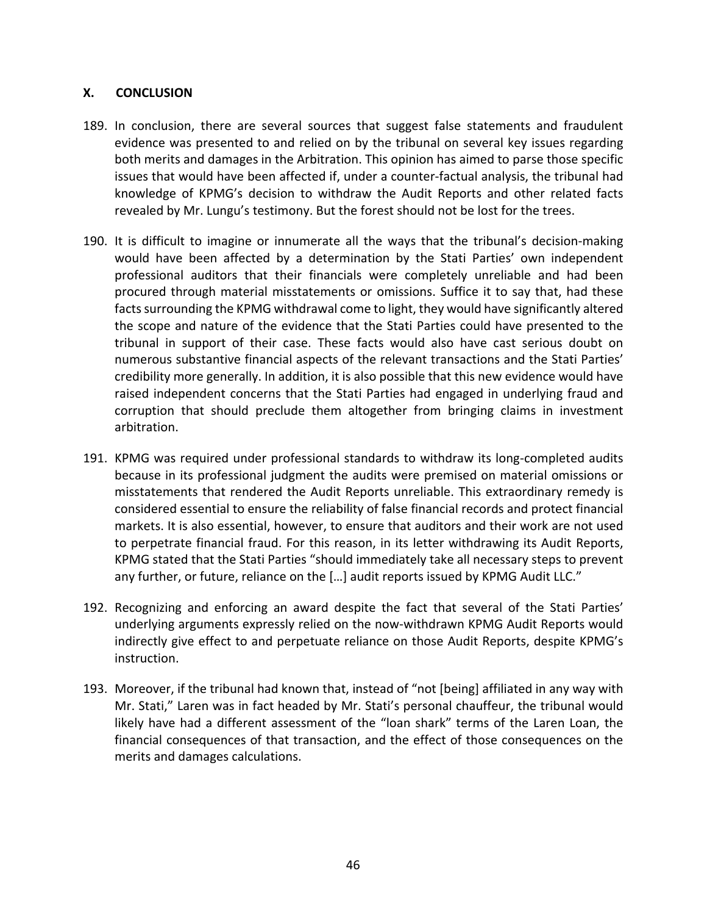### **X. CONCLUSION**

- 189. In conclusion, there are several sources that suggest false statements and fraudulent evidence was presented to and relied on by the tribunal on several key issues regarding both merits and damages in the Arbitration. This opinion has aimed to parse those specific issues that would have been affected if, under a counter‐factual analysis, the tribunal had knowledge of KPMG's decision to withdraw the Audit Reports and other related facts revealed by Mr. Lungu's testimony. But the forest should not be lost for the trees.
- 190. It is difficult to imagine or innumerate all the ways that the tribunal's decision-making would have been affected by a determination by the Stati Parties' own independent professional auditors that their financials were completely unreliable and had been procured through material misstatements or omissions. Suffice it to say that, had these facts surrounding the KPMG withdrawal come to light, they would have significantly altered the scope and nature of the evidence that the Stati Parties could have presented to the tribunal in support of their case. These facts would also have cast serious doubt on numerous substantive financial aspects of the relevant transactions and the Stati Parties' credibility more generally. In addition, it is also possible that this new evidence would have raised independent concerns that the Stati Parties had engaged in underlying fraud and corruption that should preclude them altogether from bringing claims in investment arbitration.
- 191. KPMG was required under professional standards to withdraw its long‐completed audits because in its professional judgment the audits were premised on material omissions or misstatements that rendered the Audit Reports unreliable. This extraordinary remedy is considered essential to ensure the reliability of false financial records and protect financial markets. It is also essential, however, to ensure that auditors and their work are not used to perpetrate financial fraud. For this reason, in its letter withdrawing its Audit Reports, KPMG stated that the Stati Parties "should immediately take all necessary steps to prevent any further, or future, reliance on the […] audit reports issued by KPMG Audit LLC."
- 192. Recognizing and enforcing an award despite the fact that several of the Stati Parties' underlying arguments expressly relied on the now‐withdrawn KPMG Audit Reports would indirectly give effect to and perpetuate reliance on those Audit Reports, despite KPMG's instruction.
- 193. Moreover, if the tribunal had known that, instead of "not [being] affiliated in any way with Mr. Stati," Laren was in fact headed by Mr. Stati's personal chauffeur, the tribunal would likely have had a different assessment of the "loan shark" terms of the Laren Loan, the financial consequences of that transaction, and the effect of those consequences on the merits and damages calculations.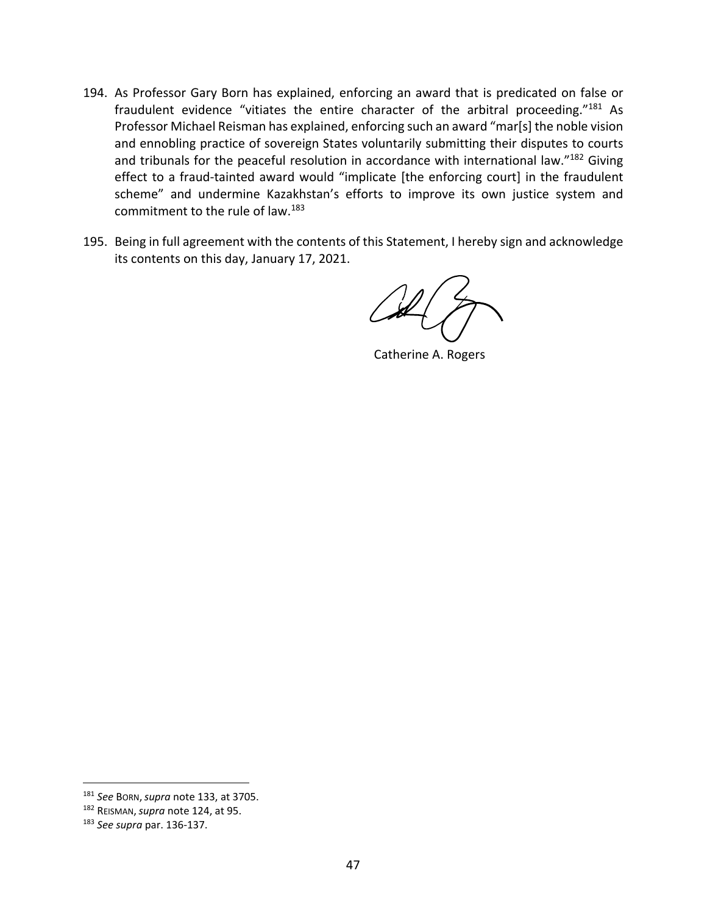- 194. As Professor Gary Born has explained, enforcing an award that is predicated on false or fraudulent evidence "vitiates the entire character of the arbitral proceeding."181 As Professor Michael Reisman has explained, enforcing such an award "mar[s] the noble vision and ennobling practice of sovereign States voluntarily submitting their disputes to courts and tribunals for the peaceful resolution in accordance with international law."182 Giving effect to a fraud-tainted award would "implicate [the enforcing court] in the fraudulent scheme" and undermine Kazakhstan's efforts to improve its own justice system and commitment to the rule of law.183
- 195. Being in full agreement with the contents of this Statement, I hereby sign and acknowledge its contents on this day, January 17, 2021.

Catherine A. Rogers

<sup>181</sup> *See* BORN,*supra* note 133, at 3705.

<sup>182</sup> REISMAN,*supra* note 124, at 95.

<sup>183</sup> *See supra* par. 136‐137.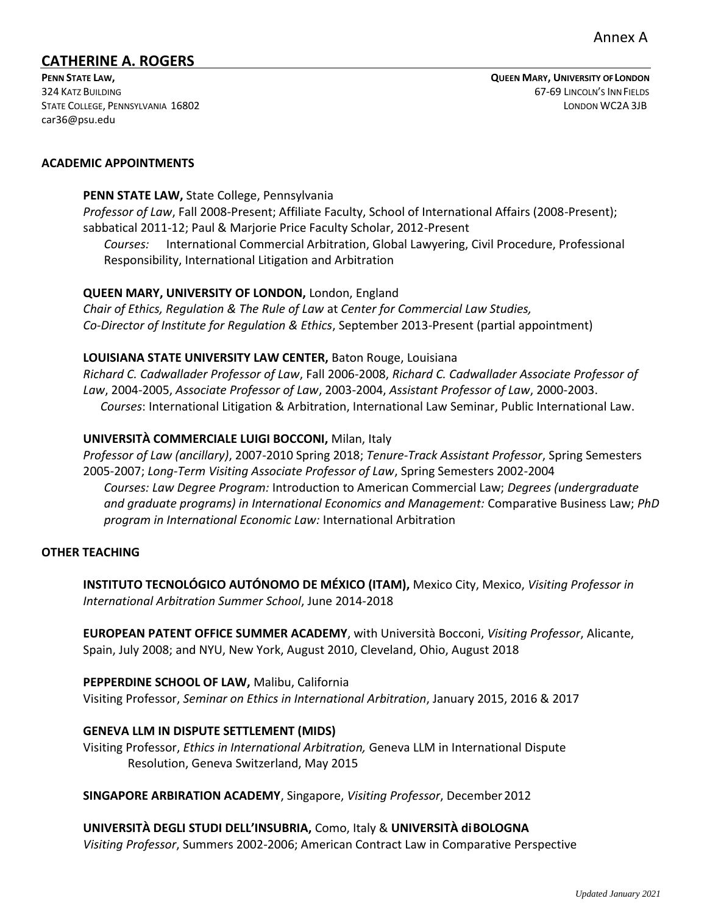[car36@psu.edu](mailto:car36@psu.edu)

#### **ACADEMIC APPOINTMENTS**

#### **PENN STATE LAW,** State College, Pennsylvania

*Professor of Law*, Fall 2008-Present; Affiliate Faculty, School of International Affairs (2008-Present); sabbatical 2011-12; Paul & Marjorie Price Faculty Scholar, 2012-Present

*Courses:* International Commercial Arbitration, Global Lawyering, Civil Procedure, Professional Responsibility, International Litigation and Arbitration

#### **QUEEN MARY, UNIVERSITY OF LONDON,** London, England

*Chair of Ethics, Regulation & The Rule of Law* at *Center for Commercial Law Studies, Co-Director of Institute for Regulation & Ethics*, September 2013-Present (partial appointment)

#### **LOUISIANA STATE UNIVERSITY LAW CENTER,** Baton Rouge, Louisiana

*Richard C. Cadwallader Professor of Law*, Fall 2006-2008, *Richard C. Cadwallader Associate Professor of Law*, 2004-2005, *Associate Professor of Law*, 2003-2004, *Assistant Professor of Law*, 2000-2003. *Courses*: International Litigation & Arbitration, International Law Seminar, Public International Law.

#### **UNIVERSITÀ COMMERCIALE LUIGI BOCCONI,** Milan, Italy

*Professor of Law (ancillary)*, 2007-2010 Spring 2018; *Tenure-Track Assistant Professor*, Spring Semesters 2005-2007; *Long-Term Visiting Associate Professor of Law*, Spring Semesters 2002-2004 *Courses: Law Degree Program:* Introduction to American Commercial Law; *Degrees (undergraduate and graduate programs) in International Economics and Management:* Comparative Business Law; *PhD program in International Economic Law:* International Arbitration

#### **OTHER TEACHING**

**INSTITUTO TECNOLÓGICO AUTÓNOMO DE MÉXICO (ITAM),** Mexico City, Mexico, *Visiting Professor in International Arbitration Summer School*, June 2014-2018

**EUROPEAN PATENT OFFICE SUMMER ACADEMY**, with Università Bocconi, *Visiting Professor*, Alicante, Spain, July 2008; and NYU, New York, August 2010, Cleveland, Ohio, August 2018

**PEPPERDINE SCHOOL OF LAW,** Malibu, California Visiting Professor, *Seminar on Ethics in International Arbitration*, January 2015, 2016 & 2017

### **GENEVA LLM IN DISPUTE SETTLEMENT (MIDS)**

Visiting Professor, *Ethics in International Arbitration,* Geneva LLM in International Dispute Resolution, Geneva Switzerland, May 2015

**SINGAPORE ARBIRATION ACADEMY**, Singapore, *Visiting Professor*, December2012

## **UNIVERSITÀ DEGLI STUDI DELL'INSUBRIA,** Como, Italy & **UNIVERSITÀ diBOLOGNA**

*Visiting Professor*, Summers 2002-2006; American Contract Law in Comparative Perspective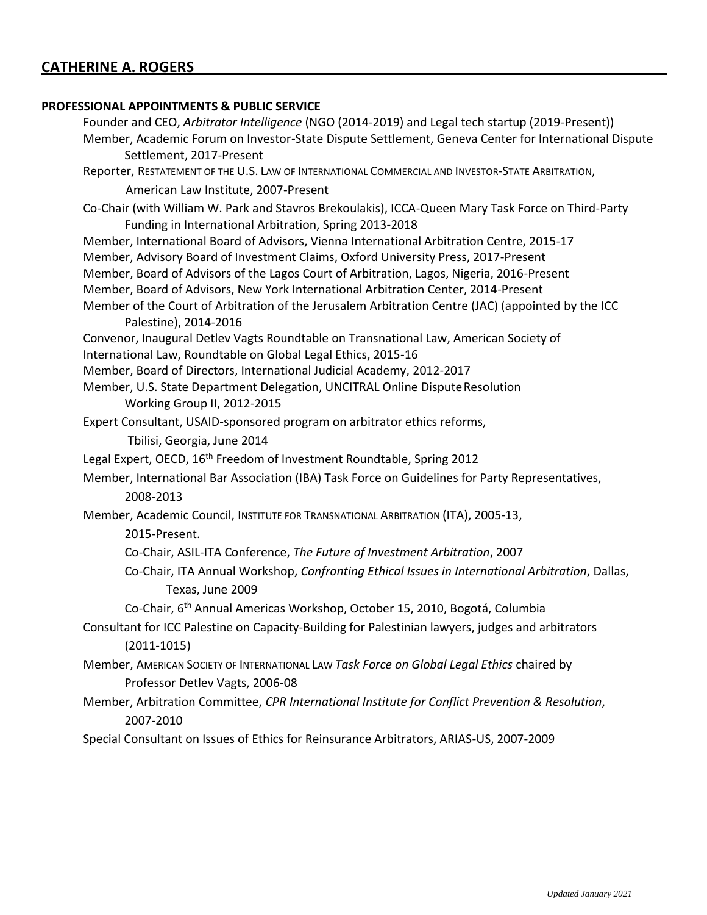#### **PROFESSIONAL APPOINTMENTS & PUBLIC SERVICE**

Founder and CEO, *Arbitrator Intelligence* (NGO (2014-2019) and Legal tech startup (2019-Present)) Member, Academic Forum on Investor-State Dispute Settlement, Geneva Center for International Dispute Settlement, 2017-Present Reporter, RESTATEMENT OF THE U.S. LAW OF INTERNATIONAL COMMERCIAL AND INVESTOR-STATE ARBITRATION, American Law Institute, 2007-Present Co-Chair (with William W. Park and Stavros Brekoulakis), ICCA-Queen Mary Task Force on Third-Party Funding in International Arbitration, Spring 2013-2018 Member, International Board of Advisors, Vienna International Arbitration Centre, 2015-17 Member, Advisory Board of Investment Claims, Oxford University Press, 2017-Present Member, Board of Advisors of the Lagos Court of Arbitration, Lagos, Nigeria, 2016-Present Member, Board of Advisors, New York International Arbitration Center, 2014-Present Member of the Court of Arbitration of the Jerusalem Arbitration Centre (JAC) (appointed by the ICC Palestine), 2014-2016 Convenor, Inaugural Detlev Vagts Roundtable on Transnational Law, American Society of International Law, Roundtable on Global Legal Ethics, 2015-16 Member, Board of Directors, International Judicial Academy, 2012-2017 Member, U.S. State Department Delegation, UNCITRAL Online DisputeResolution Working Group II, 2012-2015 Expert Consultant, USAID-sponsored program on arbitrator ethics reforms, Tbilisi, Georgia, June 2014 Legal Expert, OECD, 16<sup>th</sup> Freedom of Investment Roundtable, Spring 2012 Member, International Bar Association (IBA) Task Force on Guidelines for Party Representatives, 2008-2013 Member, Academic Council, INSTITUTE FOR TRANSNATIONAL ARBITRATION (ITA), 2005-13, 2015-Present. Co-Chair, ASIL-ITA Conference, *The Future of Investment Arbitration*, 2007 Co-Chair, ITA Annual Workshop, *Confronting Ethical Issues in International Arbitration*, Dallas, Texas, June 2009 Co-Chair, 6th Annual Americas Workshop, October 15, 2010, Bogotá, Columbia Consultant for ICC Palestine on Capacity-Building for Palestinian lawyers, judges and arbitrators (2011-1015) Member, AMERICAN SOCIETY OF INTERNATIONAL LAW *Task Force on Global Legal Ethics* chaired by Professor Detlev Vagts, 2006-08 Member, Arbitration Committee, *CPR International Institute for Conflict Prevention & Resolution*, 2007-2010 Special Consultant on Issues of Ethics for Reinsurance Arbitrators, ARIAS-US, 2007-2009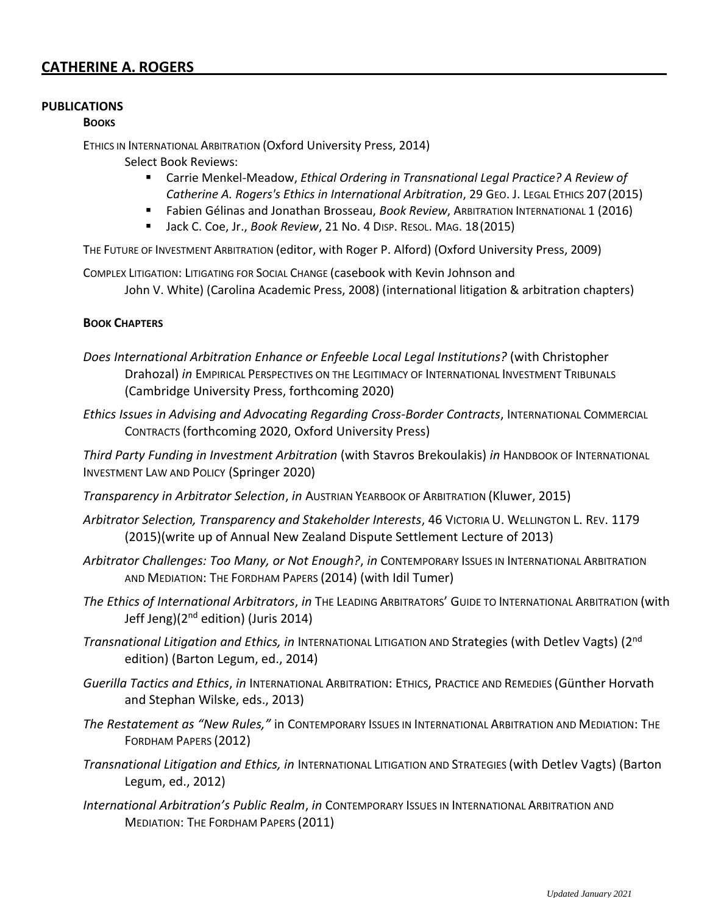### **PUBLICATIONS**

#### **BOOKS**

ETHICS IN INTERNATIONAL ARBITRATION (Oxford University Press, 2014)

Select Book Reviews:

- Carrie Menkel-Meadow, *Ethical Ordering in Transnational Legal Practice? A Review of Catherine A. Rogers's Ethics in International Arbitration*, 29 GEO. J. LEGAL ETHICS 207(2015)
- **E** Fabien Gélinas and Jonathan Brosseau, *Book Review*, ARBITRATION INTERNATIONAL 1 (2016)
- Jack C. Coe, Jr., *Book Review*, 21 No. 4 DISP. RESOL. MAG. 18(2015)

THE FUTURE OF INVESTMENT ARBITRATION (editor, with Roger P. Alford) (Oxford University Press, 2009)

COMPLEX LITIGATION: LITIGATING FOR SOCIAL CHANGE (casebook with Kevin Johnson and John V. White) (Carolina Academic Press, 2008) (international litigation & arbitration chapters)

### **BOOK CHAPTERS**

- *Does International Arbitration Enhance or Enfeeble Local Legal Institutions?* (with Christopher Drahozal) *in* EMPIRICAL PERSPECTIVES ON THE LEGITIMACY OF INTERNATIONAL INVESTMENT TRIBUNALS (Cambridge University Press, forthcoming 2020)
- *Ethics Issues in Advising and Advocating Regarding Cross-Border Contracts*, INTERNATIONAL COMMERCIAL CONTRACTS (forthcoming 2020, Oxford University Press)

*Third Party Funding in Investment Arbitration* (with Stavros Brekoulakis) *in* HANDBOOK OF INTERNATIONAL INVESTMENT LAW AND POLICY (Springer 2020)

- *Transparency in Arbitrator Selection*, *in* AUSTRIAN YEARBOOK OF ARBITRATION (Kluwer, 2015)
- *Arbitrator Selection, Transparency and Stakeholder Interests*, 46 VICTORIA U. WELLINGTON L. REV. 1179 (2015)(write up of Annual New Zealand Dispute Settlement Lecture of 2013)
- *Arbitrator Challenges: Too Many, or Not Enough?*, *in* CONTEMPORARY ISSUES IN INTERNATIONAL ARBITRATION AND MEDIATION: THE FORDHAM PAPERS (2014) (with Idil Tumer)
- *The Ethics of International Arbitrators*, *in* THE LEADING ARBITRATORS' GUIDE TO INTERNATIONAL ARBITRATION (with Jeff Jeng)(2<sup>nd</sup> edition) (Juris 2014)
- *Transnational Litigation and Ethics, in* INTERNATIONAL LITIGATION AND Strategies (with Detlev Vagts) (2nd edition) (Barton Legum, ed., 2014)
- *Guerilla Tactics and Ethics*, *in* INTERNATIONAL ARBITRATION: ETHICS, PRACTICE AND REMEDIES (Günther Horvath and Stephan Wilske, eds., 2013)
- *The Restatement as "New Rules,"* in CONTEMPORARY ISSUES IN INTERNATIONAL ARBITRATION AND MEDIATION: THE FORDHAM PAPERS (2012)
- *Transnational Litigation and Ethics, in* INTERNATIONAL LITIGATION AND STRATEGIES (with Detlev Vagts) (Barton Legum, ed., 2012)
- *International Arbitration's Public Realm*, *in* CONTEMPORARY ISSUES IN INTERNATIONAL ARBITRATION AND MEDIATION: THE FORDHAM PAPERS (2011)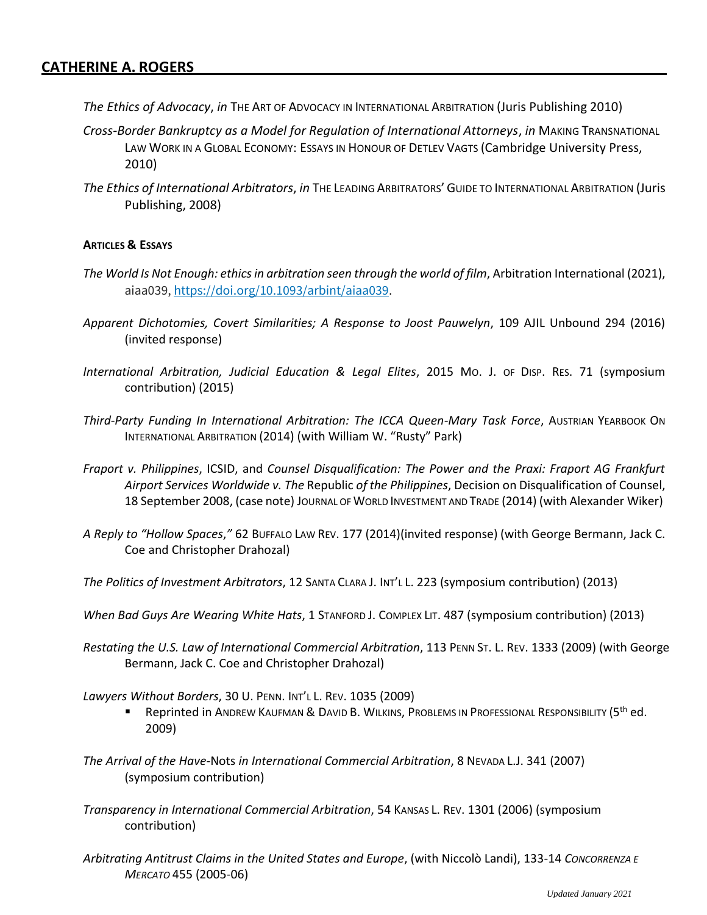- *The Ethics of Advocacy*, *in* THE ART OF ADVOCACY IN INTERNATIONAL ARBITRATION (Juris Publishing 2010)
- *Cross-Border Bankruptcy as a Model for Regulation of International Attorneys*, *in* MAKING TRANSNATIONAL LAW WORK IN A GLOBAL ECONOMY: ESSAYS IN HONOUR OF DETLEV VAGTS (Cambridge University Press, 2010)
- *The Ethics of International Arbitrators*, *in* THE LEADING ARBITRATORS' GUIDE TO INTERNATIONAL ARBITRATION (Juris Publishing, 2008)

#### **ARTICLES & ESSAYS**

- *The World Is Not Enough: ethics in arbitration seen through the world of film*, Arbitration International (2021), aiaa039, <https://doi.org/10.1093/arbint/aiaa039>.
- *Apparent Dichotomies, Covert Similarities; A Response to Joost Pauwelyn*, 109 AJIL Unbound 294 (2016) (invited response)
- *International Arbitration, Judicial Education & Legal Elites*, 2015 MO. J. OF DISP. RES. 71 (symposium contribution) (2015)
- *Third-Party Funding In International Arbitration: The ICCA Queen-Mary Task Force*, AUSTRIAN YEARBOOK ON INTERNATIONAL ARBITRATION (2014) (with William W. "Rusty" Park)
- *Fraport v. Philippines*, ICSID, and *Counsel Disqualification: The Power and the Praxi: Fraport AG Frankfurt Airport Services Worldwide v. The* Republic *of the Philippines*, Decision on Disqualification of Counsel, 18 September 2008, (case note) JOURNAL OF WORLD INVESTMENT AND TRADE (2014) (with Alexander Wiker)
- *A Reply to "Hollow Spaces*,*"* 62 BUFFALO LAW REV. 177 (2014)(invited response) (with George Bermann, Jack C. Coe and Christopher Drahozal)
- *The Politics of Investment Arbitrators*, 12 SANTA CLARA J. INT'L L. 223 (symposium contribution) (2013)
- *When Bad Guys Are Wearing White Hats*, 1 STANFORD J. COMPLEX LIT. 487 (symposium contribution) (2013)
- *Restating the U.S. Law of International Commercial Arbitration*, 113 PENN ST. L. REV. 1333 (2009) (with George Bermann, Jack C. Coe and Christopher Drahozal)

*Lawyers Without Borders*, 30 U. PENN. INT'L L. REV. 1035 (2009)

- Reprinted in ANDREW KAUFMAN & DAVID B. WILKINS, PROBLEMS IN PROFESSIONAL RESPONSIBILITY (5<sup>th</sup> ed. 2009)
- *The Arrival of the Have-*Nots *in International Commercial Arbitration*, 8 NEVADA L.J. 341 (2007) (symposium contribution)
- *Transparency in International Commercial Arbitration*, 54 KANSAS L. REV. 1301 (2006) (symposium contribution)
- *Arbitrating Antitrust Claims in the United States and Europe*, (with Niccolò Landi), 133-14 *CONCORRENZA E MERCATO* 455 (2005-06)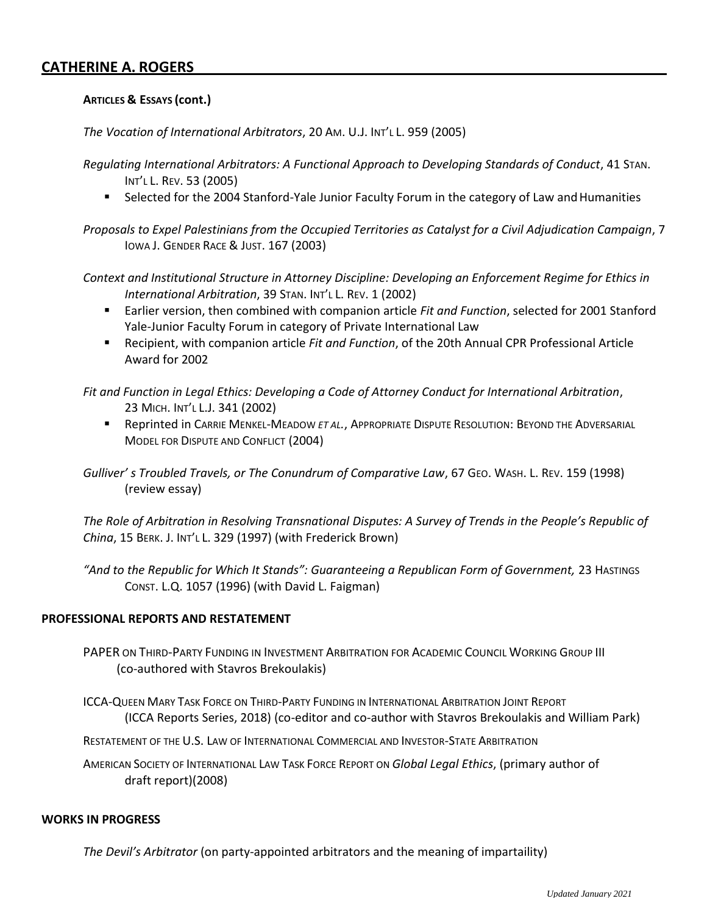#### **ARTICLES & ESSAYS (cont.)**

*The Vocation of International Arbitrators*, 20 AM. U.J. INT'L L. 959 (2005)

*Regulating International Arbitrators: A Functional Approach to Developing Standards of Conduct*, 41 STAN. INT'L L. REV. 53 (2005)

Selected for the 2004 Stanford-Yale Junior Faculty Forum in the category of Law and Humanities

*Proposals to Expel Palestinians from the Occupied Territories as Catalyst for a Civil Adjudication Campaign*, 7 IOWA J. GENDER RACE & JUST. 167 (2003)

*Context and Institutional Structure in Attorney Discipline: Developing an Enforcement Regime for Ethics in International Arbitration*, 39 STAN. INT'L L. REV. 1 (2002)

- Earlier version, then combined with companion article *Fit and Function*, selected for 2001 Stanford Yale-Junior Faculty Forum in category of Private International Law
- Recipient, with companion article *Fit and Function*, of the 20th Annual CPR Professional Article Award for 2002

*Fit and Function in Legal Ethics: Developing a Code of Attorney Conduct for International Arbitration*, 23 MICH. INT'L L.J. 341 (2002)

**E** Reprinted in Carrie Menkel-Meadow *et al.*, APPROPRIATE DISPUTE RESOLUTION: BEYOND THE ADVERSARIAL MODEL FOR DISPUTE AND CONFLICT (2004)

*Gulliver' s Troubled Travels, or The Conundrum of Comparative Law*, 67 GEO. WASH. L. REV. 159 (1998) (review essay)

*The Role of Arbitration in Resolving Transnational Disputes: A Survey of Trends in the People's Republic of China*, 15 BERK. J. INT'L L. 329 (1997) (with Frederick Brown)

"And to the Republic for Which It Stands": Guaranteeing a Republican Form of Government, 23 HASTINGS CONST. L.Q. 1057 (1996) (with David L. Faigman)

#### **PROFESSIONAL REPORTS AND RESTATEMENT**

PAPER ON THIRD-PARTY FUNDING IN INVESTMENT ARBITRATION FOR ACADEMIC COUNCIL WORKING GROUP III (co-authored with Stavros Brekoulakis)

ICCA-QUEEN MARY TASK FORCE ON THIRD-PARTY FUNDING IN INTERNATIONAL ARBITRATION JOINT REPORT (ICCA Reports Series, 2018) (co-editor and co-author with Stavros Brekoulakis and William Park)

RESTATEMENT OF THE U.S. LAW OF INTERNATIONAL COMMERCIAL AND INVESTOR-STATE ARBITRATION

AMERICAN SOCIETY OF INTERNATIONAL LAW TASK FORCE REPORT ON *Global Legal Ethics*, (primary author of draft report)(2008)

#### **WORKS IN PROGRESS**

*The Devil's Arbitrator* (on party-appointed arbitrators and the meaning of impartaility)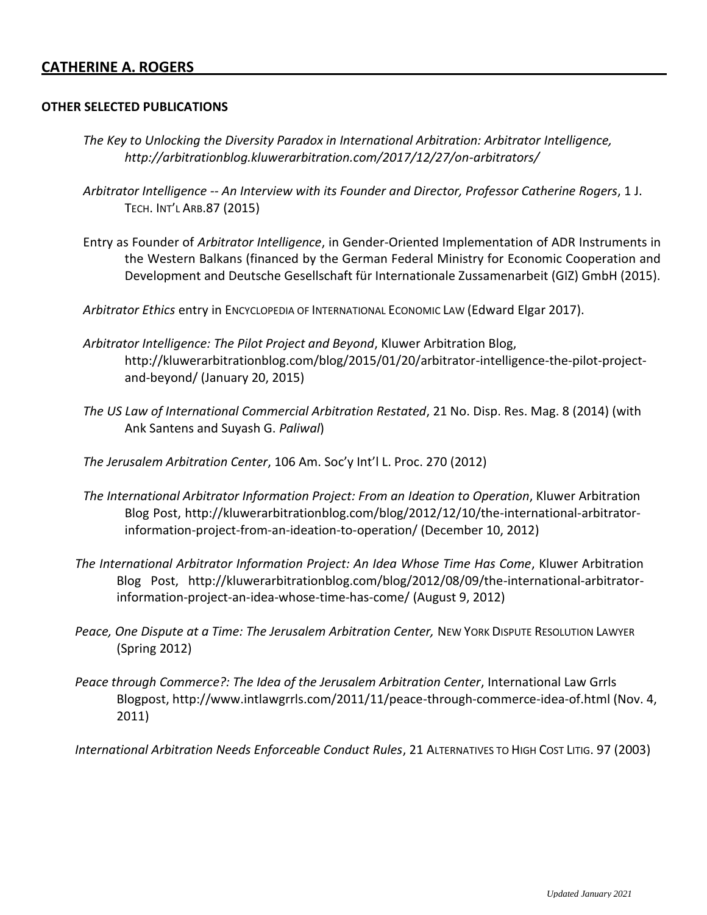#### **OTHER SELECTED PUBLICATIONS**

- *The Key to Unlocking the Diversity Paradox in International Arbitration: Arbitrator Intelligence[,](http://arbitrationblog.kluwerarbitration.com/2017/12/27/on-arbitrators/) <http://arbitrationblog.kluwerarbitration.com/2017/12/27/on-arbitrators/>*
- *Arbitrator Intelligence -- An Interview with its Founder and Director, Professor Catherine Rogers*, 1 J. TECH. INT'L ARB.87 (2015)
- Entry as Founder of *Arbitrator Intelligence*, in Gender-Oriented Implementation of ADR Instruments in the Western Balkans (financed by the German Federal Ministry for Economic Cooperation and Development and Deutsche Gesellschaft für Internationale Zussamenarbeit (GIZ) GmbH (2015).
- *Arbitrator Ethics* entry in ENCYCLOPEDIA OF INTERNATIONAL ECONOMIC LAW (Edward Elgar 2017).
- *Arbitrator Intelligence: The Pilot Project and Beyond*, Kluwer Arbitration Blog[,](http://kluwerarbitrationblog.com/blog/2015/01/20/arbitrator-intelligence-the-pilot-project-) [http://kluwerarbitrationblog.com/blog/2015/01/20/arbitrator-intelligence-the-pilot-project](http://kluwerarbitrationblog.com/blog/2015/01/20/arbitrator-intelligence-the-pilot-project-)and-beyond/ (January 20, 2015)
- *The US Law of International Commercial Arbitration Restated*, 21 No. Disp. Res. Mag. 8 (2014) (with Ank Santens and Suyash G. *Paliwal*)
- *The Jerusalem Arbitration Center*, 106 Am. Soc'y Int'l L. Proc. 270 (2012)
- *The International Arbitrator Information Project: From an Ideation to Operation*, Kluwer Arbitration Blog Post, [http://kluwerarbitrationblog.com/blog/2012/12/10/the-international-arbitrator](http://kluwerarbitrationblog.com/blog/2012/12/10/the-international-arbitrator-)information-project-from-an-ideation-to-operation/ (December 10, 2012)
- *The International Arbitrator Information Project: An Idea Whose Time Has Come*, Kluwer Arbitration Blog Post, [http://kluwerarbitrationblog.com/blog/2012/08/09/the-international-arbitrator](http://kluwerarbitrationblog.com/blog/2012/08/09/the-international-arbitrator-)information-project-an-idea-whose-time-has-come/ (August 9, 2012)
- Peace, One Dispute at a Time: The Jerusalem Arbitration Center, NEW YORK DISPUTE RESOLUTION LAWYER (Spring 2012)
- *Peace through Commerce?: The Idea of the Jerusalem Arbitration Center*, International Law Grrls Blogpost, [http://www.intlawgrrls.com/2011/11/peace-through-commerce-idea-of.html \(](http://www.intlawgrrls.com/2011/11/peace-through-commerce-idea-of.html)Nov. 4, 2011)
- *International Arbitration Needs Enforceable Conduct Rules*, 21 ALTERNATIVES TO HIGH COST LITIG. 97 (2003)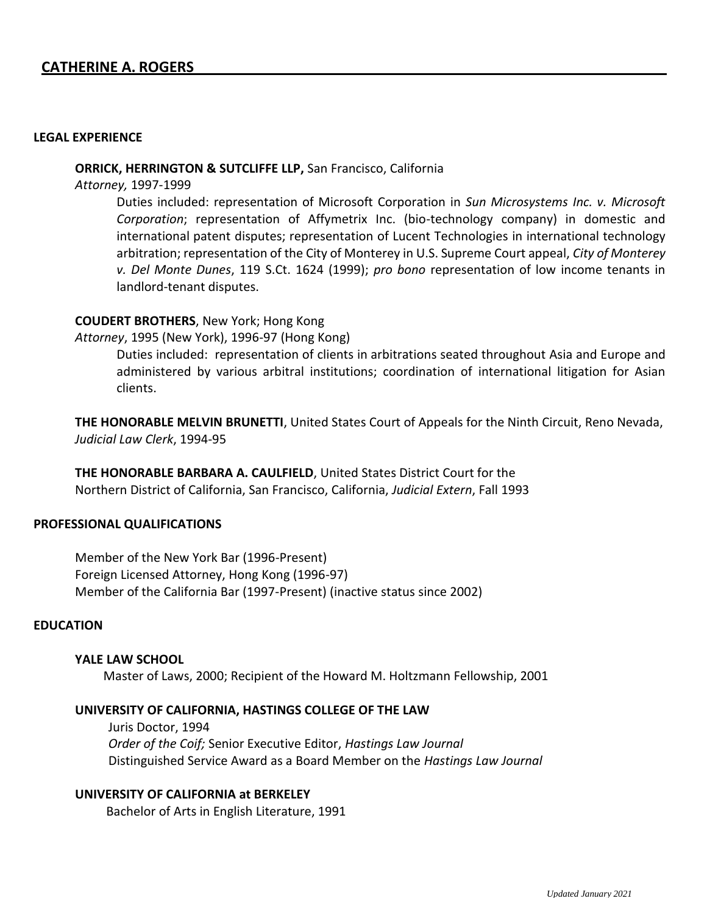#### **LEGAL EXPERIENCE**

#### **ORRICK, HERRINGTON & SUTCLIFFE LLP,** San Francisco, California

*Attorney,* 1997-1999

Duties included: representation of Microsoft Corporation in *Sun Microsystems Inc. v. Microsoft Corporation*; representation of Affymetrix Inc. (bio-technology company) in domestic and international patent disputes; representation of Lucent Technologies in international technology arbitration; representation of the City of Monterey in U.S. Supreme Court appeal, *City of Monterey v. Del Monte Dunes*, 119 S.Ct. 1624 (1999); *pro bono* representation of low income tenants in landlord-tenant disputes.

#### **COUDERT BROTHERS**, New York; Hong Kong

*Attorney*, 1995 (New York), 1996-97 (Hong Kong)

Duties included: representation of clients in arbitrations seated throughout Asia and Europe and administered by various arbitral institutions; coordination of international litigation for Asian clients.

**THE HONORABLE MELVIN BRUNETTI**, United States Court of Appeals for the Ninth Circuit, Reno Nevada, *Judicial Law Clerk*, 1994-95

**THE HONORABLE BARBARA A. CAULFIELD**, United States District Court for the Northern District of California, San Francisco, California, *Judicial Extern*, Fall 1993

#### **PROFESSIONAL QUALIFICATIONS**

Member of the New York Bar (1996-Present) Foreign Licensed Attorney, Hong Kong (1996-97) Member of the California Bar (1997-Present) (inactive status since 2002)

#### **EDUCATION**

#### **YALE LAW SCHOOL**

Master of Laws, 2000; Recipient of the Howard M. Holtzmann Fellowship, 2001

#### **UNIVERSITY OF CALIFORNIA, HASTINGS COLLEGE OF THE LAW**

Juris Doctor, 1994 *Order of the Coif;* Senior Executive Editor, *Hastings Law Journal* Distinguished Service Award as a Board Member on the *Hastings Law Journal*

### **UNIVERSITY OF CALIFORNIA at BERKELEY**

Bachelor of Arts in English Literature, 1991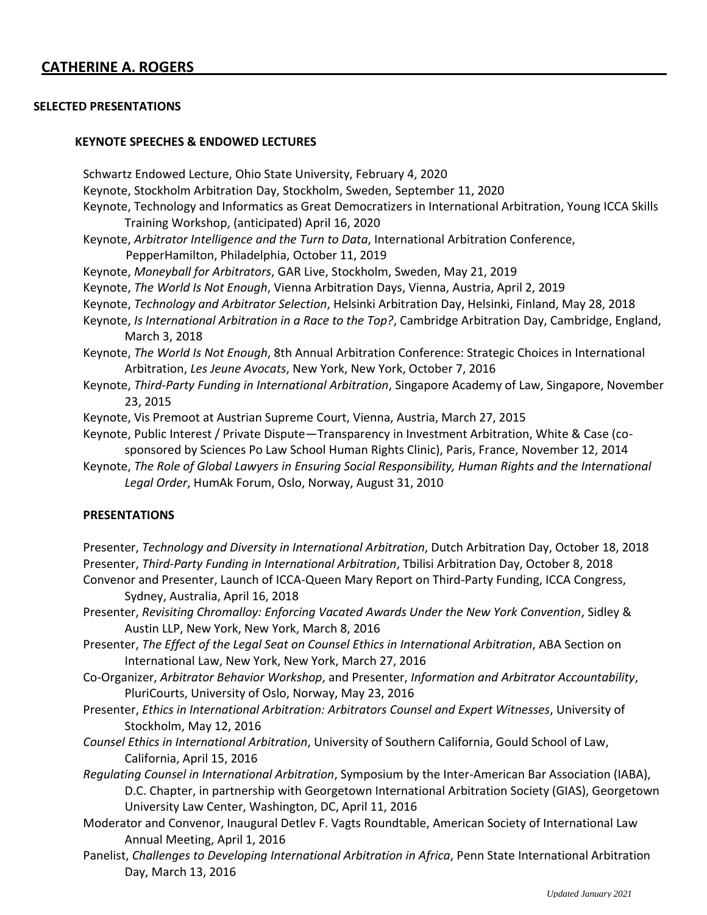#### **SELECTED PRESENTATIONS**

#### **KEYNOTE SPEECHES & ENDOWED LECTURES**

Schwartz Endowed Lecture, Ohio State University, February 4, 2020 Keynote, Stockholm Arbitration Day, Stockholm, Sweden, September 11, 2020 Keynote, Technology and Informatics as Great Democratizers in International Arbitration, Young ICCA Skills Training Workshop, (anticipated) April 16, 2020 Keynote, *Arbitrator Intelligence and the Turn to Data*, International Arbitration Conference, PepperHamilton, Philadelphia, October 11, 2019 Keynote, *Moneyball for Arbitrators*, GAR Live, Stockholm, Sweden, May 21, 2019 Keynote, *The World Is Not Enough*, Vienna Arbitration Days, Vienna, Austria, April 2, 2019 Keynote, *Technology and Arbitrator Selection*, Helsinki Arbitration Day, Helsinki, Finland, May 28, 2018 Keynote, *Is International Arbitration in a Race to the Top?*, Cambridge Arbitration Day, Cambridge, England, March 3, 2018 Keynote, *The World Is Not Enough*, 8th Annual Arbitration Conference: Strategic Choices in International Arbitration, *Les Jeune Avocats*, New York, New York, October 7, 2016 Keynote, *Third-Party Funding in International Arbitration*, Singapore Academy of Law, Singapore, November 23, 2015 Keynote, Vis Premoot at Austrian Supreme Court, Vienna, Austria, March 27, 2015 Keynote, Public Interest / Private Dispute—Transparency in Investment Arbitration, White & Case (cosponsored by Sciences Po Law School Human Rights Clinic), Paris, France, November 12, 2014 Keynote, *The Role of Global Lawyers in Ensuring Social Responsibility, Human Rights and the International Legal Order*, HumAk Forum, Oslo, Norway, August 31, 2010

#### **PRESENTATIONS**

Presenter, *Technology and Diversity in International Arbitration*, Dutch Arbitration Day, October 18, 2018 Presenter, *Third-Party Funding in International Arbitration*, Tbilisi Arbitration Day, October 8, 2018 Convenor and Presenter, Launch of ICCA-Queen Mary Report on Third-Party Funding, ICCA Congress,

Sydney, Australia, April 16, 2018

Presenter, *Revisiting Chromalloy: Enforcing Vacated Awards Under the New York Convention*, Sidley & Austin LLP, New York, New York, March 8, 2016

Presenter, *The Effect of the Legal Seat on Counsel Ethics in International Arbitration*, ABA Section on International Law, New York, New York, March 27, 2016

- Co-Organizer, *Arbitrator Behavior Workshop*, and Presenter, *Information and Arbitrator Accountability*, PluriCourts, University of Oslo, Norway, May 23, 2016
- Presenter, *Ethics in International Arbitration: Arbitrators Counsel and Expert Witnesses*, University of Stockholm, May 12, 2016

*Counsel Ethics in International Arbitration*, University of Southern California, Gould School of Law, California, April 15, 2016

- *Regulating Counsel in International Arbitration*, Symposium by the Inter-American Bar Association (IABA), D.C. Chapter, in partnership with Georgetown International Arbitration Society (GIAS), Georgetown University Law Center, Washington, DC, April 11, 2016
- Moderator and Convenor, Inaugural Detlev F. Vagts Roundtable, American Society of International Law Annual Meeting, April 1, 2016
- Panelist, *Challenges to Developing International Arbitration in Africa*, Penn State International Arbitration Day, March 13, 2016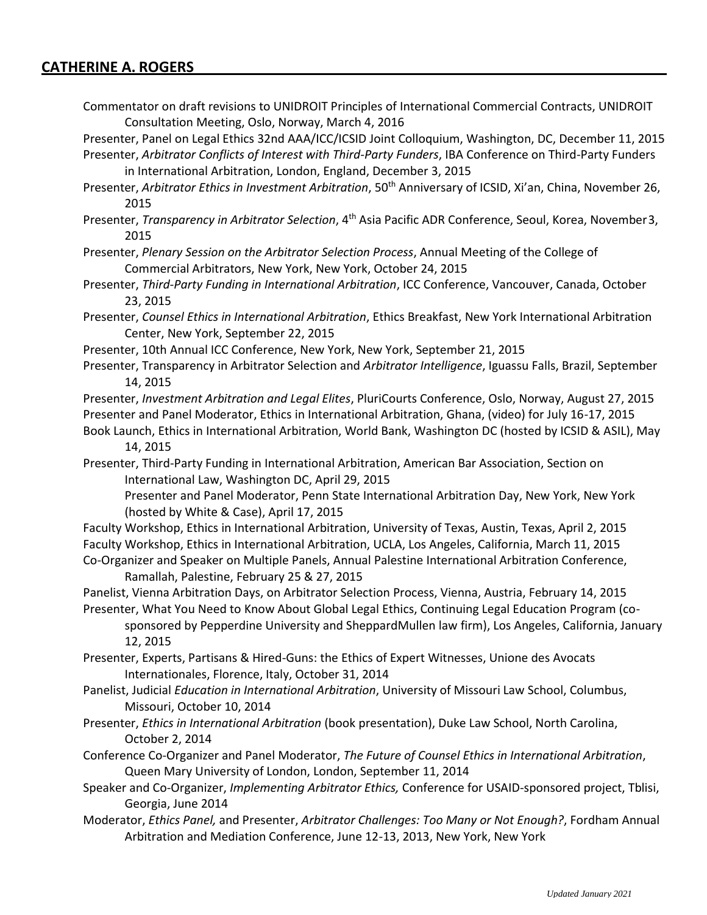Commentator on draft revisions to UNIDROIT Principles of International Commercial Contracts, UNIDROIT Consultation Meeting, Oslo, Norway, March 4, 2016

Presenter, Panel on Legal Ethics 32nd AAA/ICC/ICSID Joint Colloquium, Washington, DC, December 11, 2015 Presenter, *Arbitrator Conflicts of Interest with Third-Party Funders*, IBA Conference on Third-Party Funders in International Arbitration, London, England, December 3, 2015

- Presenter, *Arbitrator Ethics in Investment Arbitration*, 50<sup>th</sup> Anniversary of ICSID, Xi'an, China, November 26, 2015
- Presenter, *Transparency in Arbitrator Selection*, 4th Asia Pacific ADR Conference, Seoul, Korea, November3, 2015
- Presenter, *Plenary Session on the Arbitrator Selection Process*, Annual Meeting of the College of Commercial Arbitrators, New York, New York, October 24, 2015
- Presenter, *Third-Party Funding in International Arbitration*, ICC Conference, Vancouver, Canada, October 23, 2015
- Presenter, *Counsel Ethics in International Arbitration*, Ethics Breakfast, New York International Arbitration Center, New York, September 22, 2015
- Presenter, 10th Annual ICC Conference, New York, New York, September 21, 2015
- Presenter, Transparency in Arbitrator Selection and *Arbitrator Intelligence*, Iguassu Falls, Brazil, September 14, 2015

Presenter, *Investment Arbitration and Legal Elites*, PluriCourts Conference, Oslo, Norway, August 27, 2015 Presenter and Panel Moderator, Ethics in International Arbitration, Ghana, (video) for July 16-17, 2015

- Book Launch, Ethics in International Arbitration, World Bank, Washington DC (hosted by ICSID & ASIL), May 14, 2015
- Presenter, Third-Party Funding in International Arbitration, American Bar Association, Section on International Law, Washington DC, April 29, 2015

Presenter and Panel Moderator, Penn State International Arbitration Day, New York, New York (hosted by White & Case), April 17, 2015

- Faculty Workshop, Ethics in International Arbitration, University of Texas, Austin, Texas, April 2, 2015 Faculty Workshop, Ethics in International Arbitration, UCLA, Los Angeles, California, March 11, 2015 Co-Organizer and Speaker on Multiple Panels, Annual Palestine International Arbitration Conference,
- Ramallah, Palestine, February 25 & 27, 2015
- Panelist, Vienna Arbitration Days, on Arbitrator Selection Process, Vienna, Austria, February 14, 2015 Presenter, What You Need to Know About Global Legal Ethics, Continuing Legal Education Program (co-

sponsored by Pepperdine University and SheppardMullen law firm), Los Angeles, California, January 12, 2015

- Presenter, Experts, Partisans & Hired-Guns: the Ethics of Expert Witnesses, Unione des Avocats Internationales, Florence, Italy, October 31, 2014
- Panelist, Judicial *Education in International Arbitration*, University of Missouri Law School, Columbus, Missouri, October 10, 2014
- Presenter, *Ethics in International Arbitration* (book presentation), Duke Law School, North Carolina, October 2, 2014
- Conference Co-Organizer and Panel Moderator, *The Future of Counsel Ethics in International Arbitration*, Queen Mary University of London, London, September 11, 2014
- Speaker and Co-Organizer, *Implementing Arbitrator Ethics,* Conference for USAID-sponsored project, Tblisi, Georgia, June 2014
- Moderator, *Ethics Panel,* and Presenter, *Arbitrator Challenges: Too Many or Not Enough?*, Fordham Annual Arbitration and Mediation Conference, June 12-13, 2013, New York, New York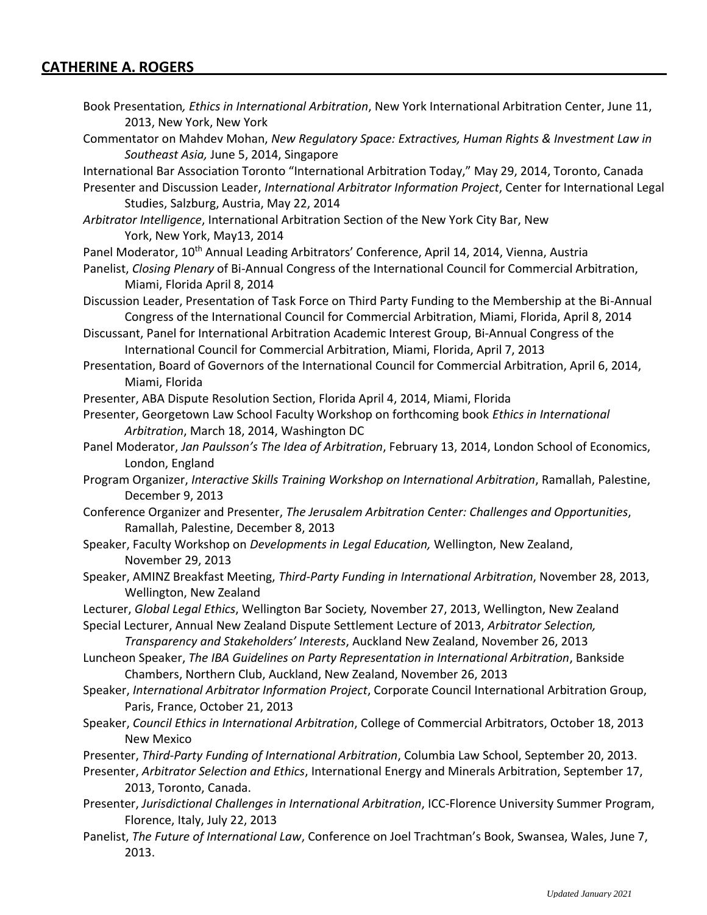2013.

Book Presentation*, Ethics in International Arbitration*, New York International Arbitration Center, June 11, 2013, New York, New York Commentator on Mahdev Mohan, *New Regulatory Space: Extractives, Human Rights & Investment Law in Southeast Asia,* June 5, 2014, Singapore International Bar Association Toronto "International Arbitration Today," May 29, 2014, Toronto, Canada Presenter and Discussion Leader, *International Arbitrator Information Project*, Center for International Legal Studies, Salzburg, Austria, May 22, 2014 *Arbitrator Intelligence*, International Arbitration Section of the New York City Bar, New York, New York, May13, 2014 Panel Moderator, 10<sup>th</sup> Annual Leading Arbitrators' Conference, April 14, 2014, Vienna, Austria Panelist, *Closing Plenary* of Bi-Annual Congress of the International Council for Commercial Arbitration, Miami, Florida April 8, 2014 Discussion Leader, Presentation of Task Force on Third Party Funding to the Membership at the Bi-Annual Congress of the International Council for Commercial Arbitration, Miami, Florida, April 8, 2014 Discussant, Panel for International Arbitration Academic Interest Group, Bi-Annual Congress of the International Council for Commercial Arbitration, Miami, Florida, April 7, 2013 Presentation, Board of Governors of the International Council for Commercial Arbitration, April 6, 2014, Miami, Florida Presenter, ABA Dispute Resolution Section, Florida April 4, 2014, Miami, Florida Presenter, Georgetown Law School Faculty Workshop on forthcoming book *Ethics in International Arbitration*, March 18, 2014, Washington DC Panel Moderator, *Jan Paulsson's The Idea of Arbitration*, February 13, 2014, London School of Economics, London, England Program Organizer, *Interactive Skills Training Workshop on International Arbitration*, Ramallah, Palestine, December 9, 2013 Conference Organizer and Presenter, *The Jerusalem Arbitration Center: Challenges and Opportunities*, Ramallah, Palestine, December 8, 2013 Speaker, Faculty Workshop on *Developments in Legal Education,* Wellington, New Zealand, November 29, 2013 Speaker, AMINZ Breakfast Meeting, *Third-Party Funding in International Arbitration*, November 28, 2013, Wellington, New Zealand Lecturer, *Global Legal Ethics*, Wellington Bar Society*,* November 27, 2013, Wellington, New Zealand Special Lecturer, Annual New Zealand Dispute Settlement Lecture of 2013, *Arbitrator Selection, Transparency and Stakeholders' Interests*, Auckland New Zealand, November 26, 2013 Luncheon Speaker, *The IBA Guidelines on Party Representation in International Arbitration*, Bankside Chambers, Northern Club, Auckland, New Zealand, November 26, 2013 Speaker, *International Arbitrator Information Project*, Corporate Council International Arbitration Group, Paris, France, October 21, 2013 Speaker, *Council Ethics in International Arbitration*, College of Commercial Arbitrators, October 18, 2013 New Mexico Presenter, *Third-Party Funding of International Arbitration*, Columbia Law School, September 20, 2013. Presenter, *Arbitrator Selection and Ethics*, International Energy and Minerals Arbitration, September 17, 2013, Toronto, Canada. Presenter, *Jurisdictional Challenges in International Arbitration*, ICC-Florence University Summer Program, Florence, Italy, July 22, 2013 Panelist, *The Future of International Law*, Conference on Joel Trachtman's Book, Swansea, Wales, June 7,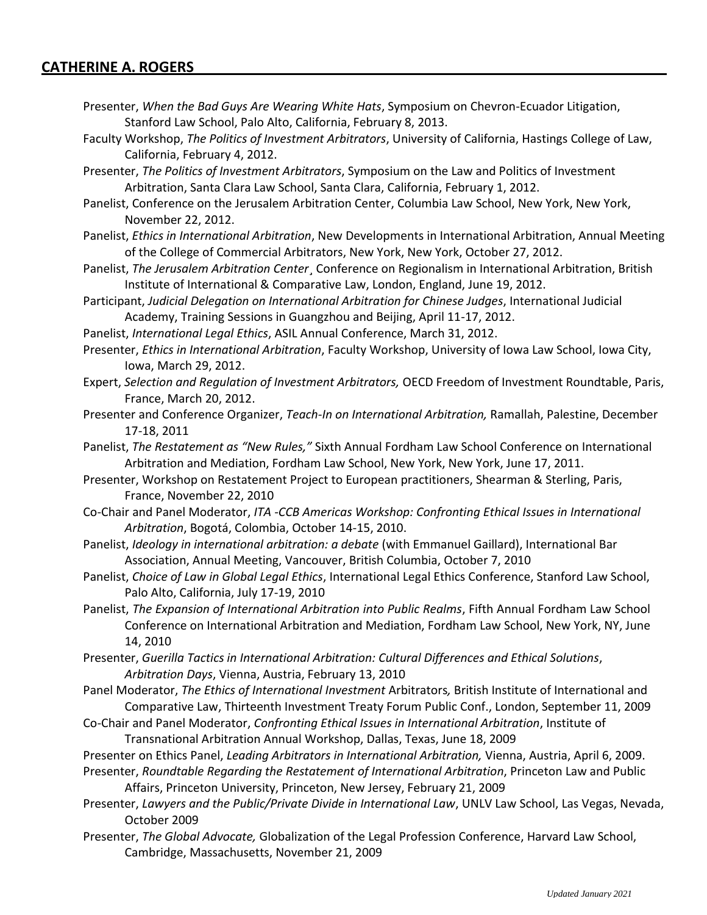- Presenter, *When the Bad Guys Are Wearing White Hats*, Symposium on Chevron-Ecuador Litigation, Stanford Law School, Palo Alto, California, February 8, 2013.
- Faculty Workshop, *The Politics of Investment Arbitrators*, University of California, Hastings College of Law, California, February 4, 2012.
- Presenter, *The Politics of Investment Arbitrators*, Symposium on the Law and Politics of Investment Arbitration, Santa Clara Law School, Santa Clara, California, February 1, 2012.
- Panelist, Conference on the Jerusalem Arbitration Center, Columbia Law School, New York, New York, November 22, 2012.
- Panelist, *Ethics in International Arbitration*, New Developments in International Arbitration, Annual Meeting of the College of Commercial Arbitrators, New York, New York, October 27, 2012.
- Panelist, *The Jerusalem Arbitration Center*¸ Conference on Regionalism in International Arbitration, British Institute of International & Comparative Law, London, England, June 19, 2012.
- Participant, *Judicial Delegation on International Arbitration for Chinese Judges*, International Judicial Academy, Training Sessions in Guangzhou and Beijing, April 11-17, 2012.
- Panelist, *International Legal Ethics*, ASIL Annual Conference, March 31, 2012.
- Presenter, *Ethics in International Arbitration*, Faculty Workshop, University of Iowa Law School, Iowa City, Iowa, March 29, 2012.
- Expert, *Selection and Regulation of Investment Arbitrators,* OECD Freedom of Investment Roundtable, Paris, France, March 20, 2012.
- Presenter and Conference Organizer, *Teach-In on International Arbitration,* Ramallah, Palestine, December 17-18, 2011
- Panelist, *The Restatement as "New Rules,"* Sixth Annual Fordham Law School Conference on International Arbitration and Mediation, Fordham Law School, New York, New York, June 17, 2011.
- Presenter, Workshop on Restatement Project to European practitioners, Shearman & Sterling, Paris, France, November 22, 2010
- Co-Chair and Panel Moderator, *ITA -CCB Americas Workshop: Confronting Ethical Issues in International Arbitration*, Bogotá, Colombia, October 14-15, 2010.
- Panelist, *Ideology in international arbitration: a debate* (with Emmanuel Gaillard), International Bar Association, Annual Meeting, Vancouver, British Columbia, October 7, 2010
- Panelist, *Choice of Law in Global Legal Ethics*, International Legal Ethics Conference, Stanford Law School, Palo Alto, California, July 17-19, 2010
- Panelist, *The Expansion of International Arbitration into Public Realms*, Fifth Annual Fordham Law School Conference on International Arbitration and Mediation, Fordham Law School, New York, NY, June 14, 2010
- Presenter, *Guerilla Tactics in International Arbitration: Cultural Differences and Ethical Solutions*, *Arbitration Days*, Vienna, Austria, February 13, 2010
- Panel Moderator, *The Ethics of International Investment* Arbitrators*,* British Institute of International and Comparative Law, Thirteenth Investment Treaty Forum Public Conf., London, September 11, 2009
- Co-Chair and Panel Moderator, *Confronting Ethical Issues in International Arbitration*, Institute of Transnational Arbitration Annual Workshop, Dallas, Texas, June 18, 2009
- Presenter on Ethics Panel, *Leading Arbitrators in International Arbitration,* Vienna, Austria, April 6, 2009.

Presenter, *Roundtable Regarding the Restatement of International Arbitration*, Princeton Law and Public Affairs, Princeton University, Princeton, New Jersey, February 21, 2009

- Presenter, *Lawyers and the Public/Private Divide in International Law*, UNLV Law School, Las Vegas, Nevada, October 2009
- Presenter, *The Global Advocate,* Globalization of the Legal Profession Conference, Harvard Law School, Cambridge, Massachusetts, November 21, 2009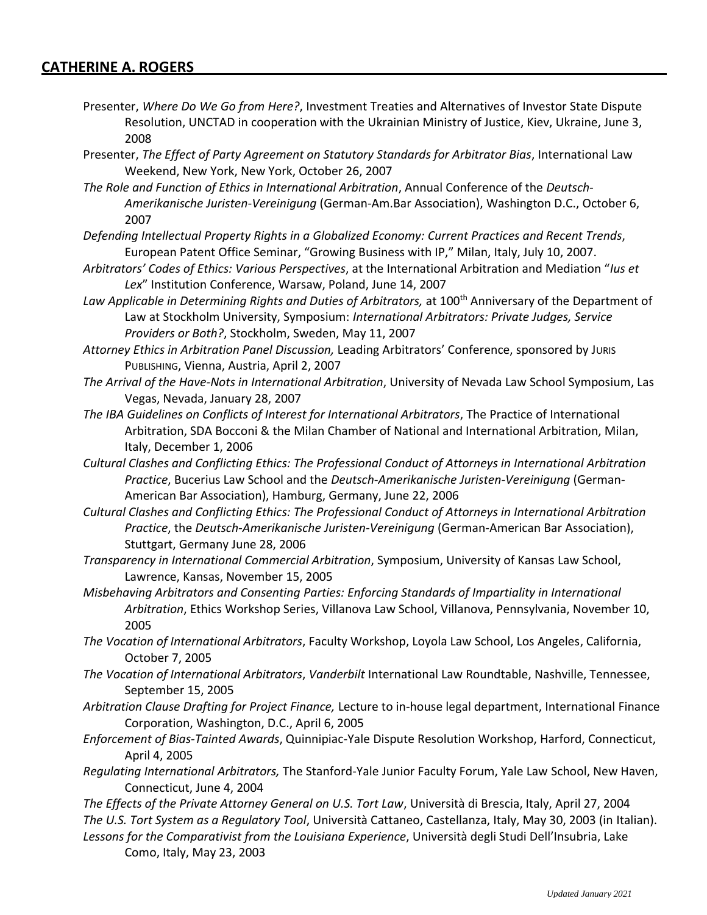- Presenter, *Where Do We Go from Here?*, Investment Treaties and Alternatives of Investor State Dispute Resolution, UNCTAD in cooperation with the Ukrainian Ministry of Justice, Kiev, Ukraine, June 3, 2008
- Presenter, *The Effect of Party Agreement on Statutory Standards for Arbitrator Bias*, International Law Weekend, New York, New York, October 26, 2007
- *The Role and Function of Ethics in International Arbitration*, Annual Conference of the *Deutsch-Amerikanische Juristen-Vereinigung* (German-Am.Bar Association), Washington D.C., October 6, 2007
- *Defending Intellectual Property Rights in a Globalized Economy: Current Practices and Recent Trends*, European Patent Office Seminar, "Growing Business with IP," Milan, Italy, July 10, 2007.
- *Arbitrators' Codes of Ethics: Various Perspectives*, at the International Arbitration and Mediation "*Ius et Lex*" Institution Conference, Warsaw, Poland, June 14, 2007
- *Law Applicable in Determining Rights and Duties of Arbitrators,* at 100th Anniversary of the Department of Law at Stockholm University, Symposium: *International Arbitrators: Private Judges, Service Providers or Both?*, Stockholm, Sweden, May 11, 2007
- *Attorney Ethics in Arbitration Panel Discussion,* Leading Arbitrators' Conference, sponsored by JURIS PUBLISHING, Vienna, Austria, April 2, 2007
- *The Arrival of the Have-Nots in International Arbitration*, University of Nevada Law School Symposium, Las Vegas, Nevada, January 28, 2007
- *The IBA Guidelines on Conflicts of Interest for International Arbitrators*, The Practice of International Arbitration, SDA Bocconi & the Milan Chamber of National and International Arbitration, Milan, Italy, December 1, 2006
- *Cultural Clashes and Conflicting Ethics: The Professional Conduct of Attorneys in International Arbitration Practice*, Bucerius Law School and the *Deutsch-Amerikanische Juristen-Vereinigung* (German-American Bar Association), Hamburg, Germany, June 22, 2006
- *Cultural Clashes and Conflicting Ethics: The Professional Conduct of Attorneys in International Arbitration Practice*, the *Deutsch-Amerikanische Juristen-Vereinigung* (German-American Bar Association), Stuttgart, Germany June 28, 2006
- *Transparency in International Commercial Arbitration*, Symposium, University of Kansas Law School, Lawrence, Kansas, November 15, 2005
- *Misbehaving Arbitrators and Consenting Parties: Enforcing Standards of Impartiality in International Arbitration*, Ethics Workshop Series, Villanova Law School, Villanova, Pennsylvania, November 10, 2005
- *The Vocation of International Arbitrators*, Faculty Workshop, Loyola Law School, Los Angeles, California, October 7, 2005
- *The Vocation of International Arbitrators*, *Vanderbilt* International Law Roundtable, Nashville, Tennessee, September 15, 2005
- *Arbitration Clause Drafting for Project Finance,* Lecture to in-house legal department, International Finance Corporation, Washington, D.C., April 6, 2005
- *Enforcement of Bias-Tainted Awards*, Quinnipiac-Yale Dispute Resolution Workshop, Harford, Connecticut, April 4, 2005
- *Regulating International Arbitrators,* The Stanford-Yale Junior Faculty Forum, Yale Law School, New Haven, Connecticut, June 4, 2004
- *The Effects of the Private Attorney General on U.S. Tort Law*, Università di Brescia, Italy, April 27, 2004 *The U.S. Tort System as a Regulatory Tool*, Università Cattaneo, Castellanza, Italy, May 30, 2003 (in Italian).
- *Lessons for the Comparativist from the Louisiana Experience*, Università degli Studi Dell'Insubria, Lake Como, Italy, May 23, 2003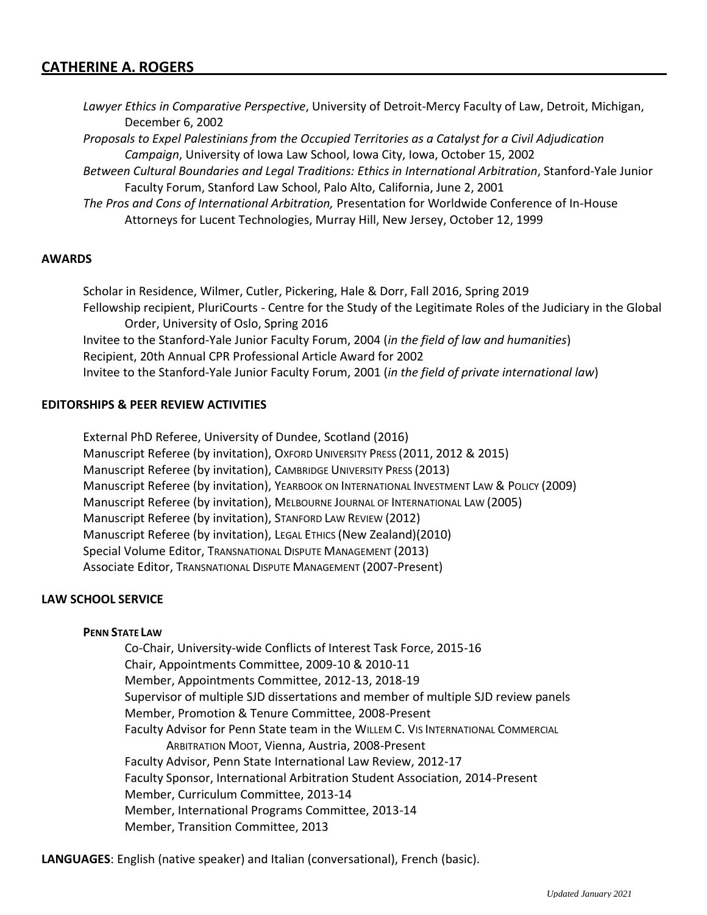*Lawyer Ethics in Comparative Perspective*, University of Detroit-Mercy Faculty of Law, Detroit, Michigan, December 6, 2002

*Proposals to Expel Palestinians from the Occupied Territories as a Catalyst for a Civil Adjudication Campaign*, University of Iowa Law School, Iowa City, Iowa, October 15, 2002

- *Between Cultural Boundaries and Legal Traditions: Ethics in International Arbitration*, Stanford-Yale Junior Faculty Forum, Stanford Law School, Palo Alto, California, June 2, 2001
- *The Pros and Cons of International Arbitration,* Presentation for Worldwide Conference of In-House Attorneys for Lucent Technologies, Murray Hill, New Jersey, October 12, 1999

#### **AWARDS**

Scholar in Residence, Wilmer, Cutler, Pickering, Hale & Dorr, Fall 2016, Spring 2019 Fellowship recipient, PluriCourts - Centre for the Study of the Legitimate Roles of the Judiciary in the Global Order, University of Oslo, Spring 2016 Invitee to the Stanford-Yale Junior Faculty Forum, 2004 (*in the field of law and humanities*) Recipient, 20th Annual CPR Professional Article Award for 2002 Invitee to the Stanford-Yale Junior Faculty Forum, 2001 (*in the field of private international law*)

### **EDITORSHIPS & PEER REVIEW ACTIVITIES**

External PhD Referee, University of Dundee, Scotland (2016) Manuscript Referee (by invitation), OXFORD UNIVERSITY PRESS (2011, 2012 & 2015) Manuscript Referee (by invitation), CAMBRIDGE UNIVERSITY PRESS (2013) Manuscript Referee (by invitation), YEARBOOK ON INTERNATIONAL INVESTMENT LAW & POLICY (2009) Manuscript Referee (by invitation), MELBOURNE JOURNAL OF INTERNATIONAL LAW (2005) Manuscript Referee (by invitation), STANFORD LAW REVIEW (2012) Manuscript Referee (by invitation), LEGAL ETHICS (New Zealand)(2010) Special Volume Editor, TRANSNATIONAL DISPUTE MANAGEMENT (2013) Associate Editor, TRANSNATIONAL DISPUTE MANAGEMENT (2007-Present)

#### **LAW SCHOOL SERVICE**

#### **PENN STATE LAW**

Co-Chair, University-wide Conflicts of Interest Task Force, 2015-16 Chair, Appointments Committee, 2009-10 & 2010-11 Member, Appointments Committee, 2012-13, 2018-19 Supervisor of multiple SJD dissertations and member of multiple SJD review panels Member, Promotion & Tenure Committee, 2008-Present Faculty Advisor for Penn State team in the WILLEM C. VIS INTERNATIONAL COMMERCIAL ARBITRATION MOOT, Vienna, Austria, 2008-Present Faculty Advisor, Penn State International Law Review, 2012-17 Faculty Sponsor, International Arbitration Student Association, 2014-Present Member, Curriculum Committee, 2013-14 Member, International Programs Committee, 2013-14 Member, Transition Committee, 2013

**LANGUAGES**: English (native speaker) and Italian (conversational), French (basic).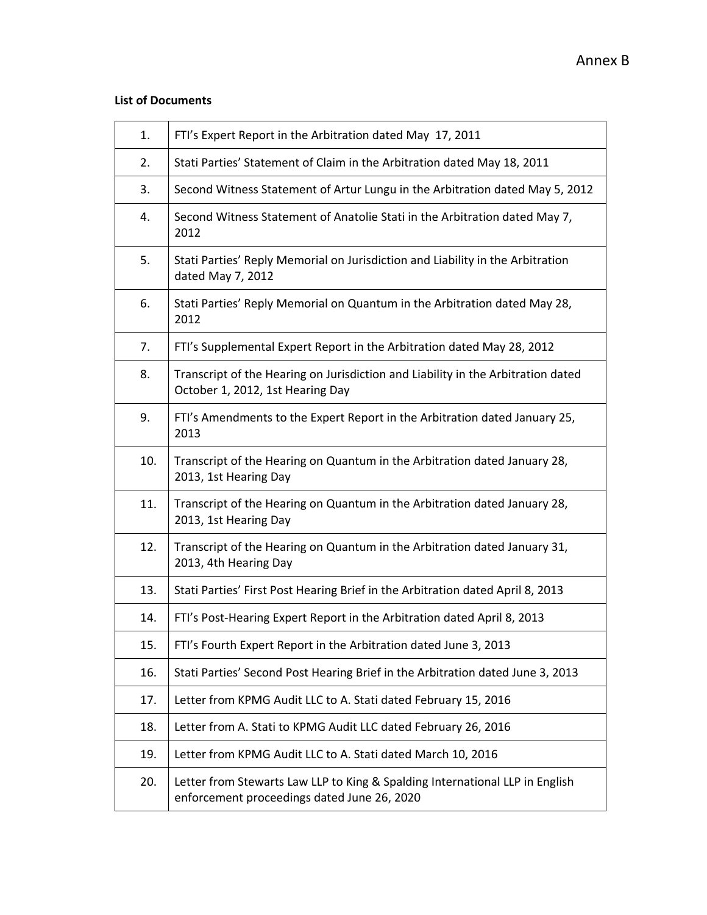#### **List of Documents**

| 1.  | FTI's Expert Report in the Arbitration dated May 17, 2011                                                                   |
|-----|-----------------------------------------------------------------------------------------------------------------------------|
| 2.  | Stati Parties' Statement of Claim in the Arbitration dated May 18, 2011                                                     |
| 3.  | Second Witness Statement of Artur Lungu in the Arbitration dated May 5, 2012                                                |
| 4.  | Second Witness Statement of Anatolie Stati in the Arbitration dated May 7,<br>2012                                          |
| 5.  | Stati Parties' Reply Memorial on Jurisdiction and Liability in the Arbitration<br>dated May 7, 2012                         |
| 6.  | Stati Parties' Reply Memorial on Quantum in the Arbitration dated May 28,<br>2012                                           |
| 7.  | FTI's Supplemental Expert Report in the Arbitration dated May 28, 2012                                                      |
| 8.  | Transcript of the Hearing on Jurisdiction and Liability in the Arbitration dated<br>October 1, 2012, 1st Hearing Day        |
| 9.  | FTI's Amendments to the Expert Report in the Arbitration dated January 25,<br>2013                                          |
| 10. | Transcript of the Hearing on Quantum in the Arbitration dated January 28,<br>2013, 1st Hearing Day                          |
| 11. | Transcript of the Hearing on Quantum in the Arbitration dated January 28,<br>2013, 1st Hearing Day                          |
| 12. | Transcript of the Hearing on Quantum in the Arbitration dated January 31,<br>2013, 4th Hearing Day                          |
| 13. | Stati Parties' First Post Hearing Brief in the Arbitration dated April 8, 2013                                              |
| 14. | FTI's Post-Hearing Expert Report in the Arbitration dated April 8, 2013                                                     |
| 15. | FTI's Fourth Expert Report in the Arbitration dated June 3, 2013                                                            |
| 16. | Stati Parties' Second Post Hearing Brief in the Arbitration dated June 3, 2013                                              |
| 17. | Letter from KPMG Audit LLC to A. Stati dated February 15, 2016                                                              |
| 18. | Letter from A. Stati to KPMG Audit LLC dated February 26, 2016                                                              |
| 19. | Letter from KPMG Audit LLC to A. Stati dated March 10, 2016                                                                 |
| 20. | Letter from Stewarts Law LLP to King & Spalding International LLP in English<br>enforcement proceedings dated June 26, 2020 |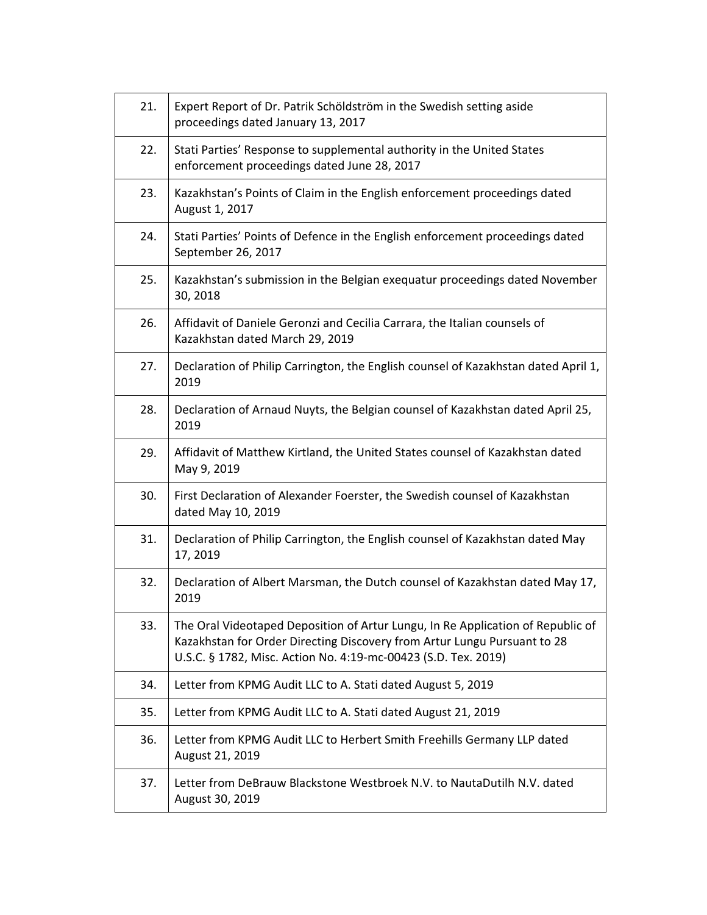| 21. | Expert Report of Dr. Patrik Schöldström in the Swedish setting aside<br>proceedings dated January 13, 2017                                                                                                                    |
|-----|-------------------------------------------------------------------------------------------------------------------------------------------------------------------------------------------------------------------------------|
| 22. | Stati Parties' Response to supplemental authority in the United States<br>enforcement proceedings dated June 28, 2017                                                                                                         |
| 23. | Kazakhstan's Points of Claim in the English enforcement proceedings dated<br>August 1, 2017                                                                                                                                   |
| 24. | Stati Parties' Points of Defence in the English enforcement proceedings dated<br>September 26, 2017                                                                                                                           |
| 25. | Kazakhstan's submission in the Belgian exequatur proceedings dated November<br>30, 2018                                                                                                                                       |
| 26. | Affidavit of Daniele Geronzi and Cecilia Carrara, the Italian counsels of<br>Kazakhstan dated March 29, 2019                                                                                                                  |
| 27. | Declaration of Philip Carrington, the English counsel of Kazakhstan dated April 1,<br>2019                                                                                                                                    |
| 28. | Declaration of Arnaud Nuyts, the Belgian counsel of Kazakhstan dated April 25,<br>2019                                                                                                                                        |
| 29. | Affidavit of Matthew Kirtland, the United States counsel of Kazakhstan dated<br>May 9, 2019                                                                                                                                   |
| 30. | First Declaration of Alexander Foerster, the Swedish counsel of Kazakhstan<br>dated May 10, 2019                                                                                                                              |
| 31. | Declaration of Philip Carrington, the English counsel of Kazakhstan dated May<br>17, 2019                                                                                                                                     |
| 32. | Declaration of Albert Marsman, the Dutch counsel of Kazakhstan dated May 17,<br>2019                                                                                                                                          |
| 33. | The Oral Videotaped Deposition of Artur Lungu, In Re Application of Republic of<br>Kazakhstan for Order Directing Discovery from Artur Lungu Pursuant to 28<br>U.S.C. § 1782, Misc. Action No. 4:19-mc-00423 (S.D. Tex. 2019) |
| 34. | Letter from KPMG Audit LLC to A. Stati dated August 5, 2019                                                                                                                                                                   |
| 35. | Letter from KPMG Audit LLC to A. Stati dated August 21, 2019                                                                                                                                                                  |
| 36. | Letter from KPMG Audit LLC to Herbert Smith Freehills Germany LLP dated<br>August 21, 2019                                                                                                                                    |
| 37. | Letter from DeBrauw Blackstone Westbroek N.V. to NautaDutilh N.V. dated<br>August 30, 2019                                                                                                                                    |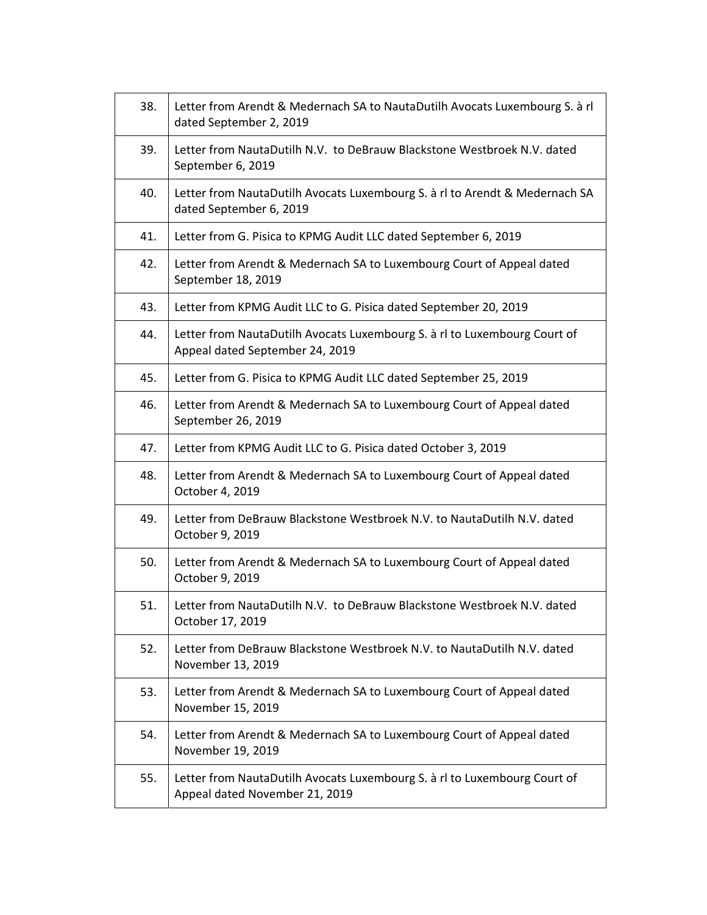| 38. | Letter from Arendt & Medernach SA to NautaDutilh Avocats Luxembourg S. à rl<br>dated September 2, 2019       |
|-----|--------------------------------------------------------------------------------------------------------------|
| 39. | Letter from NautaDutilh N.V. to DeBrauw Blackstone Westbroek N.V. dated<br>September 6, 2019                 |
| 40. | Letter from NautaDutilh Avocats Luxembourg S. à rl to Arendt & Medernach SA<br>dated September 6, 2019       |
| 41. | Letter from G. Pisica to KPMG Audit LLC dated September 6, 2019                                              |
| 42. | Letter from Arendt & Medernach SA to Luxembourg Court of Appeal dated<br>September 18, 2019                  |
| 43. | Letter from KPMG Audit LLC to G. Pisica dated September 20, 2019                                             |
| 44. | Letter from NautaDutilh Avocats Luxembourg S. à rl to Luxembourg Court of<br>Appeal dated September 24, 2019 |
| 45. | Letter from G. Pisica to KPMG Audit LLC dated September 25, 2019                                             |
| 46. | Letter from Arendt & Medernach SA to Luxembourg Court of Appeal dated<br>September 26, 2019                  |
| 47. | Letter from KPMG Audit LLC to G. Pisica dated October 3, 2019                                                |
| 48. | Letter from Arendt & Medernach SA to Luxembourg Court of Appeal dated<br>October 4, 2019                     |
| 49. | Letter from DeBrauw Blackstone Westbroek N.V. to NautaDutilh N.V. dated<br>October 9, 2019                   |
| 50. | Letter from Arendt & Medernach SA to Luxembourg Court of Appeal dated<br>October 9, 2019                     |
| 51. | Letter from NautaDutilh N.V. to DeBrauw Blackstone Westbroek N.V. dated<br>October 17, 2019                  |
| 52. | Letter from DeBrauw Blackstone Westbroek N.V. to NautaDutilh N.V. dated<br>November 13, 2019                 |
| 53. | Letter from Arendt & Medernach SA to Luxembourg Court of Appeal dated<br>November 15, 2019                   |
| 54. | Letter from Arendt & Medernach SA to Luxembourg Court of Appeal dated<br>November 19, 2019                   |
| 55. | Letter from NautaDutilh Avocats Luxembourg S. à rl to Luxembourg Court of<br>Appeal dated November 21, 2019  |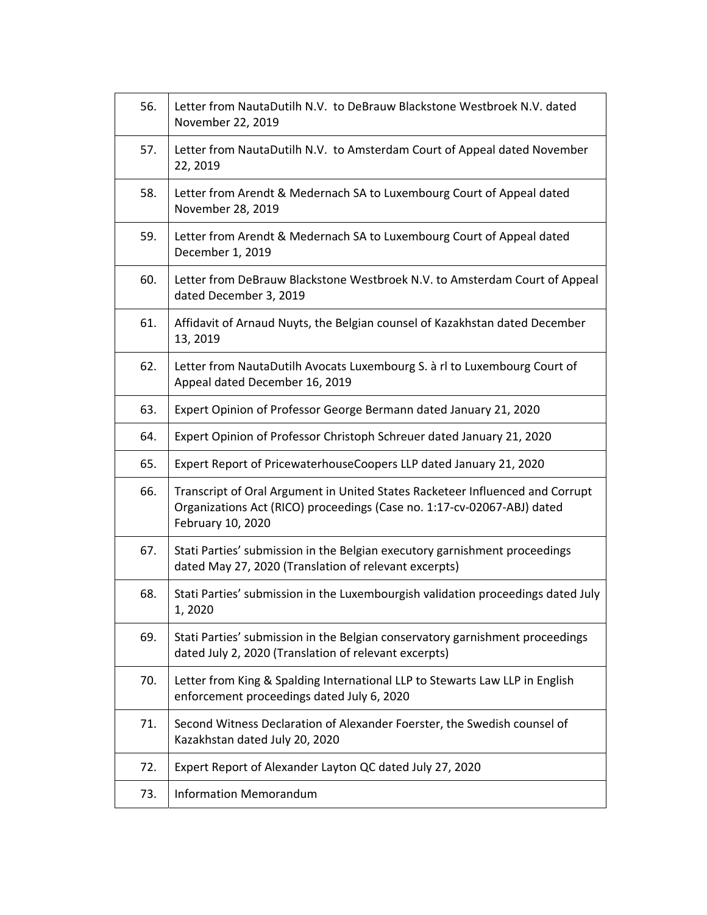| 56. | Letter from NautaDutilh N.V. to DeBrauw Blackstone Westbroek N.V. dated<br>November 22, 2019                                                                                  |
|-----|-------------------------------------------------------------------------------------------------------------------------------------------------------------------------------|
| 57. | Letter from NautaDutilh N.V. to Amsterdam Court of Appeal dated November<br>22, 2019                                                                                          |
| 58. | Letter from Arendt & Medernach SA to Luxembourg Court of Appeal dated<br>November 28, 2019                                                                                    |
| 59. | Letter from Arendt & Medernach SA to Luxembourg Court of Appeal dated<br>December 1, 2019                                                                                     |
| 60. | Letter from DeBrauw Blackstone Westbroek N.V. to Amsterdam Court of Appeal<br>dated December 3, 2019                                                                          |
| 61. | Affidavit of Arnaud Nuyts, the Belgian counsel of Kazakhstan dated December<br>13, 2019                                                                                       |
| 62. | Letter from NautaDutilh Avocats Luxembourg S. à rl to Luxembourg Court of<br>Appeal dated December 16, 2019                                                                   |
| 63. | Expert Opinion of Professor George Bermann dated January 21, 2020                                                                                                             |
| 64. | Expert Opinion of Professor Christoph Schreuer dated January 21, 2020                                                                                                         |
| 65. | Expert Report of PricewaterhouseCoopers LLP dated January 21, 2020                                                                                                            |
| 66. | Transcript of Oral Argument in United States Racketeer Influenced and Corrupt<br>Organizations Act (RICO) proceedings (Case no. 1:17-cv-02067-ABJ) dated<br>February 10, 2020 |
| 67. | Stati Parties' submission in the Belgian executory garnishment proceedings<br>dated May 27, 2020 (Translation of relevant excerpts)                                           |
| 68. | Stati Parties' submission in the Luxembourgish validation proceedings dated July<br>1,2020                                                                                    |
| 69. | Stati Parties' submission in the Belgian conservatory garnishment proceedings<br>dated July 2, 2020 (Translation of relevant excerpts)                                        |
| 70. | Letter from King & Spalding International LLP to Stewarts Law LLP in English<br>enforcement proceedings dated July 6, 2020                                                    |
| 71. | Second Witness Declaration of Alexander Foerster, the Swedish counsel of<br>Kazakhstan dated July 20, 2020                                                                    |
| 72. | Expert Report of Alexander Layton QC dated July 27, 2020                                                                                                                      |
| 73. | <b>Information Memorandum</b>                                                                                                                                                 |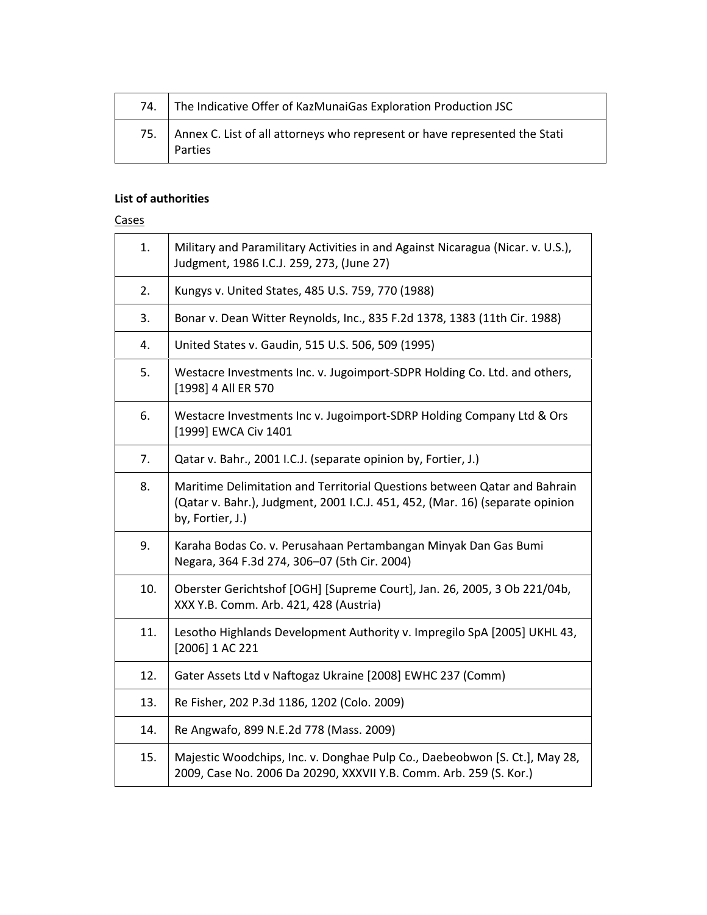| 74. | The Indicative Offer of KazMunaiGas Exploration Production JSC                            |
|-----|-------------------------------------------------------------------------------------------|
|     | 75. Annex C. List of all attorneys who represent or have represented the Stati<br>Parties |

### **List of authorities**

#### **Cases**

| 1.  | Military and Paramilitary Activities in and Against Nicaragua (Nicar. v. U.S.),<br>Judgment, 1986 I.C.J. 259, 273, (June 27)                                                   |
|-----|--------------------------------------------------------------------------------------------------------------------------------------------------------------------------------|
| 2.  | Kungys v. United States, 485 U.S. 759, 770 (1988)                                                                                                                              |
| 3.  | Bonar v. Dean Witter Reynolds, Inc., 835 F.2d 1378, 1383 (11th Cir. 1988)                                                                                                      |
| 4.  | United States v. Gaudin, 515 U.S. 506, 509 (1995)                                                                                                                              |
| 5.  | Westacre Investments Inc. v. Jugoimport-SDPR Holding Co. Ltd. and others,<br>[1998] 4 All ER 570                                                                               |
| 6.  | Westacre Investments Inc v. Jugoimport-SDRP Holding Company Ltd & Ors<br>[1999] EWCA Civ 1401                                                                                  |
| 7.  | Qatar v. Bahr., 2001 I.C.J. (separate opinion by, Fortier, J.)                                                                                                                 |
| 8.  | Maritime Delimitation and Territorial Questions between Qatar and Bahrain<br>(Qatar v. Bahr.), Judgment, 2001 I.C.J. 451, 452, (Mar. 16) (separate opinion<br>by, Fortier, J.) |
| 9.  | Karaha Bodas Co. v. Perusahaan Pertambangan Minyak Dan Gas Bumi<br>Negara, 364 F.3d 274, 306-07 (5th Cir. 2004)                                                                |
| 10. | Oberster Gerichtshof [OGH] [Supreme Court], Jan. 26, 2005, 3 Ob 221/04b,<br>XXX Y.B. Comm. Arb. 421, 428 (Austria)                                                             |
| 11. | Lesotho Highlands Development Authority v. Impregilo SpA [2005] UKHL 43,<br>[2006] 1 AC 221                                                                                    |
| 12. | Gater Assets Ltd v Naftogaz Ukraine [2008] EWHC 237 (Comm)                                                                                                                     |
| 13. | Re Fisher, 202 P.3d 1186, 1202 (Colo. 2009)                                                                                                                                    |
| 14. | Re Angwafo, 899 N.E.2d 778 (Mass. 2009)                                                                                                                                        |
| 15. | Majestic Woodchips, Inc. v. Donghae Pulp Co., Daebeobwon [S. Ct.], May 28,<br>2009, Case No. 2006 Da 20290, XXXVII Y.B. Comm. Arb. 259 (S. Kor.)                               |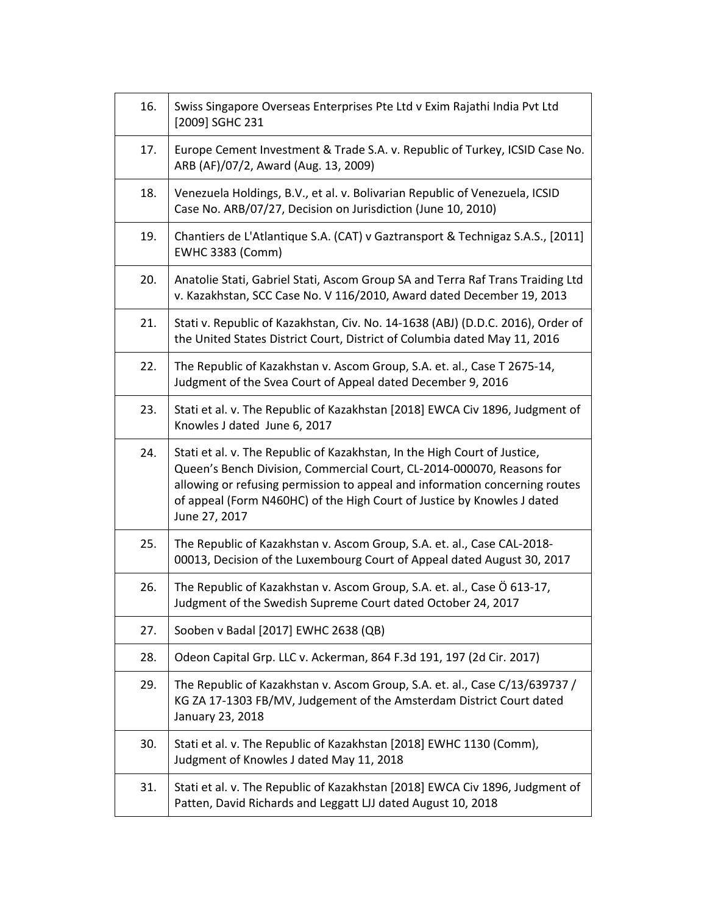| 16. | Swiss Singapore Overseas Enterprises Pte Ltd v Exim Rajathi India Pvt Ltd<br>[2009] SGHC 231                                                                                                                                                                                                                                  |
|-----|-------------------------------------------------------------------------------------------------------------------------------------------------------------------------------------------------------------------------------------------------------------------------------------------------------------------------------|
| 17. | Europe Cement Investment & Trade S.A. v. Republic of Turkey, ICSID Case No.<br>ARB (AF)/07/2, Award (Aug. 13, 2009)                                                                                                                                                                                                           |
| 18. | Venezuela Holdings, B.V., et al. v. Bolivarian Republic of Venezuela, ICSID<br>Case No. ARB/07/27, Decision on Jurisdiction (June 10, 2010)                                                                                                                                                                                   |
| 19. | Chantiers de L'Atlantique S.A. (CAT) v Gaztransport & Technigaz S.A.S., [2011]<br><b>EWHC 3383 (Comm)</b>                                                                                                                                                                                                                     |
| 20. | Anatolie Stati, Gabriel Stati, Ascom Group SA and Terra Raf Trans Traiding Ltd<br>v. Kazakhstan, SCC Case No. V 116/2010, Award dated December 19, 2013                                                                                                                                                                       |
| 21. | Stati v. Republic of Kazakhstan, Civ. No. 14-1638 (ABJ) (D.D.C. 2016), Order of<br>the United States District Court, District of Columbia dated May 11, 2016                                                                                                                                                                  |
| 22. | The Republic of Kazakhstan v. Ascom Group, S.A. et. al., Case T 2675-14,<br>Judgment of the Svea Court of Appeal dated December 9, 2016                                                                                                                                                                                       |
| 23. | Stati et al. v. The Republic of Kazakhstan [2018] EWCA Civ 1896, Judgment of<br>Knowles J dated June 6, 2017                                                                                                                                                                                                                  |
| 24. | Stati et al. v. The Republic of Kazakhstan, In the High Court of Justice,<br>Queen's Bench Division, Commercial Court, CL-2014-000070, Reasons for<br>allowing or refusing permission to appeal and information concerning routes<br>of appeal (Form N460HC) of the High Court of Justice by Knowles J dated<br>June 27, 2017 |
| 25. | The Republic of Kazakhstan v. Ascom Group, S.A. et. al., Case CAL-2018-<br>00013, Decision of the Luxembourg Court of Appeal dated August 30, 2017                                                                                                                                                                            |
| 26. | The Republic of Kazakhstan v. Ascom Group, S.A. et. al., Case Ö 613-17,<br>Judgment of the Swedish Supreme Court dated October 24, 2017                                                                                                                                                                                       |
| 27. | Sooben v Badal [2017] EWHC 2638 (QB)                                                                                                                                                                                                                                                                                          |
| 28. | Odeon Capital Grp. LLC v. Ackerman, 864 F.3d 191, 197 (2d Cir. 2017)                                                                                                                                                                                                                                                          |
| 29. | The Republic of Kazakhstan v. Ascom Group, S.A. et. al., Case C/13/639737 /<br>KG ZA 17-1303 FB/MV, Judgement of the Amsterdam District Court dated<br>January 23, 2018                                                                                                                                                       |
| 30. | Stati et al. v. The Republic of Kazakhstan [2018] EWHC 1130 (Comm),<br>Judgment of Knowles J dated May 11, 2018                                                                                                                                                                                                               |
| 31. | Stati et al. v. The Republic of Kazakhstan [2018] EWCA Civ 1896, Judgment of<br>Patten, David Richards and Leggatt LJJ dated August 10, 2018                                                                                                                                                                                  |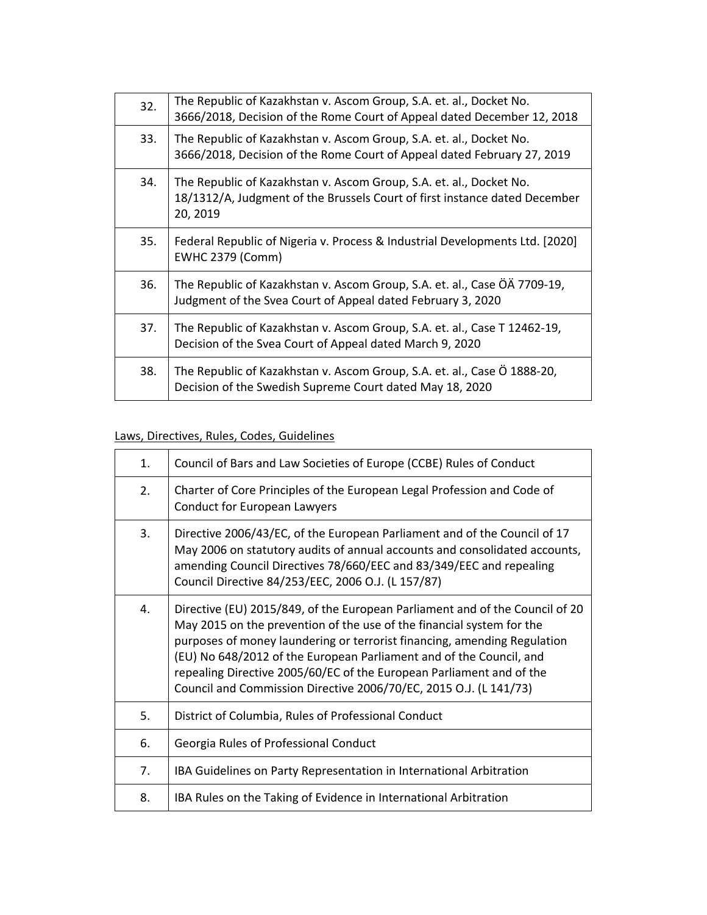| 32. | The Republic of Kazakhstan v. Ascom Group, S.A. et. al., Docket No.<br>3666/2018, Decision of the Rome Court of Appeal dated December 12, 2018                |
|-----|---------------------------------------------------------------------------------------------------------------------------------------------------------------|
| 33. | The Republic of Kazakhstan v. Ascom Group, S.A. et. al., Docket No.<br>3666/2018, Decision of the Rome Court of Appeal dated February 27, 2019                |
| 34. | The Republic of Kazakhstan v. Ascom Group, S.A. et. al., Docket No.<br>18/1312/A, Judgment of the Brussels Court of first instance dated December<br>20, 2019 |
| 35. | Federal Republic of Nigeria v. Process & Industrial Developments Ltd. [2020]<br><b>EWHC 2379 (Comm)</b>                                                       |
| 36. | The Republic of Kazakhstan v. Ascom Group, S.A. et. al., Case OA 7709-19,<br>Judgment of the Svea Court of Appeal dated February 3, 2020                      |
| 37. | The Republic of Kazakhstan v. Ascom Group, S.A. et. al., Case T 12462-19,<br>Decision of the Svea Court of Appeal dated March 9, 2020                         |
| 38. | The Republic of Kazakhstan v. Ascom Group, S.A. et. al., Case Ö 1888-20,<br>Decision of the Swedish Supreme Court dated May 18, 2020                          |

## Laws, Directives, Rules, Codes, Guidelines

| 1. | Council of Bars and Law Societies of Europe (CCBE) Rules of Conduct                                                                                                                                                                                                                                                                                                                                                                                   |
|----|-------------------------------------------------------------------------------------------------------------------------------------------------------------------------------------------------------------------------------------------------------------------------------------------------------------------------------------------------------------------------------------------------------------------------------------------------------|
| 2. | Charter of Core Principles of the European Legal Profession and Code of<br><b>Conduct for European Lawyers</b>                                                                                                                                                                                                                                                                                                                                        |
| 3. | Directive 2006/43/EC, of the European Parliament and of the Council of 17<br>May 2006 on statutory audits of annual accounts and consolidated accounts,<br>amending Council Directives 78/660/EEC and 83/349/EEC and repealing<br>Council Directive 84/253/EEC, 2006 O.J. (L 157/87)                                                                                                                                                                  |
| 4. | Directive (EU) 2015/849, of the European Parliament and of the Council of 20<br>May 2015 on the prevention of the use of the financial system for the<br>purposes of money laundering or terrorist financing, amending Regulation<br>(EU) No 648/2012 of the European Parliament and of the Council, and<br>repealing Directive 2005/60/EC of the European Parliament and of the<br>Council and Commission Directive 2006/70/EC, 2015 O.J. (L 141/73) |
| 5. | District of Columbia, Rules of Professional Conduct                                                                                                                                                                                                                                                                                                                                                                                                   |
| 6. | Georgia Rules of Professional Conduct                                                                                                                                                                                                                                                                                                                                                                                                                 |
| 7. | IBA Guidelines on Party Representation in International Arbitration                                                                                                                                                                                                                                                                                                                                                                                   |
| 8. | IBA Rules on the Taking of Evidence in International Arbitration                                                                                                                                                                                                                                                                                                                                                                                      |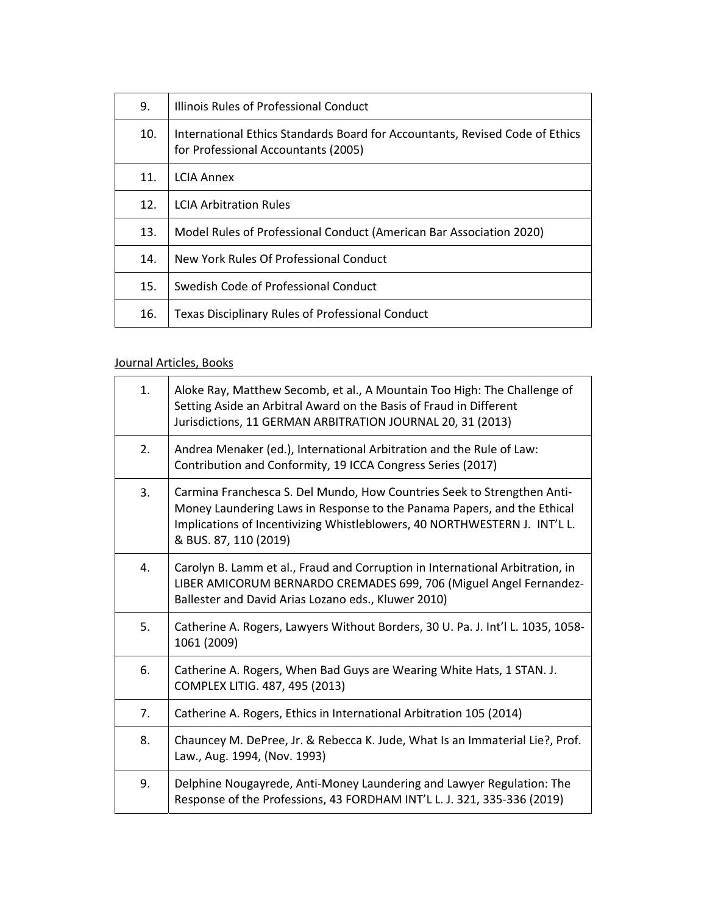| 9.  | Illinois Rules of Professional Conduct                                                                              |
|-----|---------------------------------------------------------------------------------------------------------------------|
| 10. | International Ethics Standards Board for Accountants, Revised Code of Ethics<br>for Professional Accountants (2005) |
| 11. | <b>LCIA Annex</b>                                                                                                   |
| 12. | <b>LCIA Arbitration Rules</b>                                                                                       |
| 13. | Model Rules of Professional Conduct (American Bar Association 2020)                                                 |
| 14. | New York Rules Of Professional Conduct                                                                              |
| 15. | Swedish Code of Professional Conduct                                                                                |
| 16. | Texas Disciplinary Rules of Professional Conduct                                                                    |

## Journal Articles, Books

| 1. | Aloke Ray, Matthew Secomb, et al., A Mountain Too High: The Challenge of<br>Setting Aside an Arbitral Award on the Basis of Fraud in Different<br>Jurisdictions, 11 GERMAN ARBITRATION JOURNAL 20, 31 (2013)                                             |
|----|----------------------------------------------------------------------------------------------------------------------------------------------------------------------------------------------------------------------------------------------------------|
| 2. | Andrea Menaker (ed.), International Arbitration and the Rule of Law:<br>Contribution and Conformity, 19 ICCA Congress Series (2017)                                                                                                                      |
| 3. | Carmina Franchesca S. Del Mundo, How Countries Seek to Strengthen Anti-<br>Money Laundering Laws in Response to the Panama Papers, and the Ethical<br>Implications of Incentivizing Whistleblowers, 40 NORTHWESTERN J. INT'L L.<br>& BUS. 87, 110 (2019) |
| 4. | Carolyn B. Lamm et al., Fraud and Corruption in International Arbitration, in<br>LIBER AMICORUM BERNARDO CREMADES 699, 706 (Miguel Angel Fernandez-<br>Ballester and David Arias Lozano eds., Kluwer 2010)                                               |
| 5. | Catherine A. Rogers, Lawyers Without Borders, 30 U. Pa. J. Int'l L. 1035, 1058-<br>1061 (2009)                                                                                                                                                           |
| 6. | Catherine A. Rogers, When Bad Guys are Wearing White Hats, 1 STAN. J.<br>COMPLEX LITIG. 487, 495 (2013)                                                                                                                                                  |
| 7. | Catherine A. Rogers, Ethics in International Arbitration 105 (2014)                                                                                                                                                                                      |
| 8. | Chauncey M. DePree, Jr. & Rebecca K. Jude, What Is an Immaterial Lie?, Prof.<br>Law., Aug. 1994, (Nov. 1993)                                                                                                                                             |
| 9. | Delphine Nougayrede, Anti-Money Laundering and Lawyer Regulation: The<br>Response of the Professions, 43 FORDHAM INT'L L. J. 321, 335-336 (2019)                                                                                                         |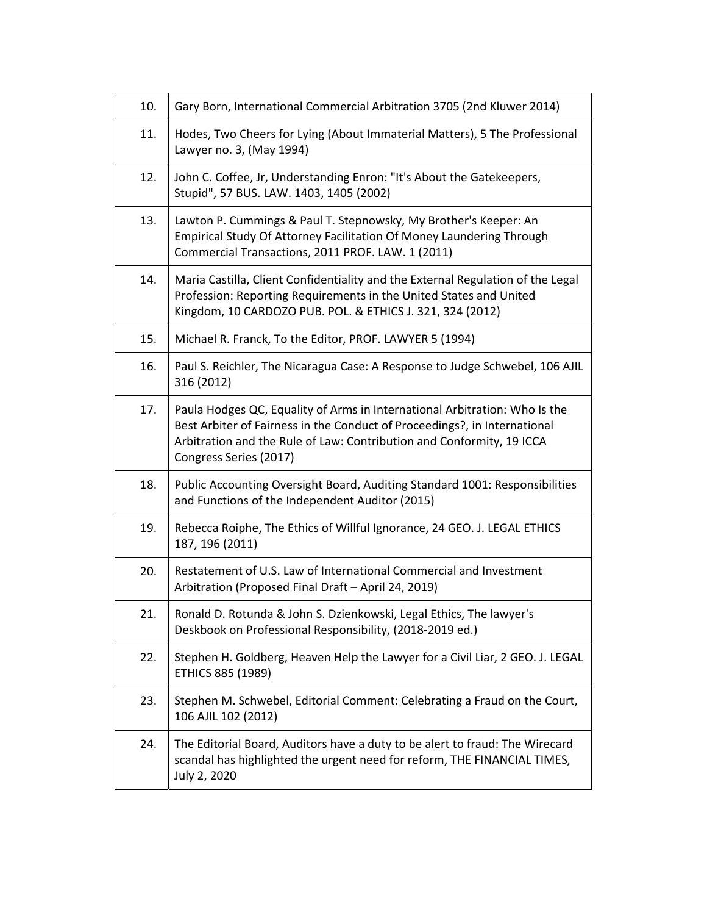| 10. | Gary Born, International Commercial Arbitration 3705 (2nd Kluwer 2014)                                                                                                                                                                                     |
|-----|------------------------------------------------------------------------------------------------------------------------------------------------------------------------------------------------------------------------------------------------------------|
| 11. | Hodes, Two Cheers for Lying (About Immaterial Matters), 5 The Professional<br>Lawyer no. 3, (May 1994)                                                                                                                                                     |
| 12. | John C. Coffee, Jr, Understanding Enron: "It's About the Gatekeepers,<br>Stupid", 57 BUS. LAW. 1403, 1405 (2002)                                                                                                                                           |
| 13. | Lawton P. Cummings & Paul T. Stepnowsky, My Brother's Keeper: An<br>Empirical Study Of Attorney Facilitation Of Money Laundering Through<br>Commercial Transactions, 2011 PROF. LAW. 1 (2011)                                                              |
| 14. | Maria Castilla, Client Confidentiality and the External Regulation of the Legal<br>Profession: Reporting Requirements in the United States and United<br>Kingdom, 10 CARDOZO PUB. POL. & ETHICS J. 321, 324 (2012)                                         |
| 15. | Michael R. Franck, To the Editor, PROF. LAWYER 5 (1994)                                                                                                                                                                                                    |
| 16. | Paul S. Reichler, The Nicaragua Case: A Response to Judge Schwebel, 106 AJIL<br>316 (2012)                                                                                                                                                                 |
| 17. | Paula Hodges QC, Equality of Arms in International Arbitration: Who Is the<br>Best Arbiter of Fairness in the Conduct of Proceedings?, in International<br>Arbitration and the Rule of Law: Contribution and Conformity, 19 ICCA<br>Congress Series (2017) |
| 18. | Public Accounting Oversight Board, Auditing Standard 1001: Responsibilities<br>and Functions of the Independent Auditor (2015)                                                                                                                             |
| 19. | Rebecca Roiphe, The Ethics of Willful Ignorance, 24 GEO. J. LEGAL ETHICS<br>187, 196 (2011)                                                                                                                                                                |
| 20. | Restatement of U.S. Law of International Commercial and Investment<br>Arbitration (Proposed Final Draft - April 24, 2019)                                                                                                                                  |
| 21. | Ronald D. Rotunda & John S. Dzienkowski, Legal Ethics, The lawyer's<br>Deskbook on Professional Responsibility, (2018-2019 ed.)                                                                                                                            |
| 22. | Stephen H. Goldberg, Heaven Help the Lawyer for a Civil Liar, 2 GEO. J. LEGAL<br>ETHICS 885 (1989)                                                                                                                                                         |
| 23. | Stephen M. Schwebel, Editorial Comment: Celebrating a Fraud on the Court,<br>106 AJIL 102 (2012)                                                                                                                                                           |
| 24. | The Editorial Board, Auditors have a duty to be alert to fraud: The Wirecard<br>scandal has highlighted the urgent need for reform, THE FINANCIAL TIMES,<br>July 2, 2020                                                                                   |